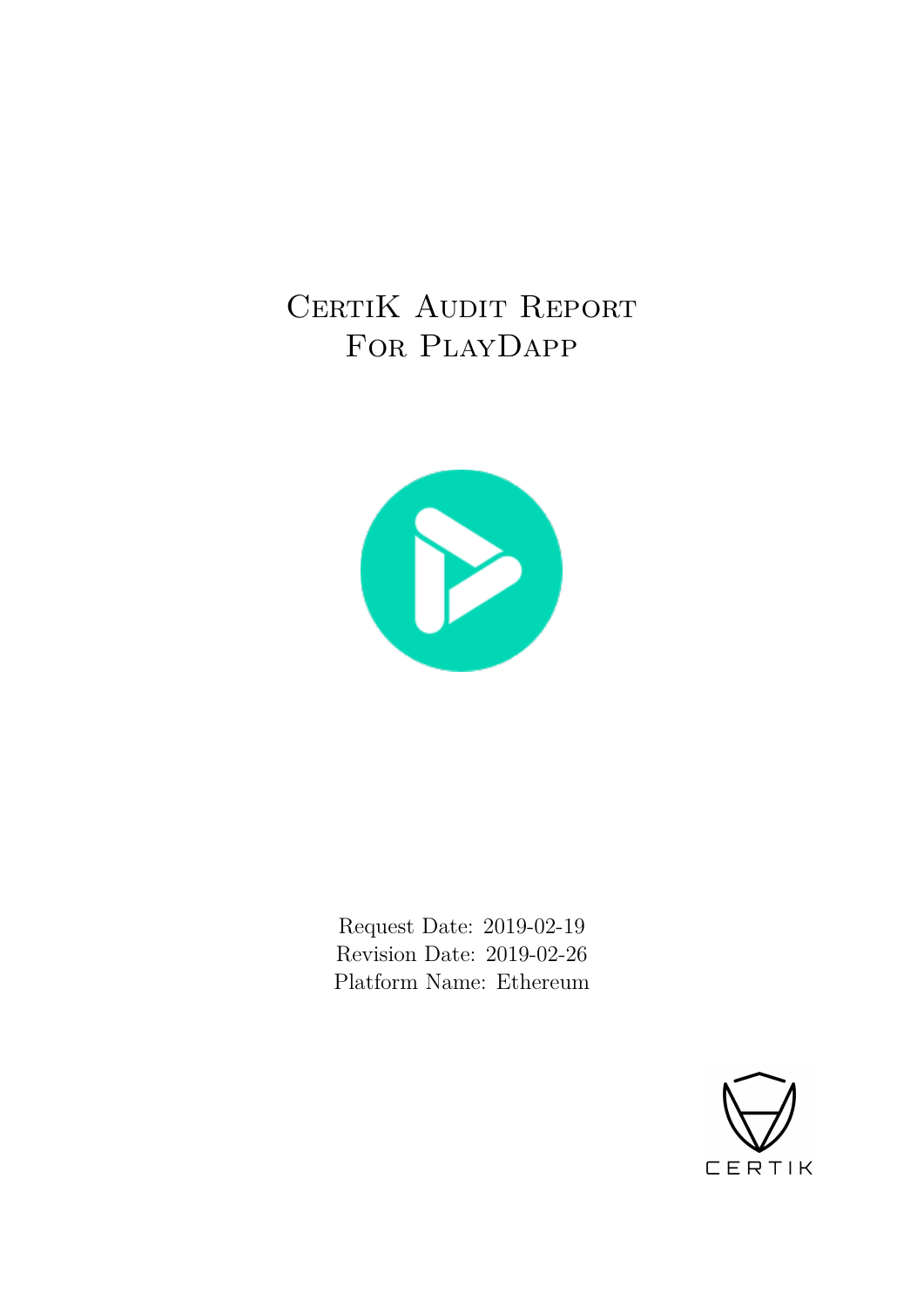# CERTIK AUDIT REPORT For PlayDapp



Request Date: 2019-02-19 Revision Date: 2019-02-26 Platform Name: Ethereum

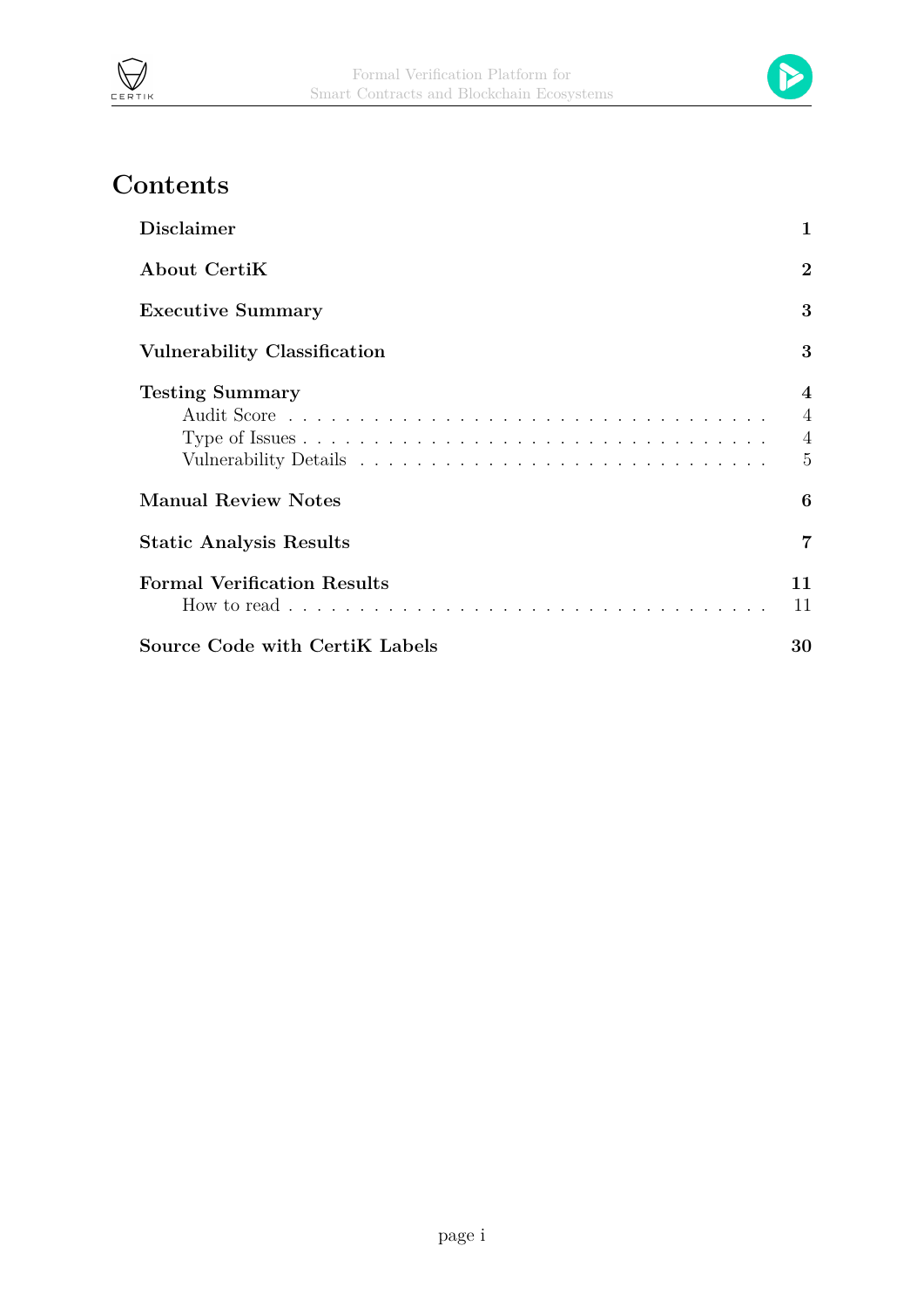



# **Contents**

| <b>Disclaimer</b>                   | 1                                                                    |
|-------------------------------------|----------------------------------------------------------------------|
| About CertiK                        | $\overline{2}$                                                       |
| <b>Executive Summary</b>            | 3                                                                    |
| <b>Vulnerability Classification</b> | 3                                                                    |
| <b>Testing Summary</b>              | $\overline{4}$<br>$\overline{4}$<br>$\overline{4}$<br>$\overline{5}$ |
| <b>Manual Review Notes</b>          | 6                                                                    |
| <b>Static Analysis Results</b>      | 7                                                                    |
| <b>Formal Verification Results</b>  | 11<br>11                                                             |
| Source Code with CertiK Labels      | 30                                                                   |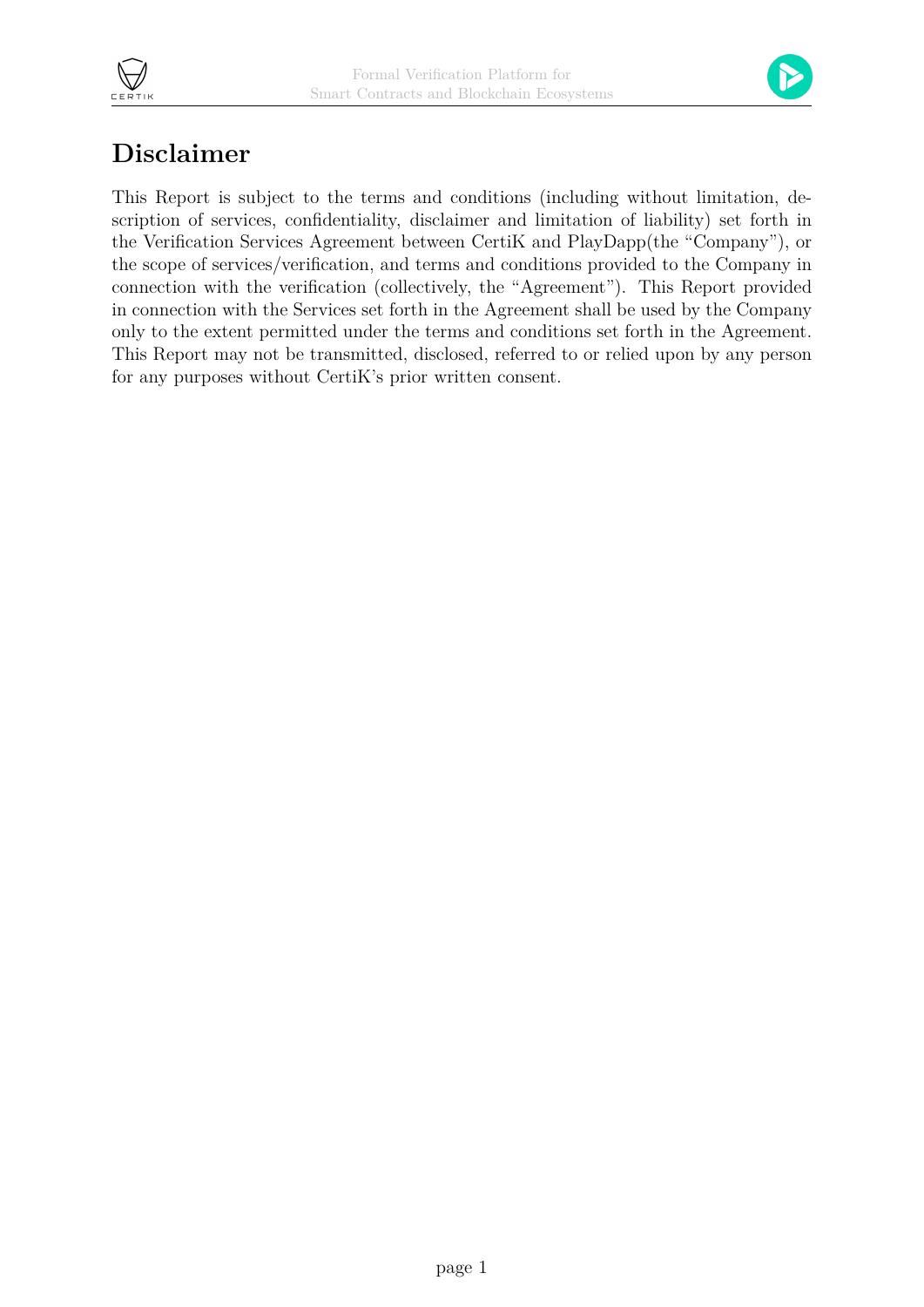



## <span id="page-2-0"></span>**Disclaimer**

This Report is subject to the terms and conditions (including without limitation, description of services, confidentiality, disclaimer and limitation of liability) set forth in the Verification Services Agreement between CertiK and PlayDapp(the "Company"), or the scope of services/verification, and terms and conditions provided to the Company in connection with the verification (collectively, the "Agreement"). This Report provided in connection with the Services set forth in the Agreement shall be used by the Company only to the extent permitted under the terms and conditions set forth in the Agreement. This Report may not be transmitted, disclosed, referred to or relied upon by any person for any purposes without CertiK's prior written consent.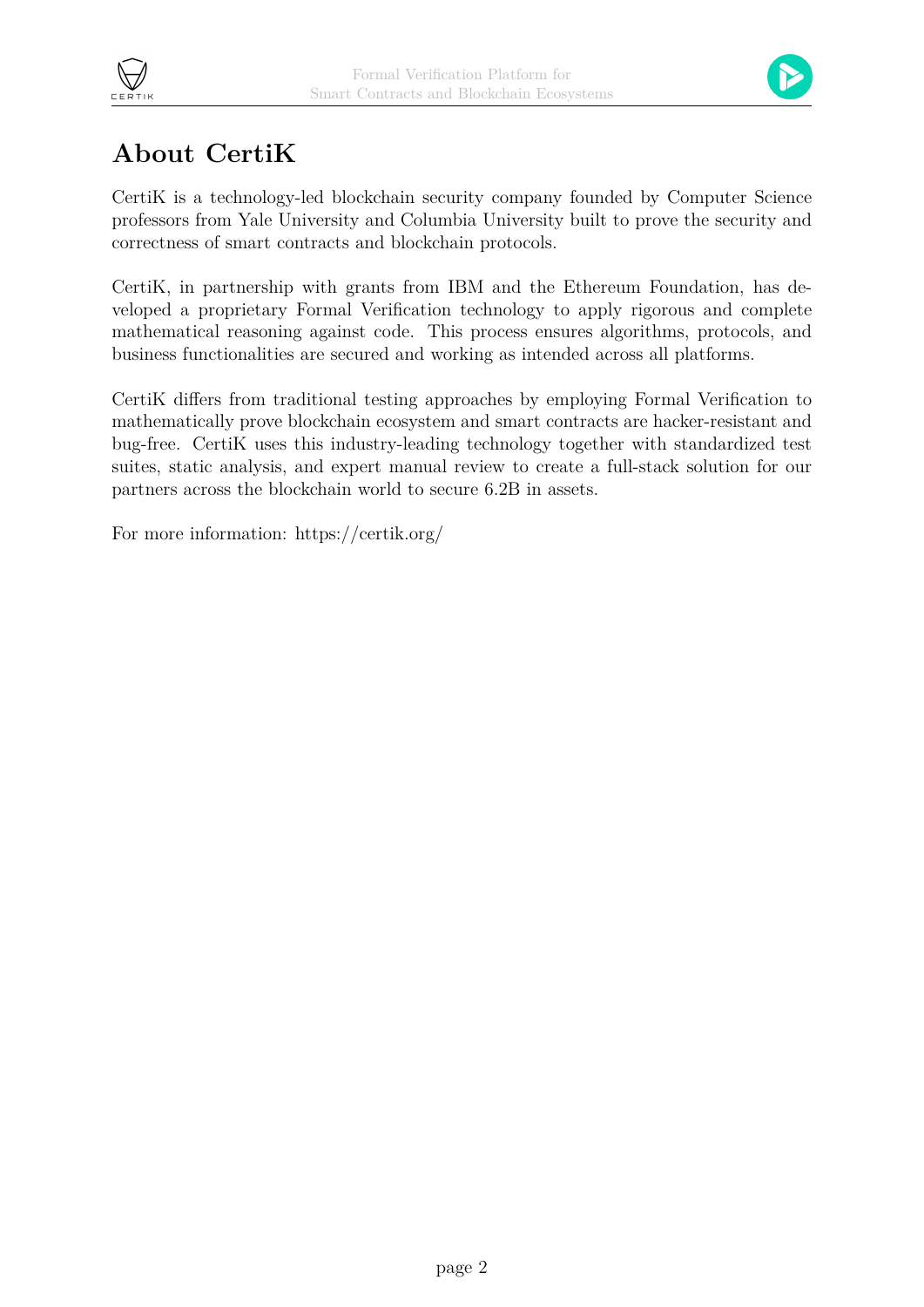



## **About CertiK**

<span id="page-3-0"></span>CertiK is a technology-led blockchain security company founded by Computer Science professors from Yale University and Columbia University built to prove the security and correctness of smart contracts and blockchain protocols.

CertiK, in partnership with grants from IBM and the Ethereum Foundation, has developed a proprietary Formal Verification technology to apply rigorous and complete mathematical reasoning against code. This process ensures algorithms, protocols, and business functionalities are secured and working as intended across all platforms.

CertiK differs from traditional testing approaches by employing Formal Verification to mathematically prove blockchain ecosystem and smart contracts are hacker-resistant and bug-free. CertiK uses this industry-leading technology together with standardized test suites, static analysis, and expert manual review to create a full-stack solution for our partners across the blockchain world to secure 6.2B in assets.

For more information: https://certik.org/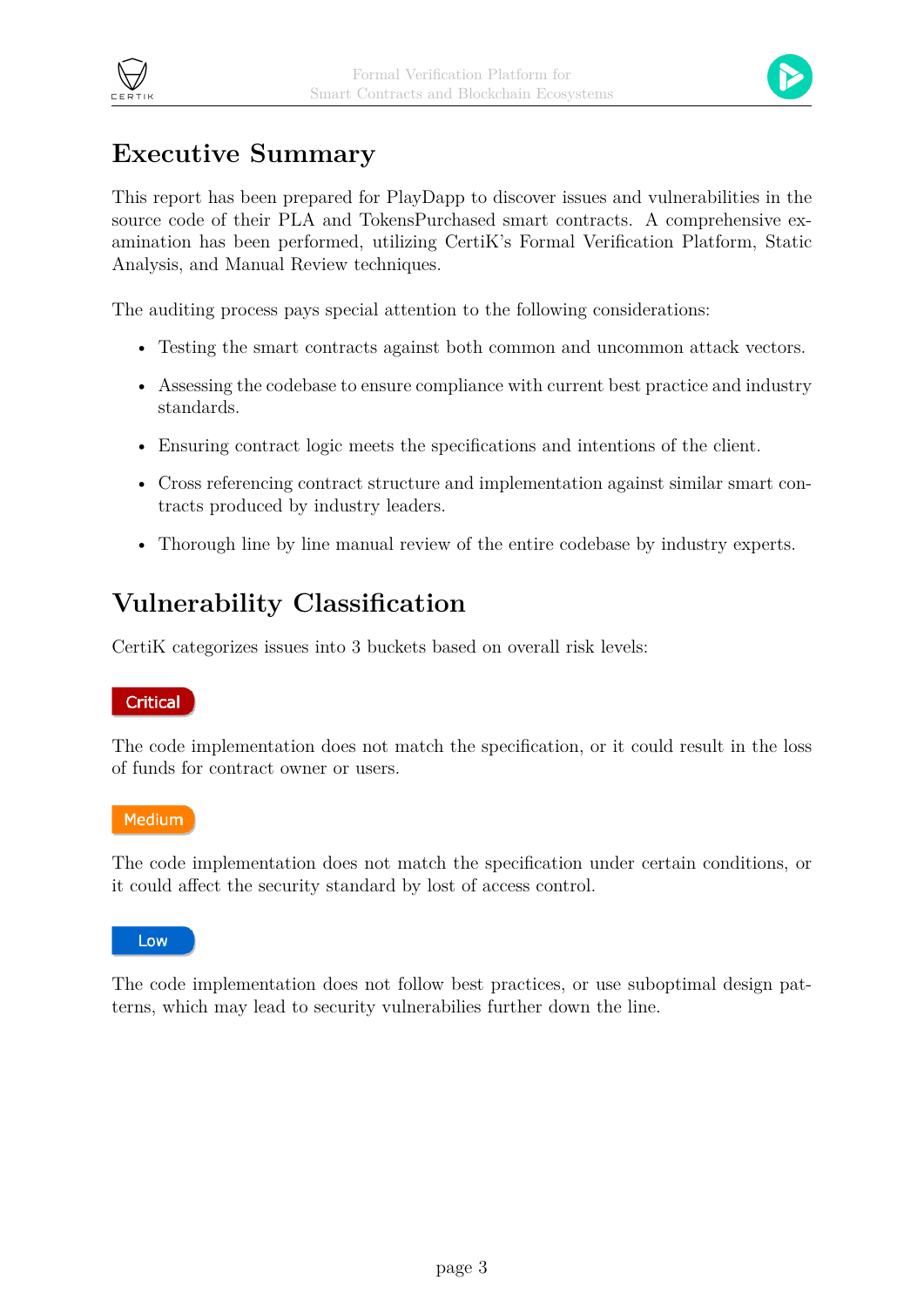



## <span id="page-4-0"></span>**Executive Summary**

This report has been prepared for PlayDapp to discover issues and vulnerabilities in the source code of their PLA and TokensPurchased smart contracts. A comprehensive examination has been performed, utilizing CertiK's Formal Verification Platform, Static Analysis, and Manual Review techniques.

The auditing process pays special attention to the following considerations:

- Testing the smart contracts against both common and uncommon attack vectors.
- Assessing the codebase to ensure compliance with current best practice and industry standards.
- Ensuring contract logic meets the specifications and intentions of the client.
- Cross referencing contract structure and implementation against similar smart contracts produced by industry leaders.
- Thorough line by line manual review of the entire codebase by industry experts.

## <span id="page-4-1"></span>**Vulnerability Classification**

CertiK categorizes issues into 3 buckets based on overall risk levels:

#### **Critical**

The code implementation does not match the specification, or it could result in the loss of funds for contract owner or users.

#### **Medium**

The code implementation does not match the specification under certain conditions, or it could affect the security standard by lost of access control.

Low

The code implementation does not follow best practices, or use suboptimal design patterns, which may lead to security vulnerabilies further down the line.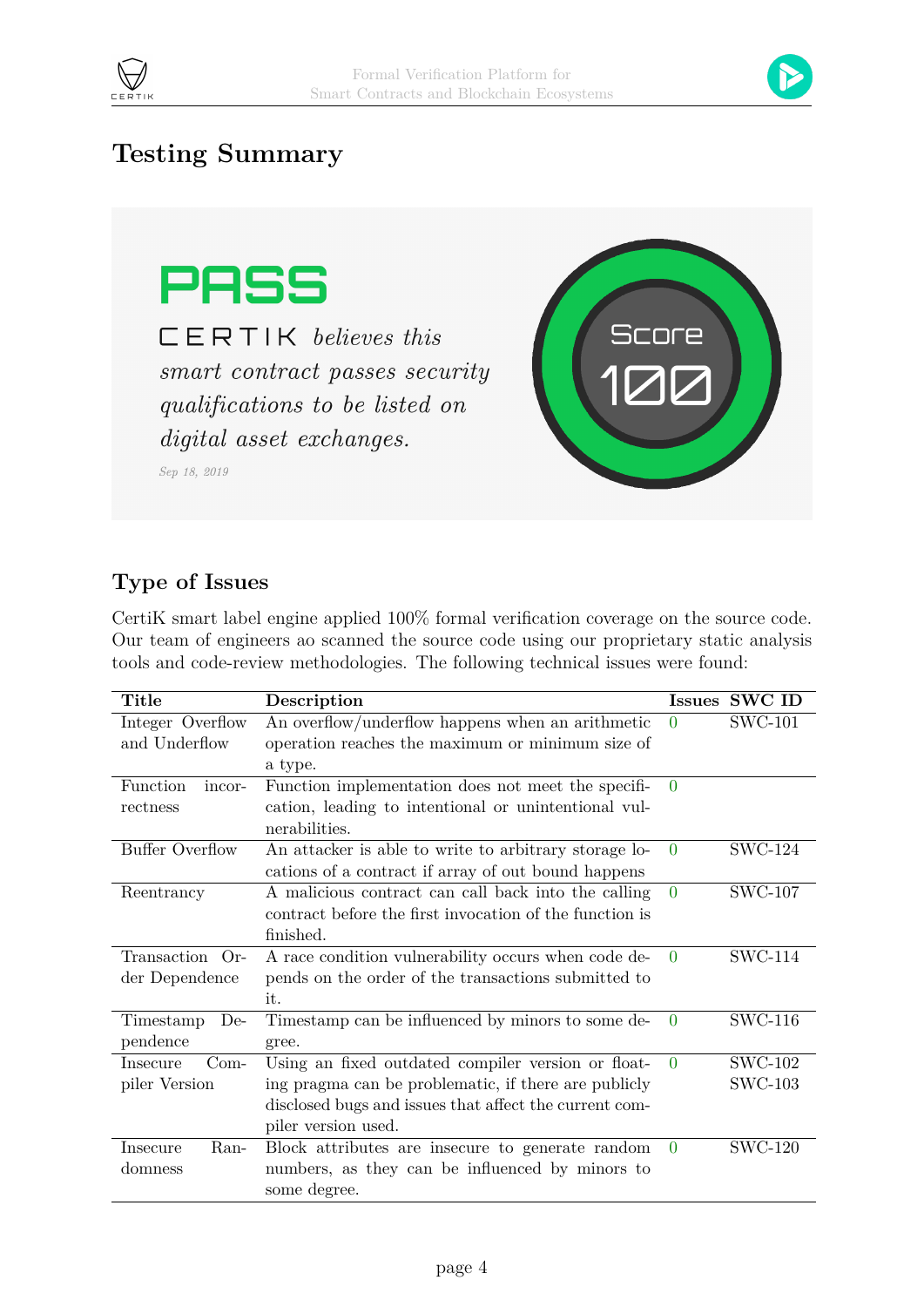



## <span id="page-5-1"></span><span id="page-5-0"></span>**Testing Summary**



 $CERTIK$  believes this smart contract passes security qualifications to be listed on digital asset exchanges.

Sep 18, 2019



### <span id="page-5-2"></span>**Type of Issues**

CertiK smart label engine applied 100% formal verification coverage on the source code. Our team of engineers ao scanned the source code using our proprietary static analysis tools and code-review methodologies. The following technical issues were found:

| Title                  | Description                                             | Issues   | <b>SWC ID</b>  |
|------------------------|---------------------------------------------------------|----------|----------------|
| Integer Overflow       | An overflow/underflow happens when an arithmetic        | $\Omega$ | <b>SWC-101</b> |
| and Underflow          | operation reaches the maximum or minimum size of        |          |                |
|                        | a type.                                                 |          |                |
| Function<br>incor-     | Function implementation does not meet the specifi-      | $\Omega$ |                |
| rectness               | cation, leading to intentional or unintentional vul-    |          |                |
|                        | nerabilities.                                           |          |                |
| <b>Buffer Overflow</b> | An attacker is able to write to arbitrary storage lo-   | $\Omega$ | <b>SWC-124</b> |
|                        | cations of a contract if array of out bound happens     |          |                |
| Reentrancy             | A malicious contract can call back into the calling     | $\Omega$ | <b>SWC-107</b> |
|                        | contract before the first invocation of the function is |          |                |
|                        | finished.                                               |          |                |
| Transaction Or-        | A race condition vulnerability occurs when code de-     | $\Omega$ | <b>SWC-114</b> |
| der Dependence         | pends on the order of the transactions submitted to     |          |                |
|                        | it.                                                     |          |                |
| Timestamp<br>$De-$     | Timestamp can be influenced by minors to some de-       | $\Omega$ | <b>SWC-116</b> |
| pendence               | gree.                                                   |          |                |
| $Com-$<br>Insecure     | Using an fixed outdated compiler version or float-      | $\theta$ | <b>SWC-102</b> |
| piler Version          | ing pragma can be problematic, if there are publicly    |          | <b>SWC-103</b> |
|                        | disclosed bugs and issues that affect the current com-  |          |                |
|                        | piler version used.                                     |          |                |
| Ran-<br>Insecure       | Block attributes are insecure to generate random        | $\Omega$ | <b>SWC-120</b> |
| domness                | numbers, as they can be influenced by minors to         |          |                |
|                        | some degree.                                            |          |                |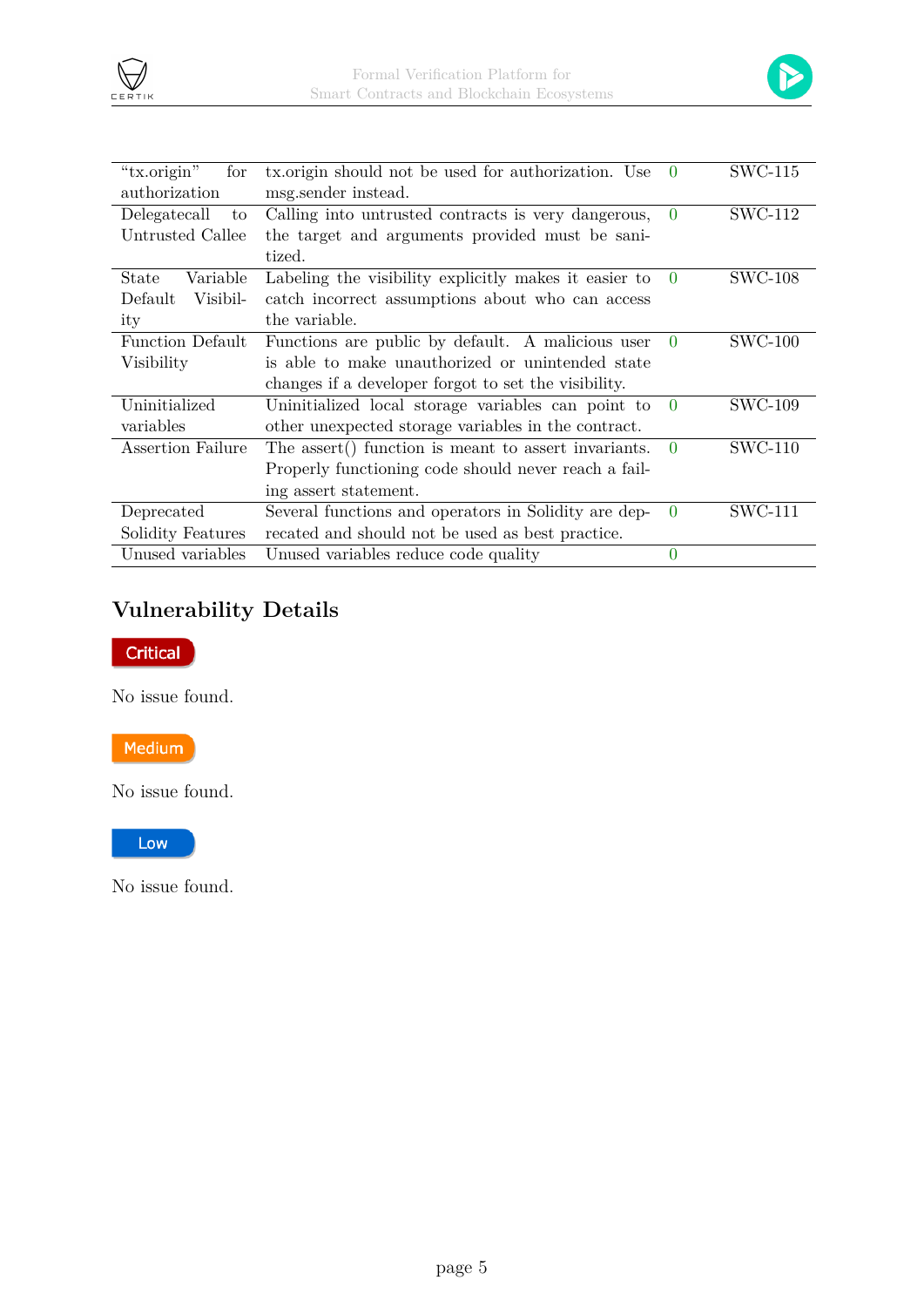

| "tx.origin"<br>for<br>authorization                              | tx.origin should not be used for authorization. Use<br>msg.sender instead. | $\Omega$ | <b>SWC-115</b> |
|------------------------------------------------------------------|----------------------------------------------------------------------------|----------|----------------|
| Delegatecall<br>to                                               |                                                                            |          | <b>SWC-112</b> |
|                                                                  | Calling into untrusted contracts is very dangerous,                        | $\Omega$ |                |
| Untrusted Callee                                                 | the target and arguments provided must be sani-                            |          |                |
|                                                                  | tized.                                                                     |          |                |
| Variable<br>State                                                | Labeling the visibility explicitly makes it easier to                      | $\theta$ | <b>SWC-108</b> |
| Default<br>Visibil-                                              | catch incorrect assumptions about who can access                           |          |                |
| ity                                                              | the variable.                                                              |          |                |
| Function Default                                                 | Functions are public by default. A malicious user                          | $\Omega$ | $SWC-100$      |
| Visibility                                                       | is able to make unauthorized or unintended state                           |          |                |
|                                                                  | changes if a developer forgot to set the visibility.                       |          |                |
| Uninitialized                                                    | Uninitialized local storage variables can point to                         | $\Omega$ | <b>SWC-109</b> |
| variables<br>other unexpected storage variables in the contract. |                                                                            |          |                |
| Assertion Failure                                                | The assert () function is meant to assert invariants.                      | $\Omega$ | <b>SWC-110</b> |
| Properly functioning code should never reach a fail-             |                                                                            |          |                |
|                                                                  | ing assert statement.                                                      |          |                |
| Deprecated                                                       | Several functions and operators in Solidity are dep-                       | $\Omega$ | <b>SWC-111</b> |
| Solidity Features                                                | recated and should not be used as best practice.                           |          |                |
| Unused variables                                                 | Unused variables reduce code quality                                       | $\Omega$ |                |

## <span id="page-6-0"></span>**Vulnerability Details**



CERTIN

No issue found.

Medium

No issue found.

Low

No issue found.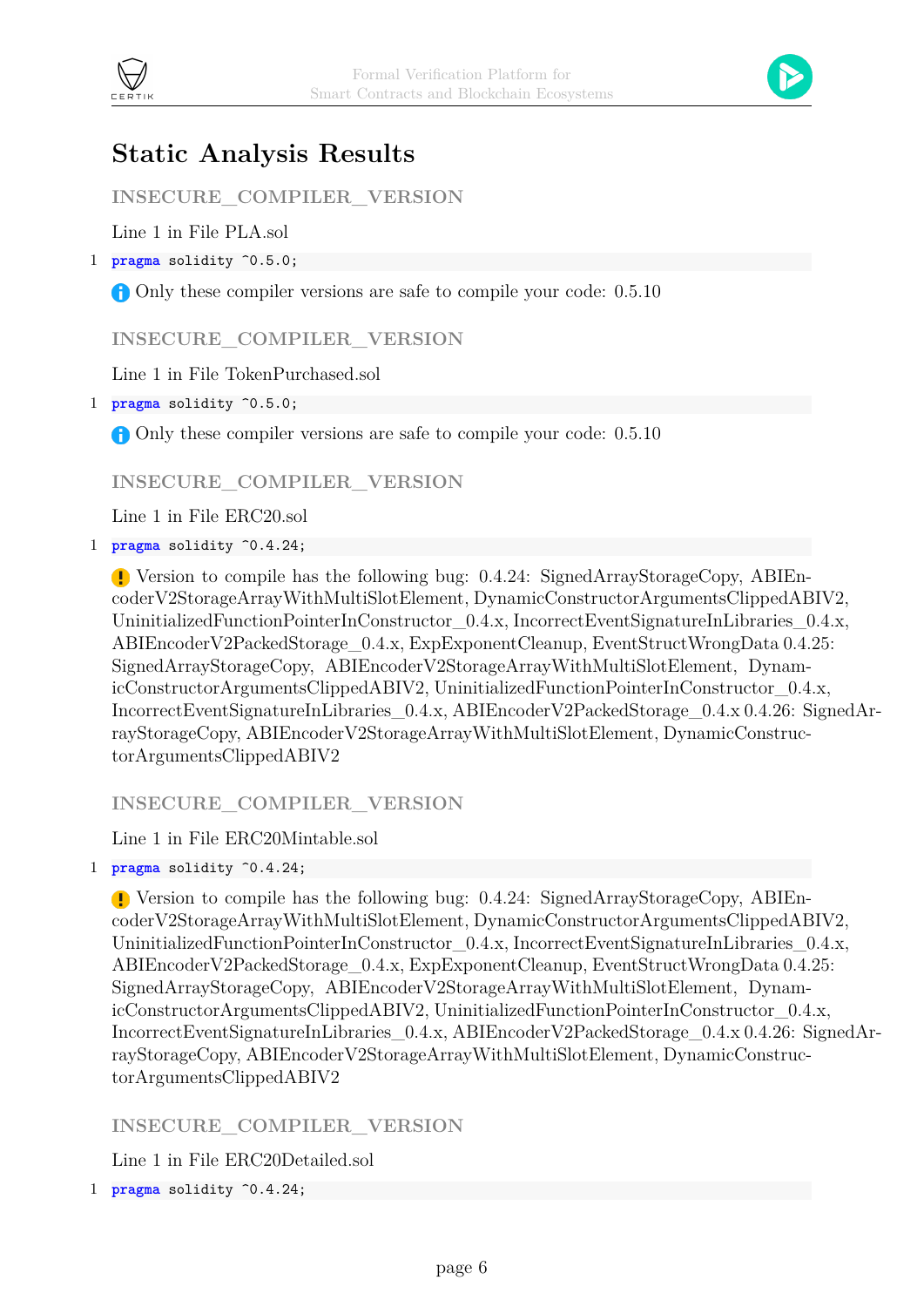



## <span id="page-7-0"></span>**Static Analysis Results**

**INSECURE\_COMPILER\_VERSION**

Line 1 in File PLA.sol

1 **pragma** solidity ^0.5.0;

Only these compiler versions are safe to compile your code:  $0.5.10$ 

#### <span id="page-7-1"></span>**INSECURE\_COMPILER\_VERSION**

Line 1 in File TokenPurchased.sol

1 **pragma** solidity ^0.5.0;

Only these compiler versions are safe to compile your code:  $0.5.10$ 

**INSECURE\_COMPILER\_VERSION**

Line 1 in File ERC20.sol

1 **pragma** solidity ^0.4.24;

Version to compile has the following bug: 0.4.24: SignedArrayStorageCopy, ABIEncoderV2StorageArrayWithMultiSlotElement, DynamicConstructorArgumentsClippedABIV2, UninitializedFunctionPointerInConstructor  $0.4.x$ , IncorrectEventSignatureInLibraries  $0.4.x$ , ABIEncoderV2PackedStorage\_0.4.x, ExpExponentCleanup, EventStructWrongData 0.4.25: SignedArrayStorageCopy, ABIEncoderV2StorageArrayWithMultiSlotElement, DynamicConstructorArgumentsClippedABIV2, UninitializedFunctionPointerInConstructor\_0.4.x, IncorrectEventSignatureInLibraries\_0.4.x, ABIEncoderV2PackedStorage\_0.4.x 0.4.26: SignedArrayStorageCopy, ABIEncoderV2StorageArrayWithMultiSlotElement, DynamicConstructorArgumentsClippedABIV2

**INSECURE\_COMPILER\_VERSION**

Line 1 in File ERC20Mintable.sol

1 **pragma** solidity ^0.4.24;

Version to compile has the following bug: 0.4.24: SignedArrayStorageCopy, ABIEncoderV2StorageArrayWithMultiSlotElement, DynamicConstructorArgumentsClippedABIV2, UninitializedFunctionPointerInConstructor  $0.4.x$ , IncorrectEventSignatureInLibraries  $0.4.x$ , ABIEncoderV2PackedStorage\_0.4.x, ExpExponentCleanup, EventStructWrongData 0.4.25: SignedArrayStorageCopy, ABIEncoderV2StorageArrayWithMultiSlotElement, DynamicConstructorArgumentsClippedABIV2, UninitializedFunctionPointerInConstructor\_0.4.x, IncorrectEventSignatureInLibraries\_0.4.x, ABIEncoderV2PackedStorage\_0.4.x 0.4.26: SignedArrayStorageCopy, ABIEncoderV2StorageArrayWithMultiSlotElement, DynamicConstructorArgumentsClippedABIV2

#### **INSECURE\_COMPILER\_VERSION**

Line 1 in File ERC20Detailed.sol

1 **pragma** solidity ^0.4.24;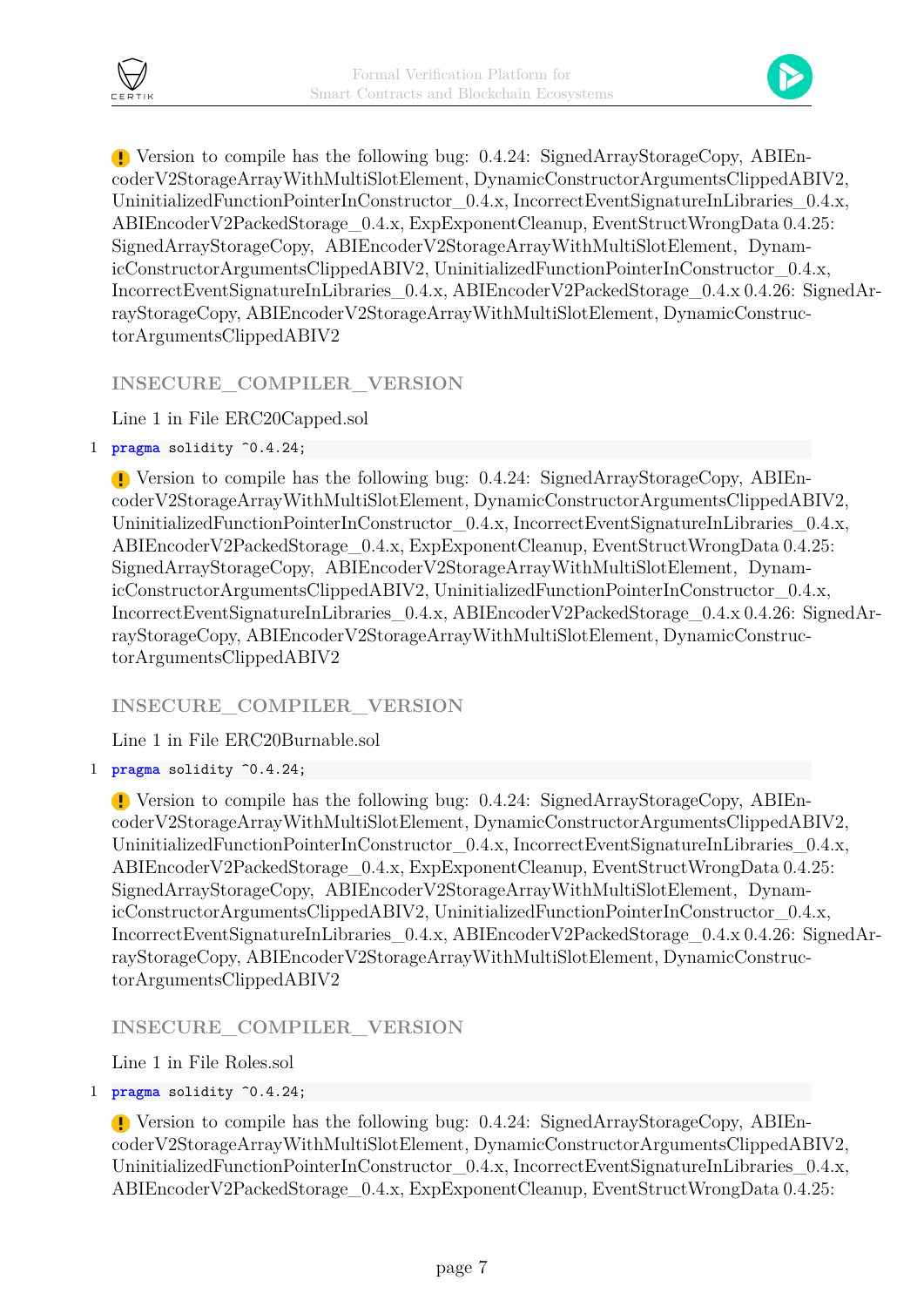

Version to compile has the following bug: 0.4.24: SignedArrayStorageCopy, ABIEncoderV2StorageArrayWithMultiSlotElement, DynamicConstructorArgumentsClippedABIV2, UninitializedFunctionPointerInConstructor  $0.4.x$ , IncorrectEventSignatureInLibraries  $0.4.x$ , ABIEncoderV2PackedStorage\_0.4.x, ExpExponentCleanup, EventStructWrongData 0.4.25: SignedArrayStorageCopy, ABIEncoderV2StorageArrayWithMultiSlotElement, DynamicConstructorArgumentsClippedABIV2, UninitializedFunctionPointerInConstructor\_0.4.x, IncorrectEventSignatureInLibraries\_0.4.x, ABIEncoderV2PackedStorage\_0.4.x 0.4.26: SignedArrayStorageCopy, ABIEncoderV2StorageArrayWithMultiSlotElement, DynamicConstructorArgumentsClippedABIV2

#### **INSECURE\_COMPILER\_VERSION**

Line 1 in File ERC20Capped.sol

1 **pragma** solidity ^0.4.24;

Version to compile has the following bug: 0.4.24: SignedArrayStorageCopy, ABIEncoderV2StorageArrayWithMultiSlotElement, DynamicConstructorArgumentsClippedABIV2, UninitializedFunctionPointerInConstructor\_0.4.x, IncorrectEventSignatureInLibraries\_0.4.x, ABIEncoderV2PackedStorage\_0.4.x, ExpExponentCleanup, EventStructWrongData 0.4.25: SignedArrayStorageCopy, ABIEncoderV2StorageArrayWithMultiSlotElement, DynamicConstructorArgumentsClippedABIV2, UninitializedFunctionPointerInConstructor\_0.4.x, IncorrectEventSignatureInLibraries\_0.4.x, ABIEncoderV2PackedStorage\_0.4.x 0.4.26: SignedArrayStorageCopy, ABIEncoderV2StorageArrayWithMultiSlotElement, DynamicConstructorArgumentsClippedABIV2

#### **INSECURE\_COMPILER\_VERSION**

Line 1 in File ERC20Burnable.sol

1 **pragma** solidity ^0.4.24;

Version to compile has the following bug: 0.4.24: SignedArrayStorageCopy, ABIEncoderV2StorageArrayWithMultiSlotElement, DynamicConstructorArgumentsClippedABIV2, UninitializedFunctionPointerInConstructor  $0.4.x$ , IncorrectEventSignatureInLibraries  $0.4.x$ , ABIEncoderV2PackedStorage\_0.4.x, ExpExponentCleanup, EventStructWrongData 0.4.25: SignedArrayStorageCopy, ABIEncoderV2StorageArrayWithMultiSlotElement, DynamicConstructorArgumentsClippedABIV2, UninitializedFunctionPointerInConstructor\_0.4.x, IncorrectEventSignatureInLibraries\_0.4.x, ABIEncoderV2PackedStorage\_0.4.x 0.4.26: SignedArrayStorageCopy, ABIEncoderV2StorageArrayWithMultiSlotElement, DynamicConstructorArgumentsClippedABIV2

**INSECURE\_COMPILER\_VERSION**

Line 1 in File Roles.sol

```
1 pragma solidity ^0.4.24;
```
Version to compile has the following bug: 0.4.24: SignedArrayStorageCopy, ABIEncoderV2StorageArrayWithMultiSlotElement, DynamicConstructorArgumentsClippedABIV2, UninitializedFunctionPointerInConstructor  $0.4.x$ , IncorrectEventSignatureInLibraries  $0.4.x$ , ABIEncoderV2PackedStorage\_0.4.x, ExpExponentCleanup, EventStructWrongData 0.4.25: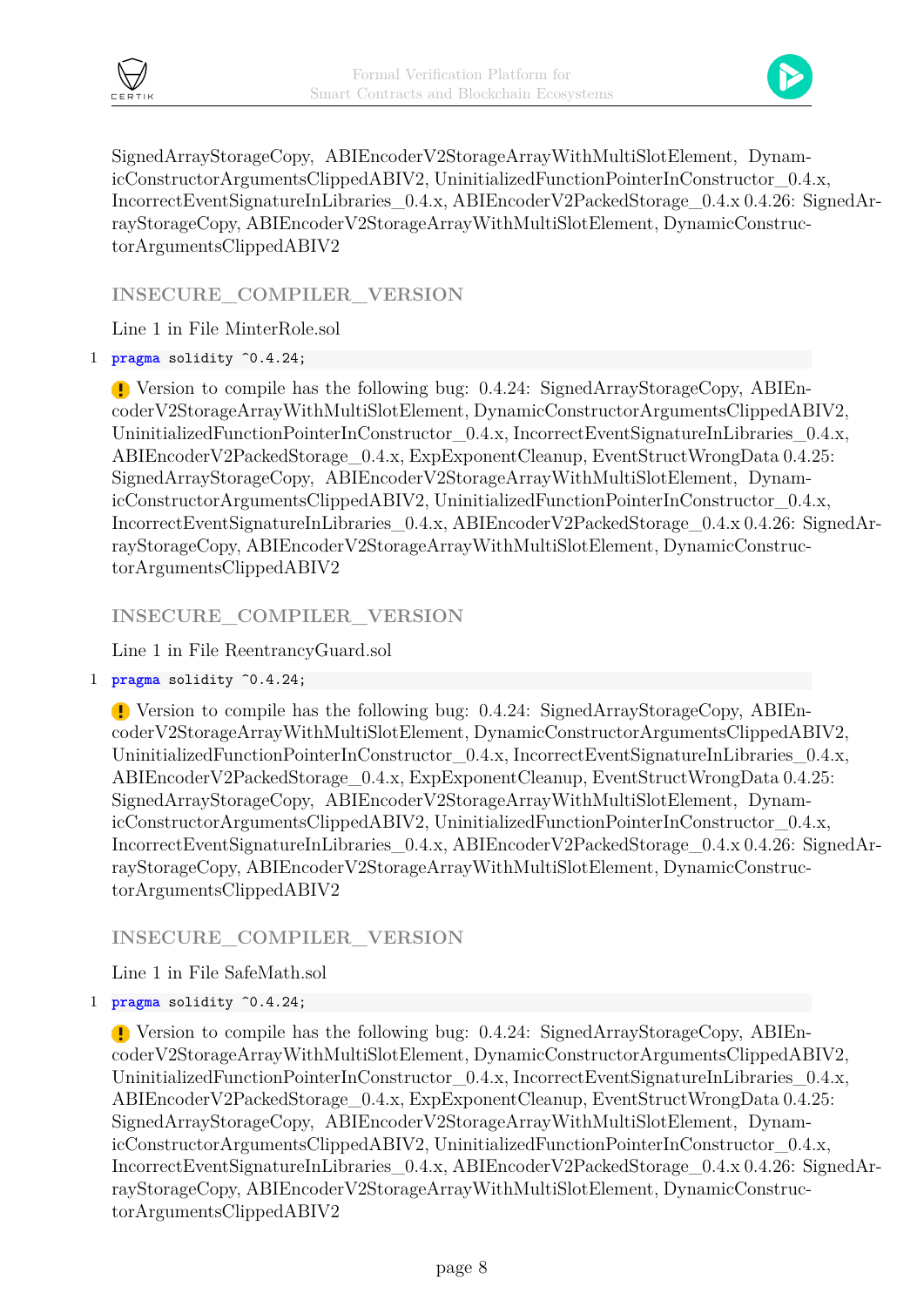



SignedArrayStorageCopy, ABIEncoderV2StorageArrayWithMultiSlotElement, DynamicConstructorArgumentsClippedABIV2, UninitializedFunctionPointerInConstructor\_0.4.x, IncorrectEventSignatureInLibraries\_0.4.x, ABIEncoderV2PackedStorage\_0.4.x 0.4.26: SignedArrayStorageCopy, ABIEncoderV2StorageArrayWithMultiSlotElement, DynamicConstructorArgumentsClippedABIV2

**INSECURE\_COMPILER\_VERSION**

Line 1 in File MinterRole.sol

1 **pragma** solidity ^0.4.24;

Version to compile has the following bug: 0.4.24: SignedArrayStorageCopy, ABIEncoderV2StorageArrayWithMultiSlotElement, DynamicConstructorArgumentsClippedABIV2, UninitializedFunctionPointerInConstructor  $0.4.x$ , IncorrectEventSignatureInLibraries  $0.4.x$ , ABIEncoderV2PackedStorage\_0.4.x, ExpExponentCleanup, EventStructWrongData 0.4.25: SignedArrayStorageCopy, ABIEncoderV2StorageArrayWithMultiSlotElement, DynamicConstructorArgumentsClippedABIV2, UninitializedFunctionPointerInConstructor\_0.4.x, IncorrectEventSignatureInLibraries\_0.4.x, ABIEncoderV2PackedStorage\_0.4.x 0.4.26: SignedArrayStorageCopy, ABIEncoderV2StorageArrayWithMultiSlotElement, DynamicConstructorArgumentsClippedABIV2

**INSECURE\_COMPILER\_VERSION**

Line 1 in File ReentrancyGuard.sol

1 **pragma** solidity ^0.4.24;

Version to compile has the following bug: 0.4.24: SignedArrayStorageCopy, ABIEncoderV2StorageArrayWithMultiSlotElement, DynamicConstructorArgumentsClippedABIV2, UninitializedFunctionPointerInConstructor  $0.4.x$ , IncorrectEventSignatureInLibraries  $0.4.x$ , ABIEncoderV2PackedStorage\_0.4.x, ExpExponentCleanup, EventStructWrongData 0.4.25: SignedArrayStorageCopy, ABIEncoderV2StorageArrayWithMultiSlotElement, DynamicConstructorArgumentsClippedABIV2, UninitializedFunctionPointerInConstructor\_0.4.x, IncorrectEventSignatureInLibraries\_0.4.x, ABIEncoderV2PackedStorage\_0.4.x 0.4.26: SignedArrayStorageCopy, ABIEncoderV2StorageArrayWithMultiSlotElement, DynamicConstructorArgumentsClippedABIV2

#### **INSECURE\_COMPILER\_VERSION**

Line 1 in File SafeMath.sol

1 **pragma** solidity ^0.4.24;

Version to compile has the following bug: 0.4.24: SignedArrayStorageCopy, ABIEncoderV2StorageArrayWithMultiSlotElement, DynamicConstructorArgumentsClippedABIV2, UninitializedFunctionPointerInConstructor\_0.4.x, IncorrectEventSignatureInLibraries\_0.4.x, ABIEncoderV2PackedStorage\_0.4.x, ExpExponentCleanup, EventStructWrongData 0.4.25: SignedArrayStorageCopy, ABIEncoderV2StorageArrayWithMultiSlotElement, DynamicConstructorArgumentsClippedABIV2, UninitializedFunctionPointerInConstructor\_0.4.x, IncorrectEventSignatureInLibraries\_0.4.x, ABIEncoderV2PackedStorage\_0.4.x 0.4.26: SignedArrayStorageCopy, ABIEncoderV2StorageArrayWithMultiSlotElement, DynamicConstructorArgumentsClippedABIV2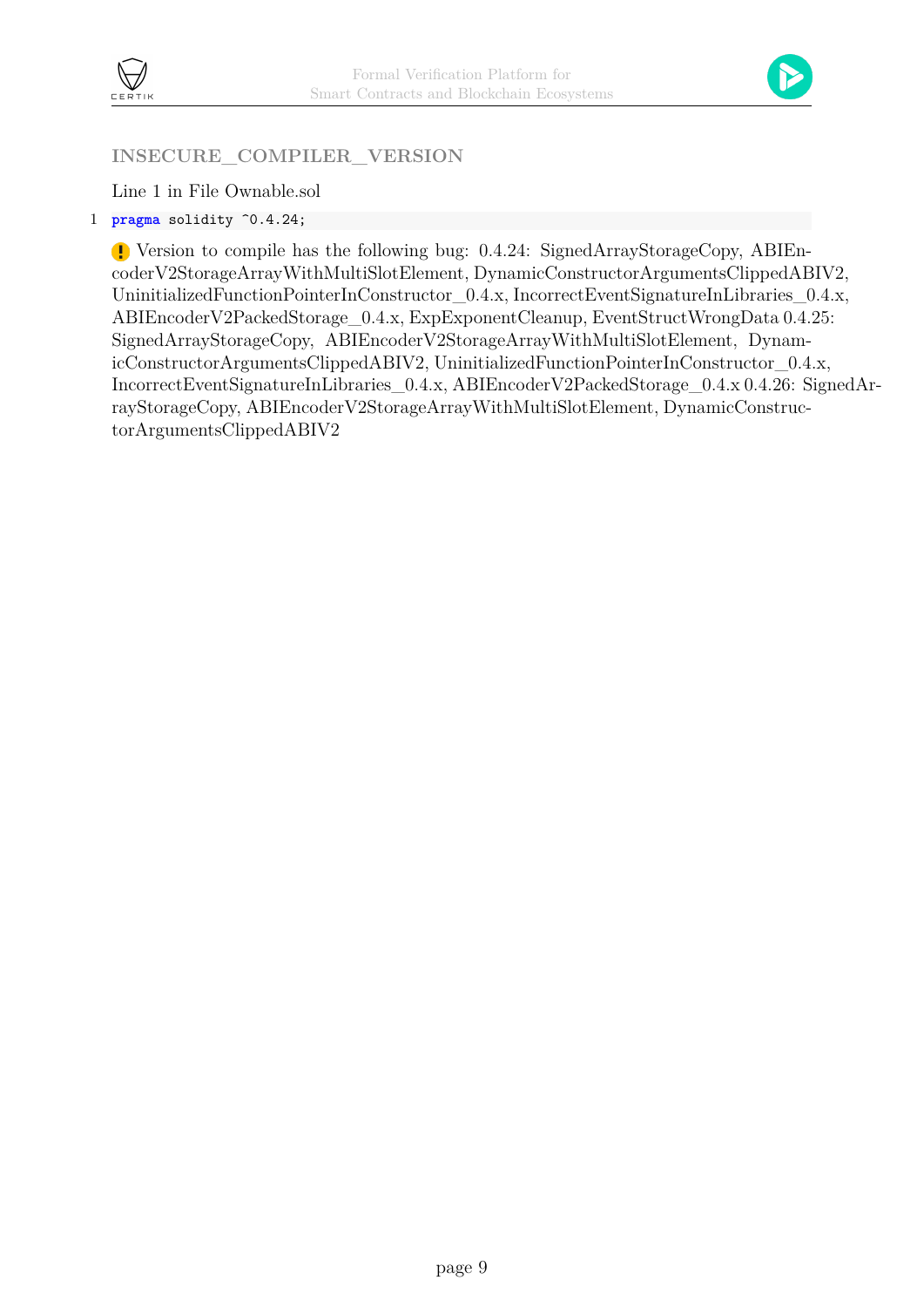



#### **INSECURE\_COMPILER\_VERSION**

Line 1 in File Ownable.sol

1 **pragma** solidity ^0.4.24;

Version to compile has the following bug: 0.4.24: SignedArrayStorageCopy, ABIEncoderV2StorageArrayWithMultiSlotElement, DynamicConstructorArgumentsClippedABIV2, UninitializedFunctionPointerInConstructor\_0.4.x, IncorrectEventSignatureInLibraries\_0.4.x, ABIEncoderV2PackedStorage\_0.4.x, ExpExponentCleanup, EventStructWrongData 0.4.25: SignedArrayStorageCopy, ABIEncoderV2StorageArrayWithMultiSlotElement, DynamicConstructorArgumentsClippedABIV2, UninitializedFunctionPointerInConstructor\_0.4.x, IncorrectEventSignatureInLibraries\_0.4.x, ABIEncoderV2PackedStorage\_0.4.x 0.4.26: SignedArrayStorageCopy, ABIEncoderV2StorageArrayWithMultiSlotElement, DynamicConstructorArgumentsClippedABIV2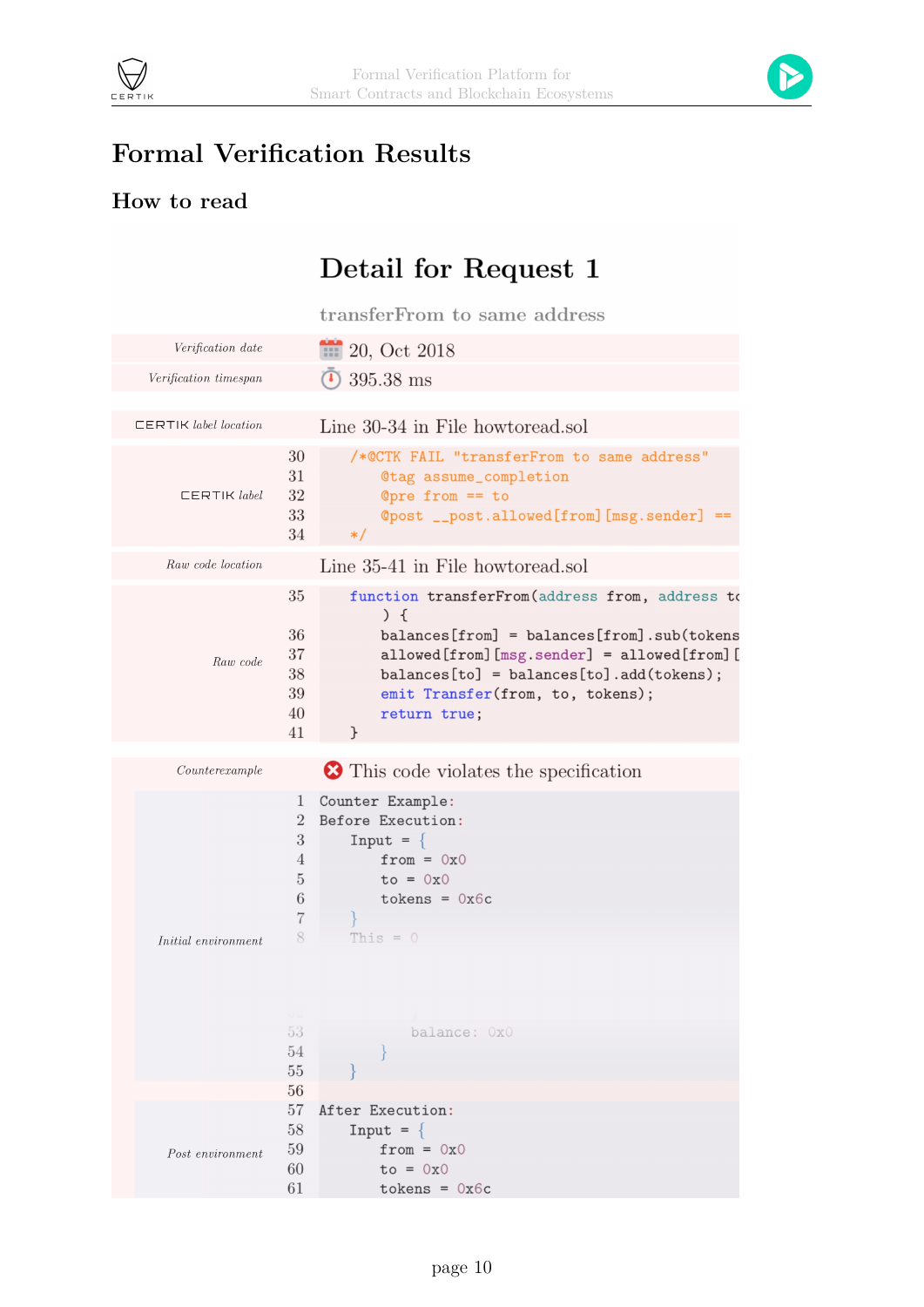



## **Formal Verification Results**

### **How to read**

# Detail for Request 1

transferFrom to same address

| Verification date                  |                                                                          | 20, Oct 2018                                                                                                                                             |
|------------------------------------|--------------------------------------------------------------------------|----------------------------------------------------------------------------------------------------------------------------------------------------------|
| <i>Verification timespan</i>       |                                                                          | 395.38 ms                                                                                                                                                |
|                                    |                                                                          |                                                                                                                                                          |
| $\Box$ ERTIK <i>label location</i> |                                                                          | Line 30-34 in File howtoread.sol                                                                                                                         |
| $\sqsubset$ ERTIK label            | 30<br>31<br>32<br>33<br>34                                               | /*@CTK FAIL "transferFrom to same address"<br><b>@tag</b> assume_completion<br>Opre from $==$ to<br>@post __post.allowed[from][msg.sender] ==<br>$\ast/$ |
| Raw code location                  |                                                                          | Line 35-41 in File howtoread.sol                                                                                                                         |
|                                    | 35<br>36                                                                 | function transferFrom(address from, address to<br>$) \f$<br>$balances[from] = balances[from].sub(tokens$                                                 |
| Raw code                           | 37<br>$38\,$<br>39<br>40<br>41                                           | allowed[from][msg.sender] = allowed[from][<br>$balances[to] = balances[to] . add(tokens);$<br>emit Transfer(from, to, tokens);<br>return true;<br>}      |
|                                    |                                                                          |                                                                                                                                                          |
| Counterexample                     |                                                                          | This code violates the specification                                                                                                                     |
| Initial environment                | 1<br>$\overline{2}$<br>3<br>4<br>$\bf 5$<br>$\,6$<br>$\overline{7}$<br>8 | Counter Example:<br>Before Execution:<br>$Input = \{$<br>$from = 0x0$<br>$to = 0x0$<br>$tokens = 0x6c$<br>This $= 0$                                     |
|                                    | 53<br>54<br>$55\,$                                                       | balance: OxO                                                                                                                                             |
|                                    | 56<br>57                                                                 | After Execution:                                                                                                                                         |
| Post environment                   | 58<br>59<br>60<br>61                                                     | $Input = \{$<br>$from = 0x0$<br>$to = 0x0$<br>tokens = $0x$ 6c                                                                                           |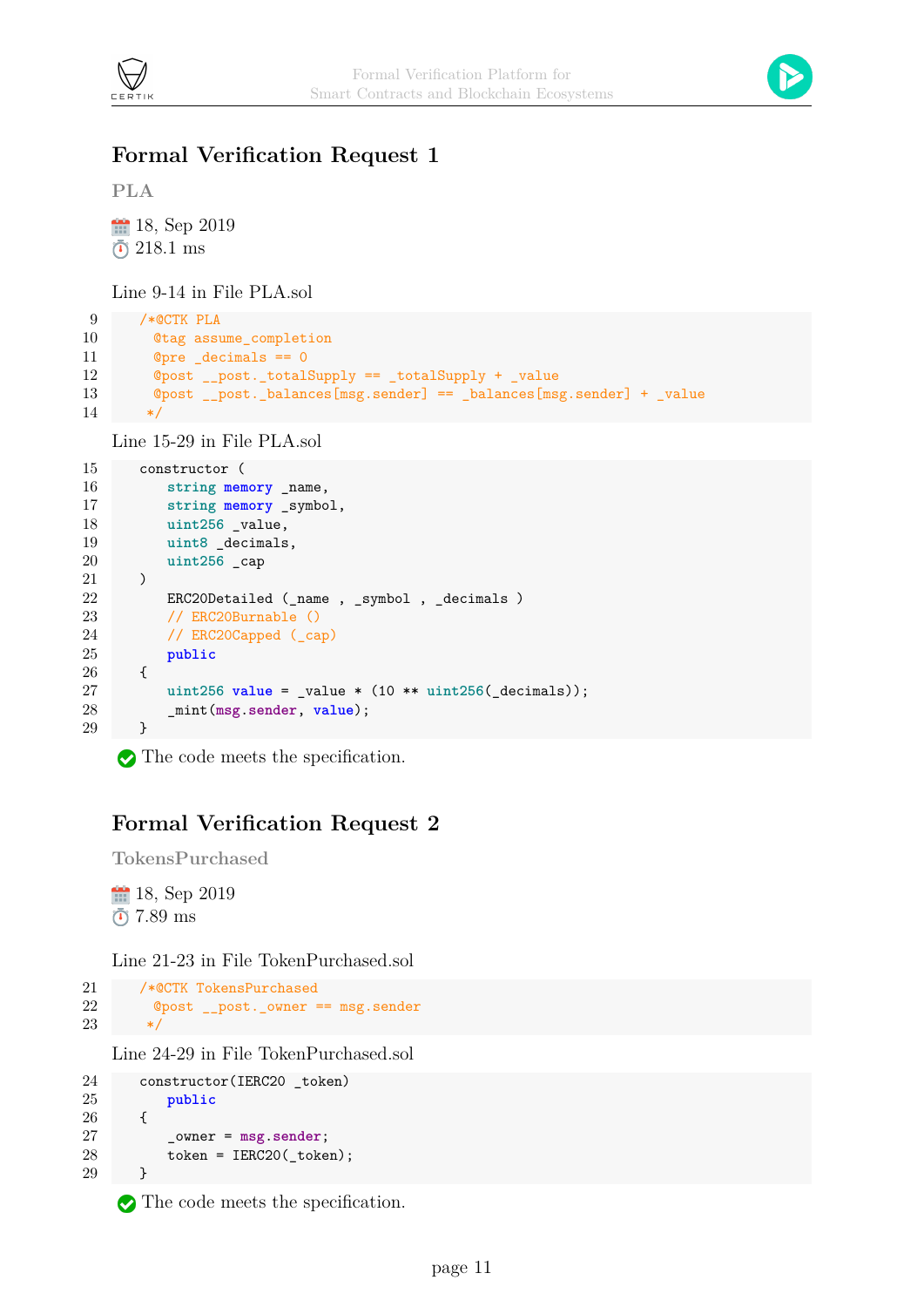



#### <span id="page-12-0"></span>**Formal Verification Request 1**

**PLA**

```
18, Sep 2019
218.1 ms
```
Line 9-14 in File PLA.sol

```
9 /*@CTK PLA
10 @tag assume_completion
11 @pre _decimals == 0
12 @post __post._totalSupply == _totalSupply + _value
13 @post __post._balances[msg.sender] == _balances[msg.sender] + _value
14 */
```
Line 15-29 in File PLA.sol

```
15 constructor (
16 string memory _name,
17 string memory _symbol,
18 uint256 _value,
19 uint8 _decimals,
20 uint256 _cap
21 )
22 ERC20Detailed (_name , _symbol , _decimals )
23 // ERC20Burnable ()
24 // ERC20Capped (_cap)
25 public
26 {
27 uint256 value = _value * (10 ** uint256(_decimals));
28 _mint(msg.sender, value);
29 }
```
The code meets the specification.

#### **Formal Verification Request 2**

**TokensPurchased**

18, Sep 2019  $\bar{0}$  7.89 ms

Line 21-23 in File TokenPurchased.sol

```
21 /*@CTK TokensPurchased
22 @post __post._owner == msg.sender
23 */
```
Line 24-29 in File TokenPurchased.sol

```
24 constructor(IERC20 _token)
25 public
26 {
27 _owner = msg.sender;
28 token = IERC20(_token);
29 }
```
The code meets the specification.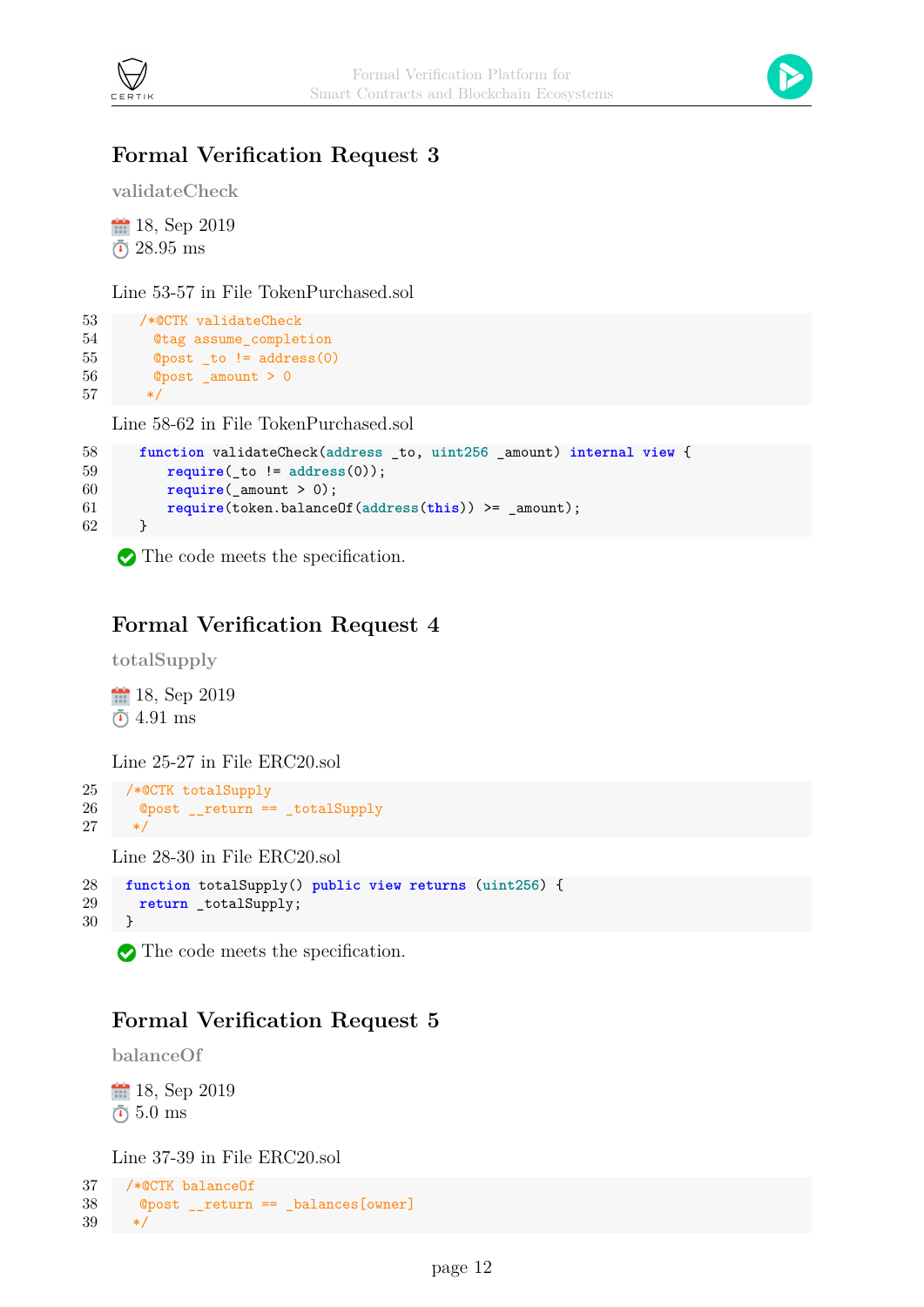



### **Formal Verification Request 3**

**validateCheck**

18, Sep 2019 28.95 ms

Line 53-57 in File TokenPurchased.sol

```
53 /*@CTK validateCheck
54 @tag assume_completion
55 @post _to != address(0)
56 @post _amount > 0
57 */
```
Line 58-62 in File TokenPurchased.sol

```
58 function validateCheck(address _to, uint256 _amount) internal view {
59 require(_to != address(0));
60 require(_amount > 0);
61 require(token.balanceOf(address(this)) >= _amount);
62 }
```
The code meets the specification.

### **Formal Verification Request 4**

**totalSupply**

18, Sep 2019 4.91 ms

Line 25-27 in File ERC20.sol

```
25 /*@CTK totalSupply
26 @post __return == _totalSupply
27 \times /
```
Line 28-30 in File ERC20.sol

```
28 function totalSupply() public view returns (uint256) {
29 return _totalSupply;
30 }
```
The code meets the specification.

#### **Formal Verification Request 5**

```
balanceOf
```
**18**, Sep 2019  $\bar{0}$  5.0 ms

Line 37-39 in File ERC20.sol

```
37 /*@CTK balanceOf
38 @post __return == _balances[owner]
39 */
```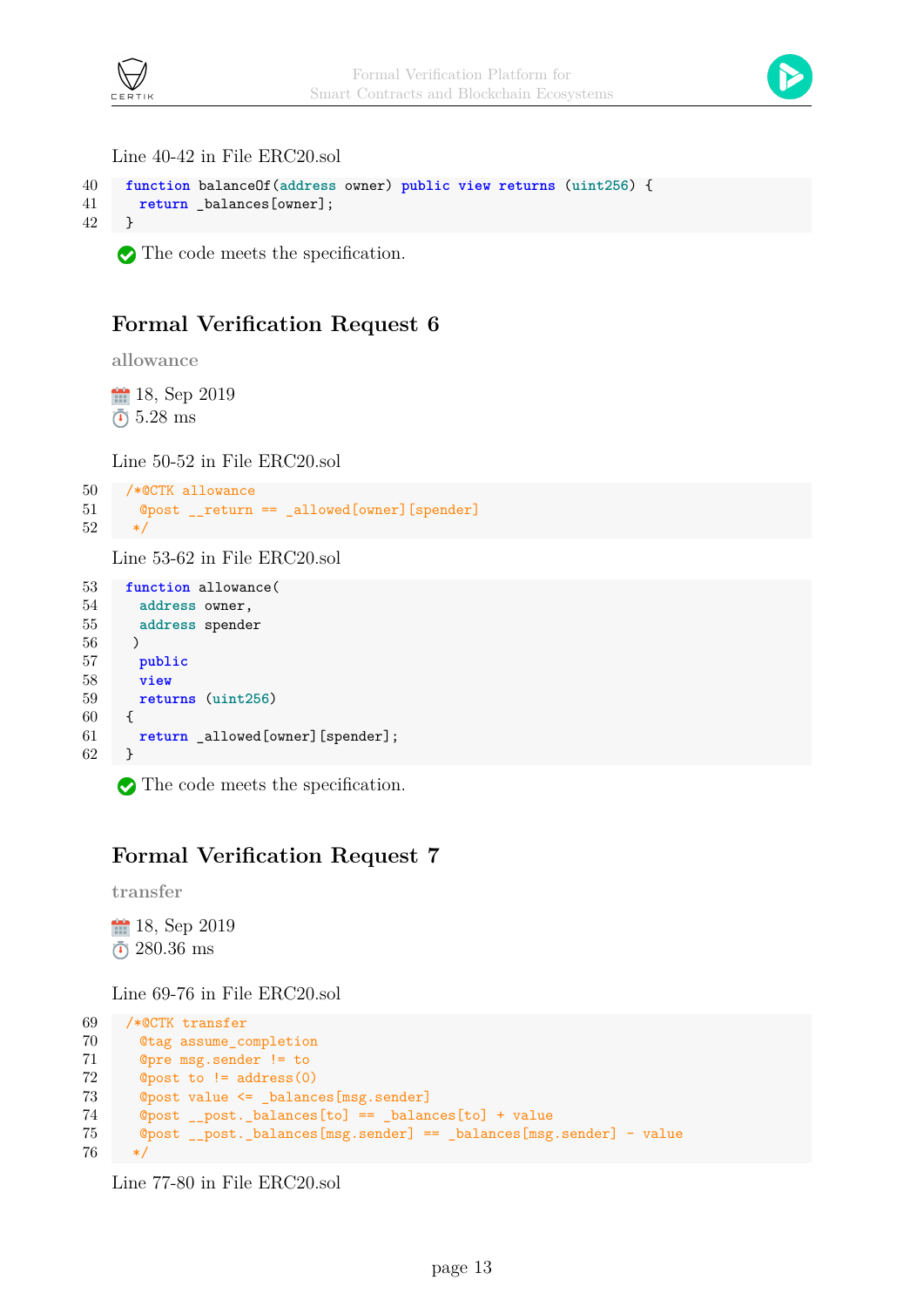



Line 40-42 in File ERC20.sol

```
40 function balanceOf(address owner) public view returns (uint256) {
41 return _balances[owner];
42 }
```
The code meets the specification.

#### **Formal Verification Request 6**

**allowance**

18, Sep 2019 5.28 ms

Line 50-52 in File ERC20.sol

```
50 /*@CTK allowance
51 @post __return == _allowed[owner][spender]
52 */
```
Line 53-62 in File ERC20.sol

```
53 function allowance(
54 address owner,
55 address spender
56 )
57 public
58 view
59 returns (uint256)
60 {
61 return _allowed[owner][spender];
62 }
```
The code meets the specification.

#### **Formal Verification Request 7**

**transfer**

18, Sep 2019 280.36 ms

Line 69-76 in File ERC20.sol

```
69 /*@CTK transfer
70 @tag assume_completion
71 @pre msg.sender != to
72 @post to != address(0)
73 ©post value <= balances[msg.sender]
74 @post __post._balances[to] == _balances[to] + value
75 @post __post._balances[msg.sender] == _balances[msg.sender] - value
76 */
```
Line 77-80 in File ERC20.sol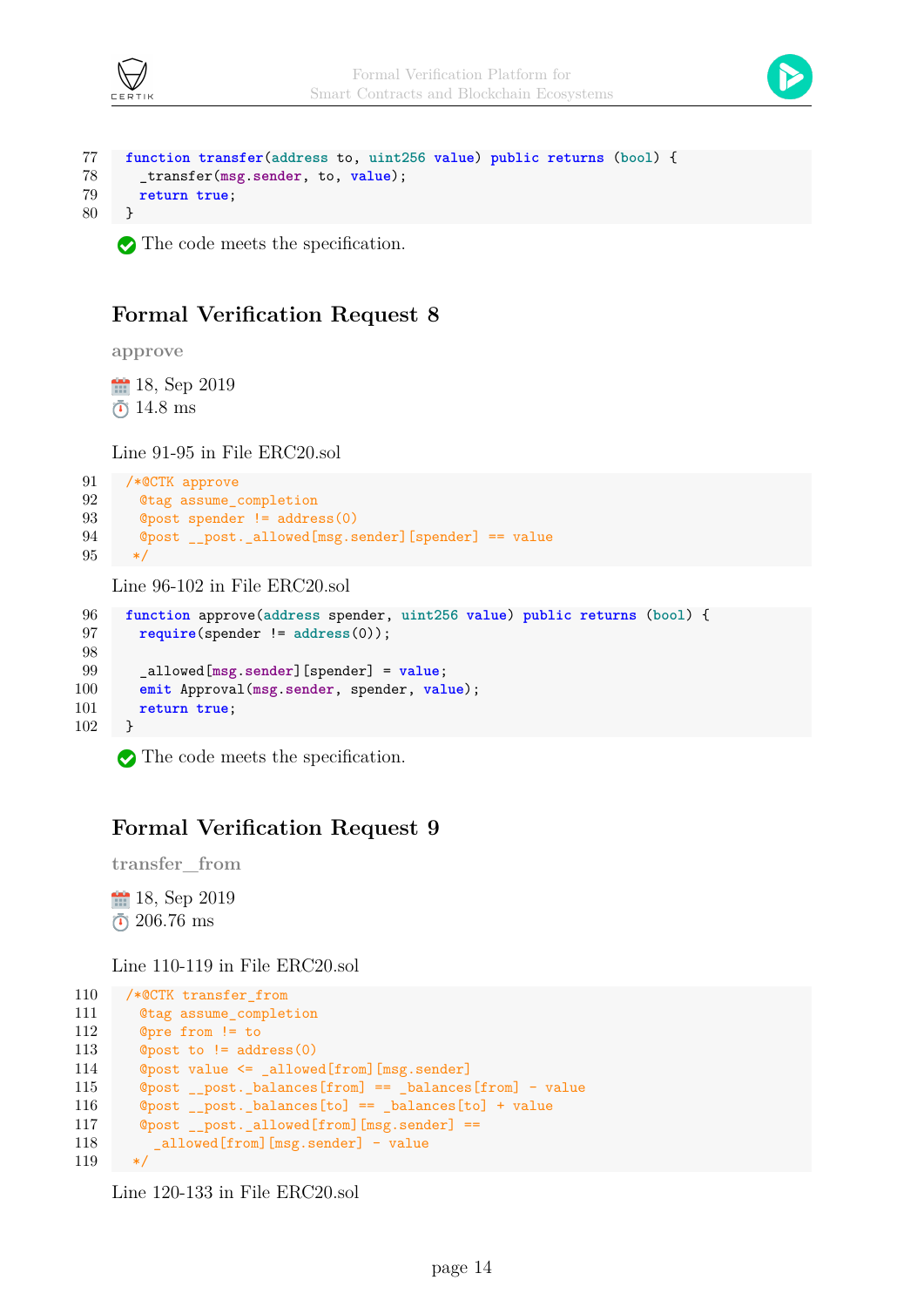



```
77 function transfer(address to, uint256 value) public returns (bool) {
78 _transfer(msg.sender, to, value);
79 return true;
80 }
```
The code meets the specification.

#### **Formal Verification Request 8**

**approve**

<sup>11</sup> 18, Sep 2019  $\bar{0}$  14.8 ms

Line 91-95 in File ERC20.sol

```
91 /*@CTK approve
92 @tag assume_completion
93 @post spender != address(0)
94 @post __post._allowed[msg.sender][spender] == value
95 */
```
Line 96-102 in File ERC20.sol

```
96 function approve(address spender, uint256 value) public returns (bool) {
97 require(spender != address(0));
98
99 _allowed[msg.sender][spender] = value;
100 emit Approval(msg.sender, spender, value);
101 return true;
102 }
```
The code meets the specification.

#### **Formal Verification Request 9**

**transfer\_from**

, Sep 2019 206.76 ms

Line 110-119 in File ERC20.sol

```
110 /*@CTK transfer_from
111 @tag assume_completion
112 @pre from != to
113 @post to != address(0)
114 @post value <= _allowed[from][msg.sender]
115 @post __post._balances[from] == _balances[from] - value
116 @post __post._balances[to] == _balances[to] + value
117 @post __post._allowed[from][msg.sender] ==
118 _allowed[from][msg.sender] - value
119
```

```
Line 120-133 in File ERC20.sol
```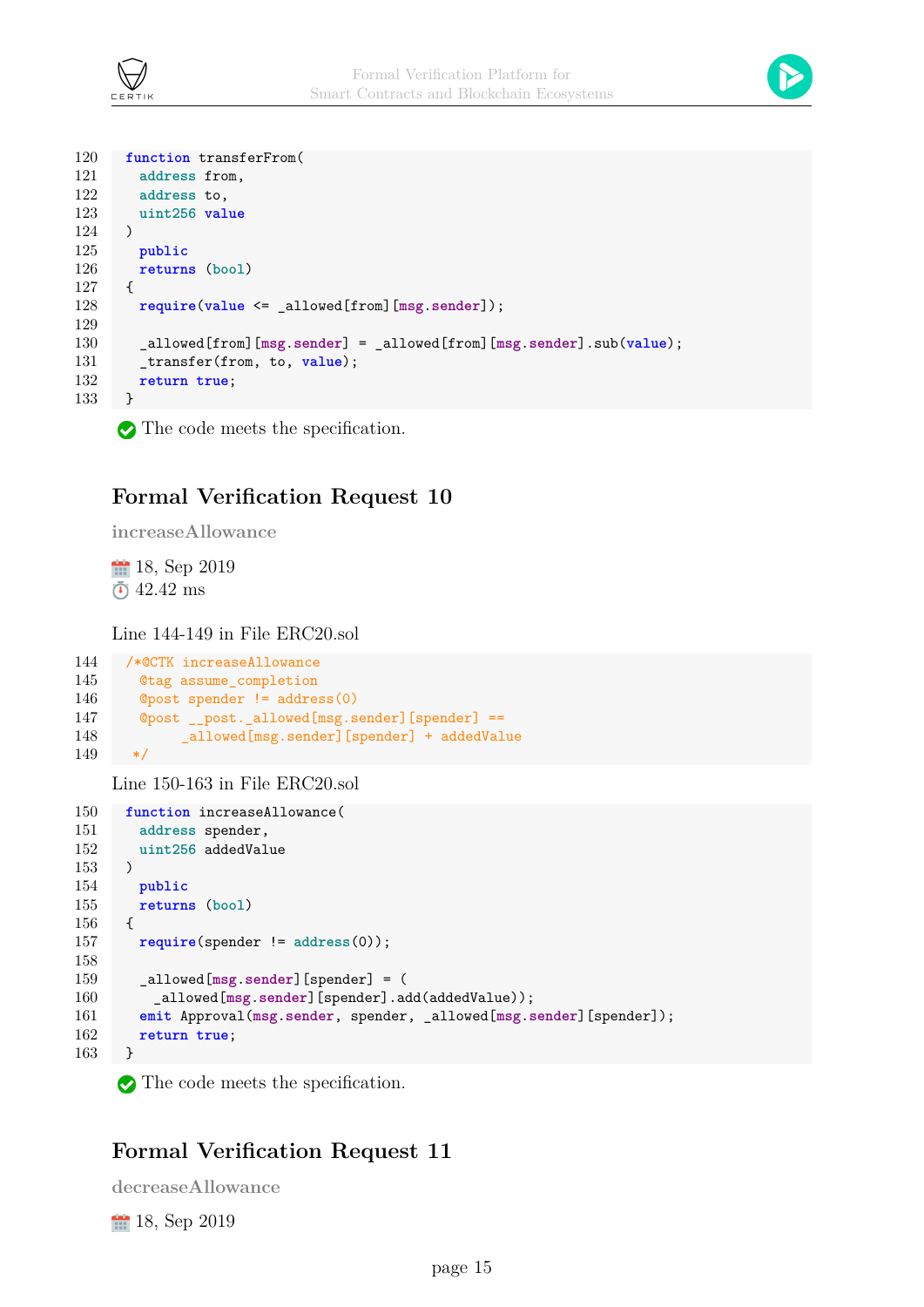



```
120 function transferFrom(
121 address from,
122 address to,
123 uint256 value
124 )
125 public
126 returns (bool)
127 {
128 require(value <= _allowed[from][msg.sender]);
129
130 _allowed[from][msg.sender] = _allowed[from][msg.sender].sub(value);
131 transfer(from, to, value);
132 return true;
133 }
```
The code meets the specification.

#### **Formal Verification Request 10**

**increaseAllowance**

18, Sep 2019  $\bar{0}$  42.42 ms

Line 144-149 in File ERC20.sol

```
144 /*@CTK increaseAllowance
145 @tag assume_completion
146 @post spender != address(0)
147 @post __post._allowed[msg.sender][spender] ==
148 _allowed[msg.sender][spender] + addedValue
149 */
```
Line 150-163 in File ERC20.sol

```
150 function increaseAllowance(
151 address spender,
152 uint256 addedValue
153 )
154 public
155 returns (bool)
156 {
157 require(spender != address(0));
158
159 _allowed[msg.sender][spender] = (
160 _allowed[msg.sender][spender].add(addedValue));
161 emit Approval(msg.sender, spender, _allowed[msg.sender][spender]);
162 return true;
163 }
```
The code meets the specification.

#### **Formal Verification Request 11**

**decreaseAllowance**

, Sep 2019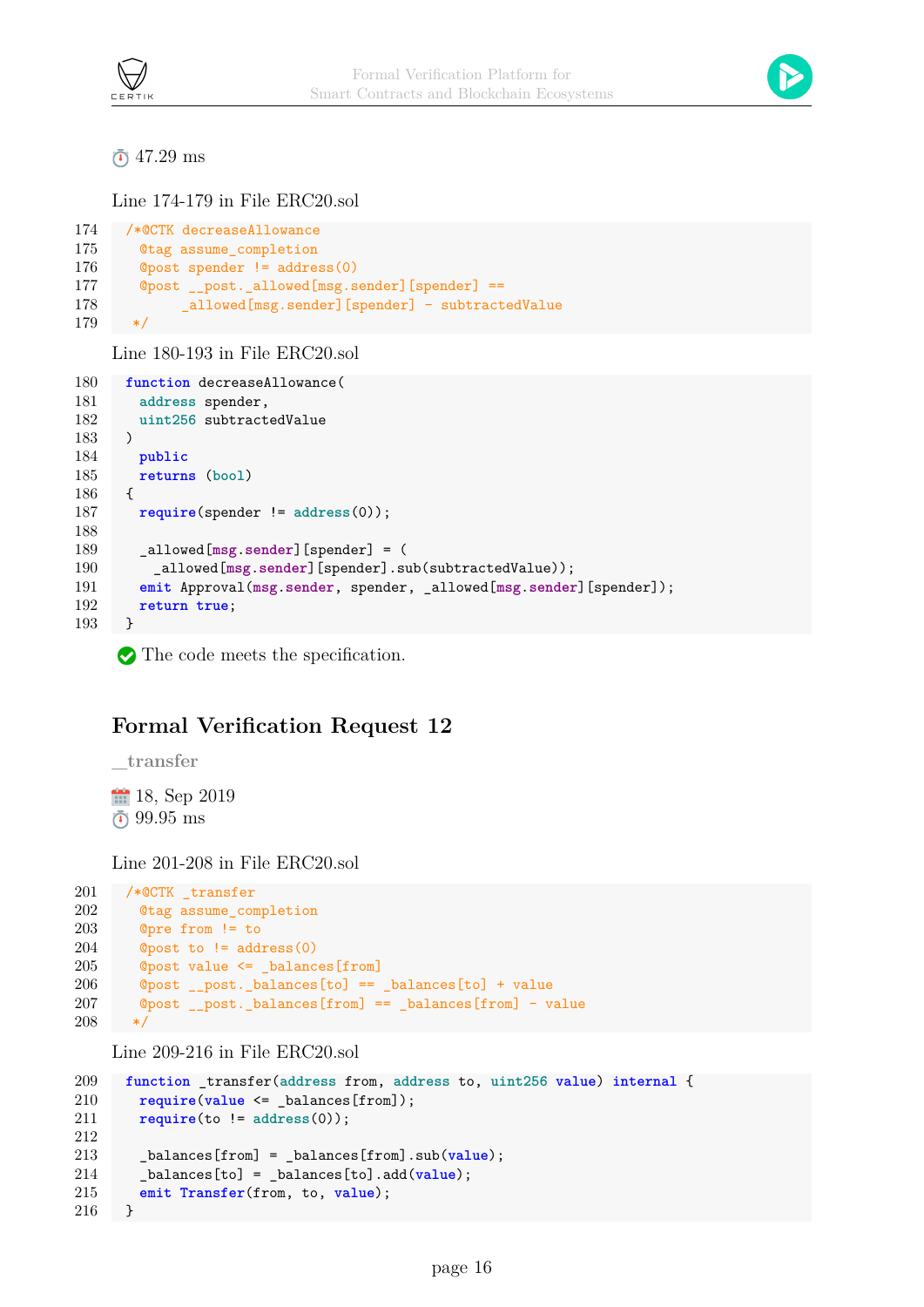

47.29 ms

Line 174-179 in File ERC20.sol

```
174 /*@CTK decreaseAllowance
175 @tag assume_completion
176 @post spender != address(0)
177 @post __post._allowed[msg.sender] [spender] ==
178 allowed [msg.sender] [spender] - subtractedValue
179
```
Line 180-193 in File ERC20.sol

```
180 function decreaseAllowance(
181 address spender,
182 uint256 subtractedValue
183 )
184 public
185 returns (bool)
186 {
187 require(spender != address(0));
188
189 _allowed[msg.sender][spender] = (
190 _allowed[msg.sender][spender].sub(subtractedValue));
191 emit Approval(msg.sender, spender, _allowed[msg.sender][spender]);
192 return true;
193 }
```
The code meets the specification.

### **Formal Verification Request 12**

**\_transfer**

18, Sep 2019 99.95 ms

Line 201-208 in File ERC20.sol

```
201 /*@CTK _transfer
202 @tag assume_completion
203 @pre from != to
204 @post to != address(0)205 @post value \leq balances [from]
206 @post __post._balances[to] == _balances[to] + value
207 @post __post._balances[from] == _balances[from] - value
208 */
```
Line 209-216 in File ERC20.sol

```
209 function _transfer(address from, address to, uint256 value) internal {
210 require(value <= _balances[from]);
211 require(to != address(0));
212
213 _balances[from] = _balances[from].sub(value);
214 _balances[to] = _balances[to].add(value);
215 emit Transfer(from, to, value);
216 }
```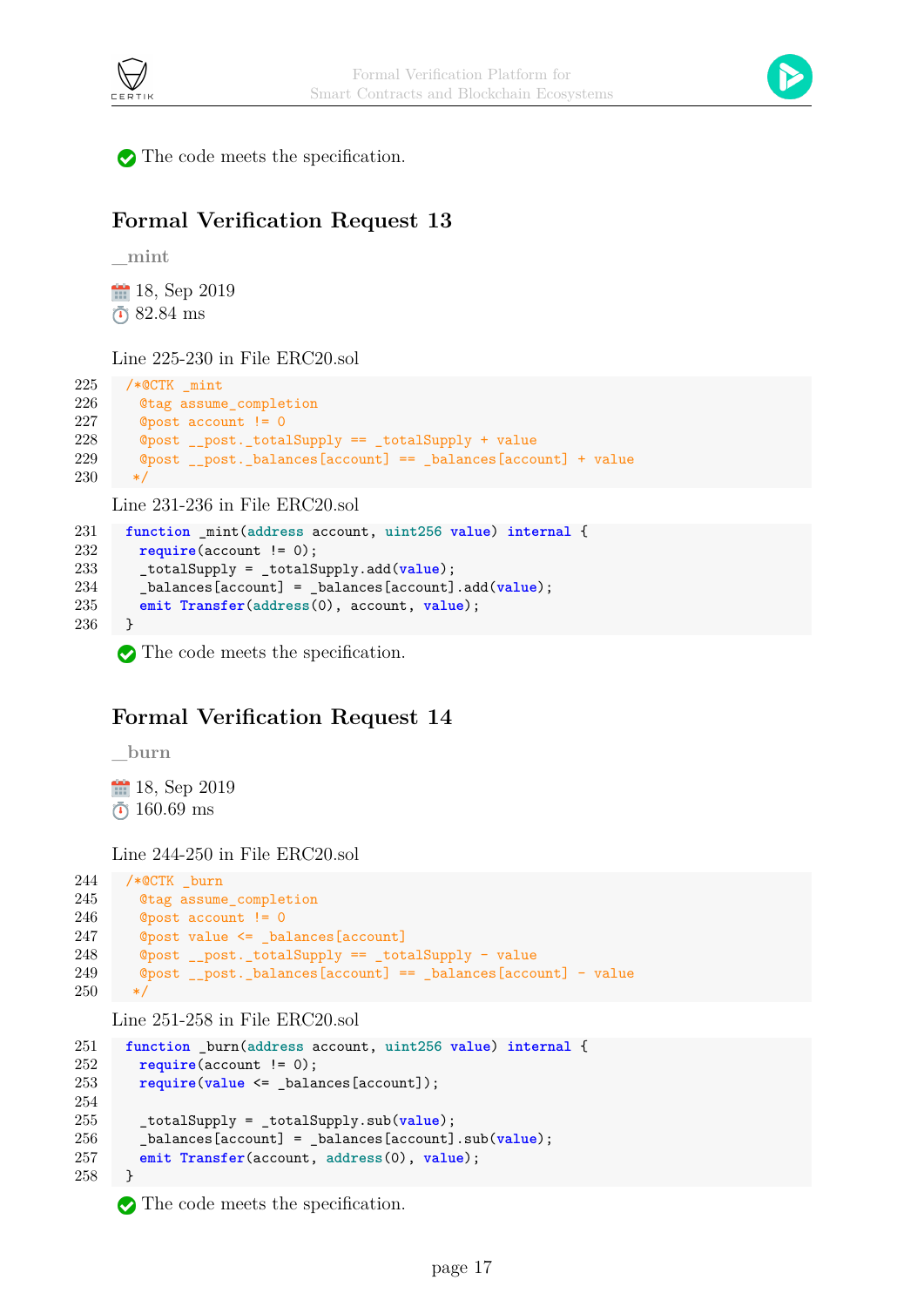



The code meets the specification.

#### **Formal Verification Request 13**

```
_mint
```
, Sep 2019 82.84 ms

Line 225-230 in File ERC20.sol

```
225 /*@CTK _mint
226 @tag assume_completion
227 @post account != 0
228 @post __post._totalSupply == _totalSupply + value
229 @post __post._balances[account] == _balances[account] + value
230 */
```
Line 231-236 in File ERC20.sol

```
231 function _mint(address account, uint256 value) internal {
232 require(account != 0);
233 _totalSupply = _totalSupply.add(value);
234 _balances[account] = _balances[account].add(value);
235 emit Transfer(address(0), account, value);
236 }
```
The code meets the specification.

#### **Formal Verification Request 14**

**\_burn**

, Sep 2019  $\bar{0}$  160.69 ms

Line 244-250 in File ERC20.sol

```
244 /*@CTK _burn
245 @tag assume_completion
246 @post account != 0
247 @post value <= _balances[account]
248 @post __post._totalSupply == _totalSupply - value
249 @post __post._balances[account] == _balances[account] - value
250 */
```
Line 251-258 in File ERC20.sol

```
251 function _burn(address account, uint256 value) internal {
       require(account != 0);
253 require(value <= _balances[account]);
254
255 _totalSupply = _totalSupply.sub(value);
256 _balances[account] = _balances[account].sub(value);
257 emit Transfer(account, address(0), value);
258 }
```
 $\bullet$  The code meets the specification.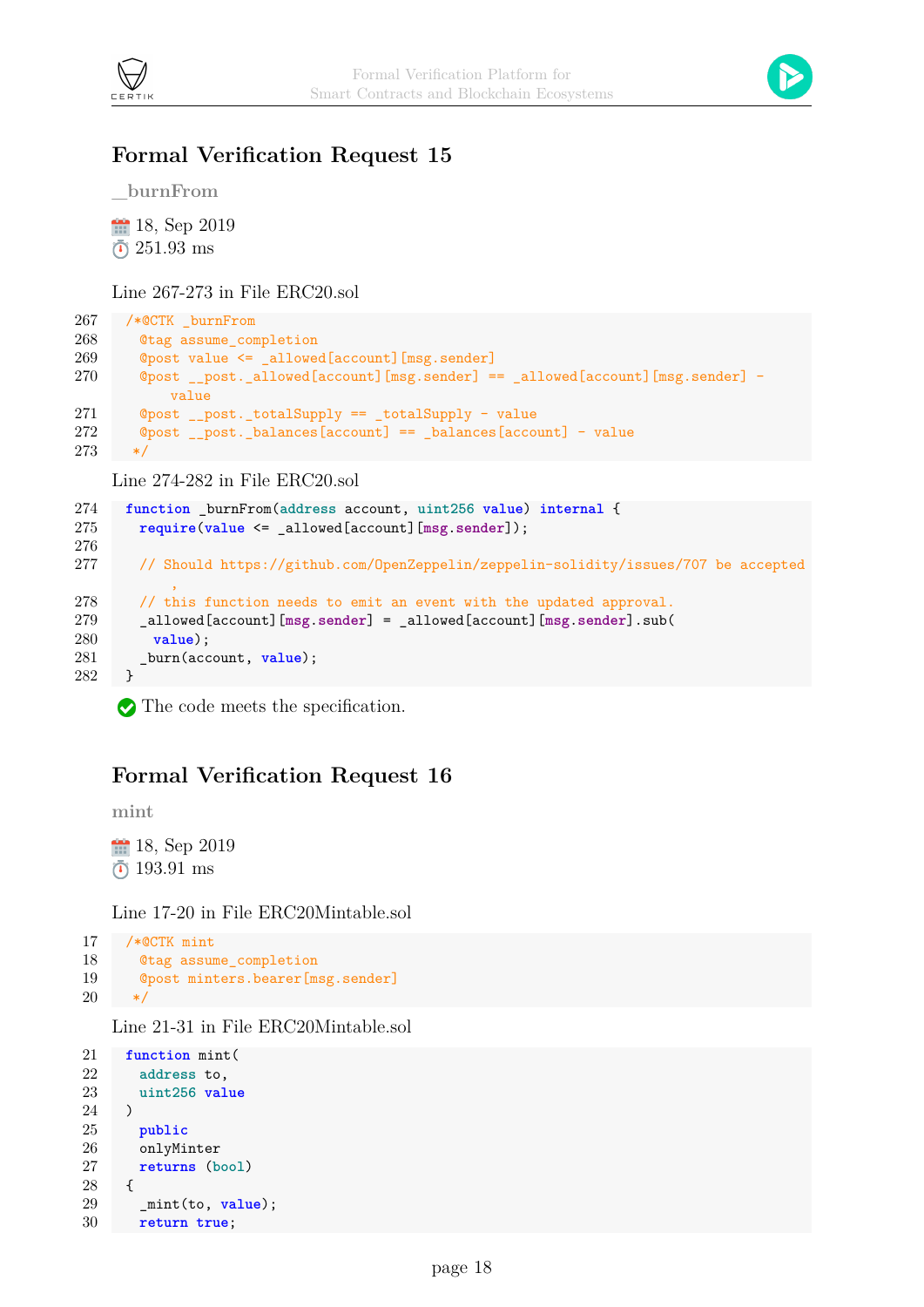



#### **Formal Verification Request 15**

**\_burnFrom**

, Sep 2019  $\bar{c}$  251.93 ms

Line 267-273 in File ERC20.sol

```
267 /*@CTK _burnFrom
268 @tag assume_completion
269 @post value <= _allowed[account][msg.sender]
270 @post __post._allowed[account][msg.sender] == _allowed[account][msg.sender] -
          value
271 @post __post._totalSupply == _totalSupply - value
272 @post __post._balances[account] == _balances[account] - value
273 */
```
Line 274-282 in File ERC20.sol

```
274 function _burnFrom(address account, uint256 value) internal {
275 require(value <= _allowed[account][msg.sender]);
276
277 // Should https://github.com/OpenZeppelin/zeppelin-solidity/issues/707 be accepted
           ,
278 // this function needs to emit an event with the updated approval.
279 _allowed[account][msg.sender] = _allowed[account][msg.sender].sub(
280 value);
281 burn(account, value);
282 }
```
The code meets the specification.

#### **Formal Verification Request 16**

**mint**

18, Sep 2019 193.91 ms

Line 17-20 in File ERC20Mintable.sol

```
17 /*@CTK mint
18 @tag assume_completion
19 @post minters.bearer[msg.sender]
20 \times
```
Line 21-31 in File ERC20Mintable.sol

```
21 function mint(
22 address to,
23 uint256 value
24 )
25 public
26 onlyMinter
27 returns (bool)
28 {
29 _mint(to, value);
30 return true;
```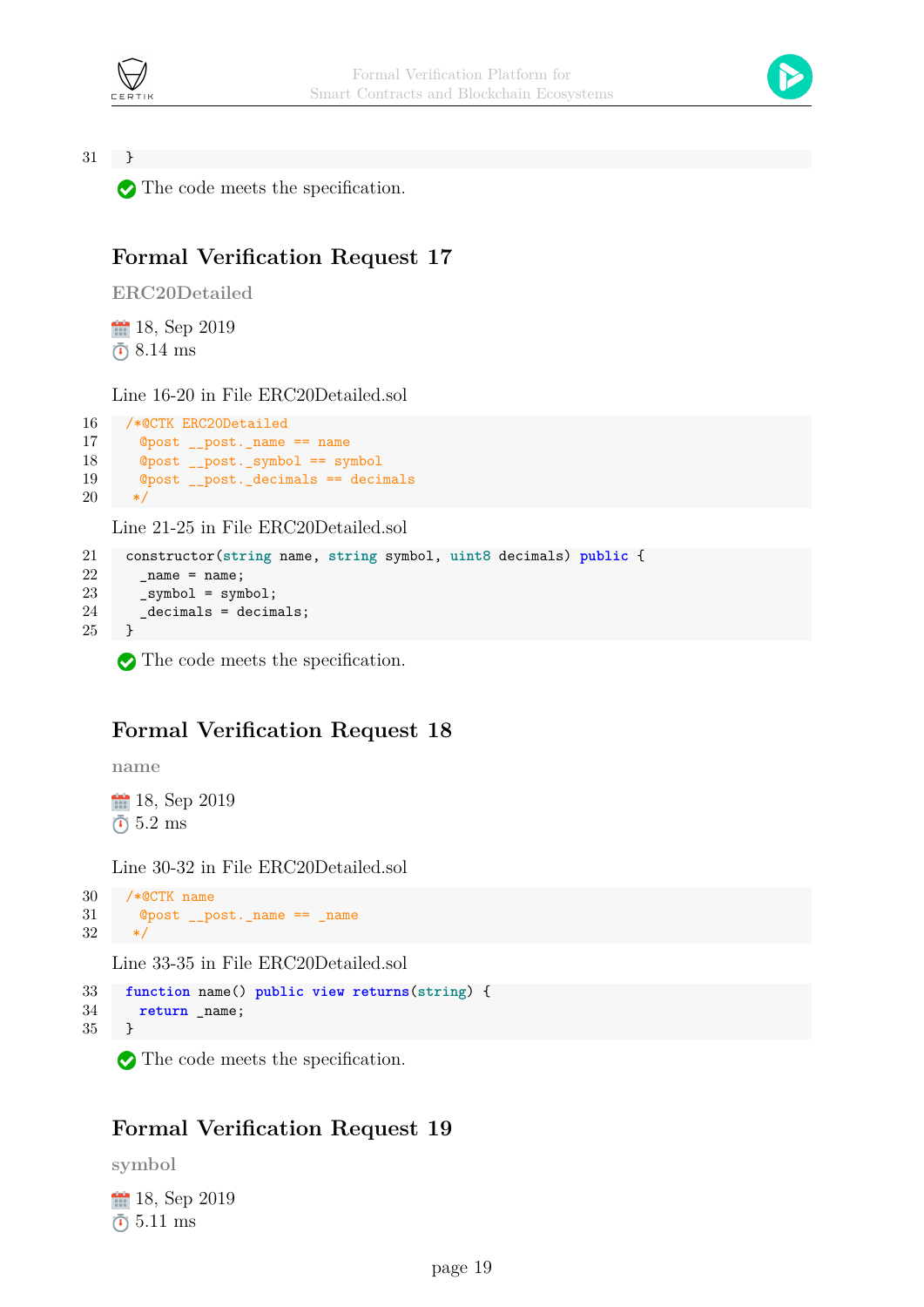



31 }

The code meets the specification.

#### **Formal Verification Request 17**

**ERC20Detailed**

**18**, Sep 2019  $\bar{0}8.14$  ms

Line 16-20 in File ERC20Detailed.sol

```
16 /*@CTK ERC20Detailed
17 @post __post._name == name
18 @post __post._symbol == symbol
19 @post __post._decimals == decimals
20 */
```
Line 21-25 in File ERC20Detailed.sol

```
21 constructor(string name, string symbol, uint8 decimals) public {
22 _name = name;
23 _symbol = symbol;
24 _decimals = decimals;
25 }
```
The code meets the specification.

#### **Formal Verification Request 18**

**name**

**18**, Sep 2019  $\bar{0}$  5.2 ms

Line 30-32 in File ERC20Detailed.sol

```
30 /*@CTK name
31 @post __post._name == _name
32 */
```
Line 33-35 in File ERC20Detailed.sol

```
33 function name() public view returns(string) {
34 return _name;
35 }
```
The code meets the specification.

#### **Formal Verification Request 19**

**symbol**

18, Sep 2019  $\bar{0}$  5.11 ms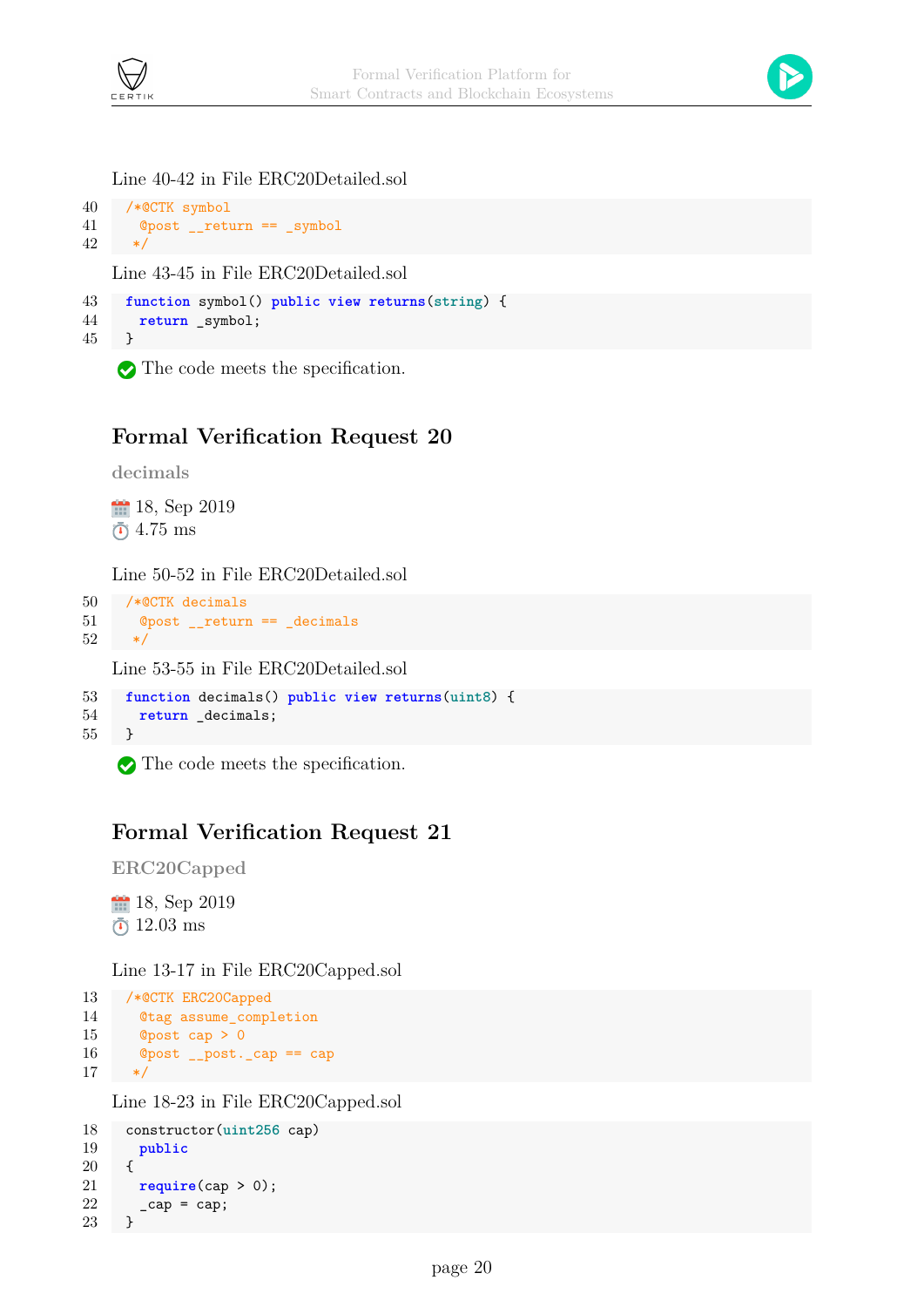



#### Line 40-42 in File ERC20Detailed.sol

```
40 /*@CTK symbol
41 @post __return == _symbol
42 */
```
Line 43-45 in File ERC20Detailed.sol

```
43 function symbol() public view returns(string) {
44 return _symbol;
45 }
```
The code meets the specification.

#### **Formal Verification Request 20**

**decimals**

18, Sep 2019  $\bar{0}$  4.75 ms

Line 50-52 in File ERC20Detailed.sol

```
50 /*@CTK decimals
51 @post __return == _decimals
52 */
```
Line 53-55 in File ERC20Detailed.sol

```
53 function decimals() public view returns(uint8) {
54 return _decimals;
55 }
```
The code meets the specification.

#### **Formal Verification Request 21**

**ERC20Capped**

**18**, Sep 2019  $\bar{0}$  12.03 ms

Line 13-17 in File ERC20Capped.sol

```
13 /*@CTK ERC20Capped
14 @tag assume_completion
15 @post cap > 0
16 @post __post._cap == cap
17 \times /
```
Line 18-23 in File ERC20Capped.sol

```
18 constructor(uint256 cap)
19 public
20 {
21 require(cap > 0);
22 \qquad \qquad \text{cap} = \text{cap};23 }
```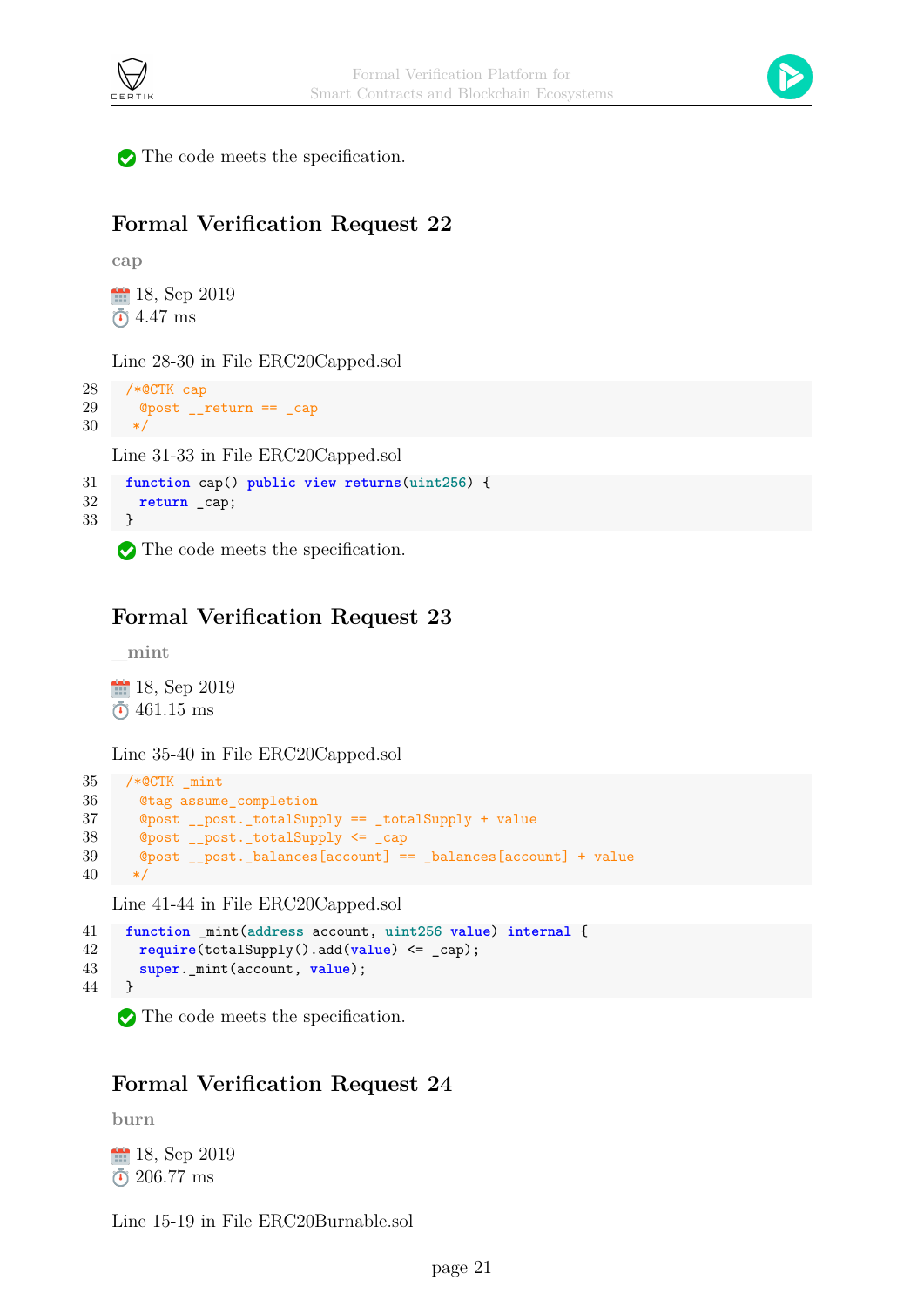



The code meets the specification.

#### **Formal Verification Request 22**

**cap**

**18**, Sep 2019  $\bar{0}$  4.47 ms

Line 28-30 in File ERC20Capped.sol

```
28 /*@CTK cap
29 @post __return == _cap
30 */
```
Line 31-33 in File ERC20Capped.sol

```
31 function cap() public view returns(uint256) {
32 return _cap;
33 }
```
The code meets the specification.

### **Formal Verification Request 23**

**\_mint**

18, Sep 2019  $\bar{O}$  461.15 ms

Line 35-40 in File ERC20Capped.sol

```
35 /*@CTK _mint
36 @tag assume_completion
37 @post __post._totalSupply == _totalSupply + value
38 @post __post._totalSupply <= _cap
39 @post __post._balances[account] == _balances[account] + value
40 */
```
Line 41-44 in File ERC20Capped.sol

```
41 function _mint(address account, uint256 value) internal {
42 require(totalSupply().add(value) <= _cap);
43 super._mint(account, value);
44 }
```
The code meets the specification.

#### **Formal Verification Request 24**

**burn**

18, Sep 2019 206.77 ms

Line 15-19 in File ERC20Burnable.sol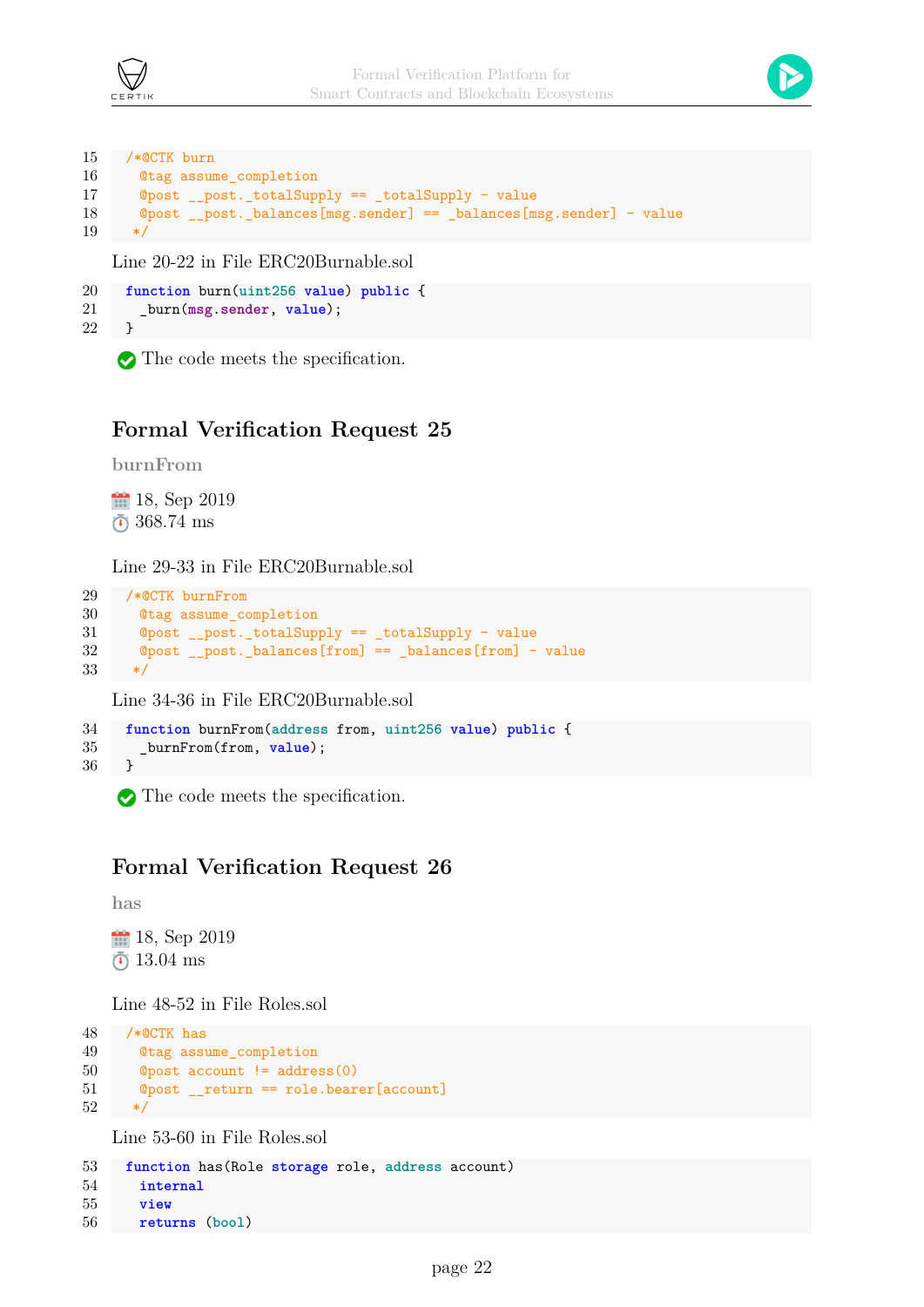



```
15 /*@CTK burn
16 @tag assume_completion
17 @post __post._totalSupply == _totalSupply - value
18 \bullet @post post. balances[msg.sender] == balances[msg.sender] - value
19 */
```
Line 20-22 in File ERC20Burnable.sol

```
20 function burn(uint256 value) public {
21 _burn(msg.sender, value);
22 }
```
The code meets the specification.

#### **Formal Verification Request 25**

**burnFrom**

18, Sep 2019 368.74 ms

Line 29-33 in File ERC20Burnable.sol

```
29 /*@CTK burnFrom
30 @tag assume_completion
31 @post __post._totalSupply == _totalSupply - value
32 @post __post._balances[from] == _balances[from] - value
33 */
```
Line 34-36 in File ERC20Burnable.sol

```
34 function burnFrom(address from, uint256 value) public {
35 _burnFrom(from, value);
36 }
```
The code meets the specification.

#### **Formal Verification Request 26**

**has**

18, Sep 2019  $\bar{0}$  13.04 ms

Line 48-52 in File Roles.sol

```
48 /*@CTK has
49 @tag assume_completion
50 @post account != address(0)
51 @post __return == role.bearer[account]
52 */
```
Line 53-60 in File Roles.sol

```
53 function has(Role storage role, address account)
54 internal
55 view
56 returns (bool)
```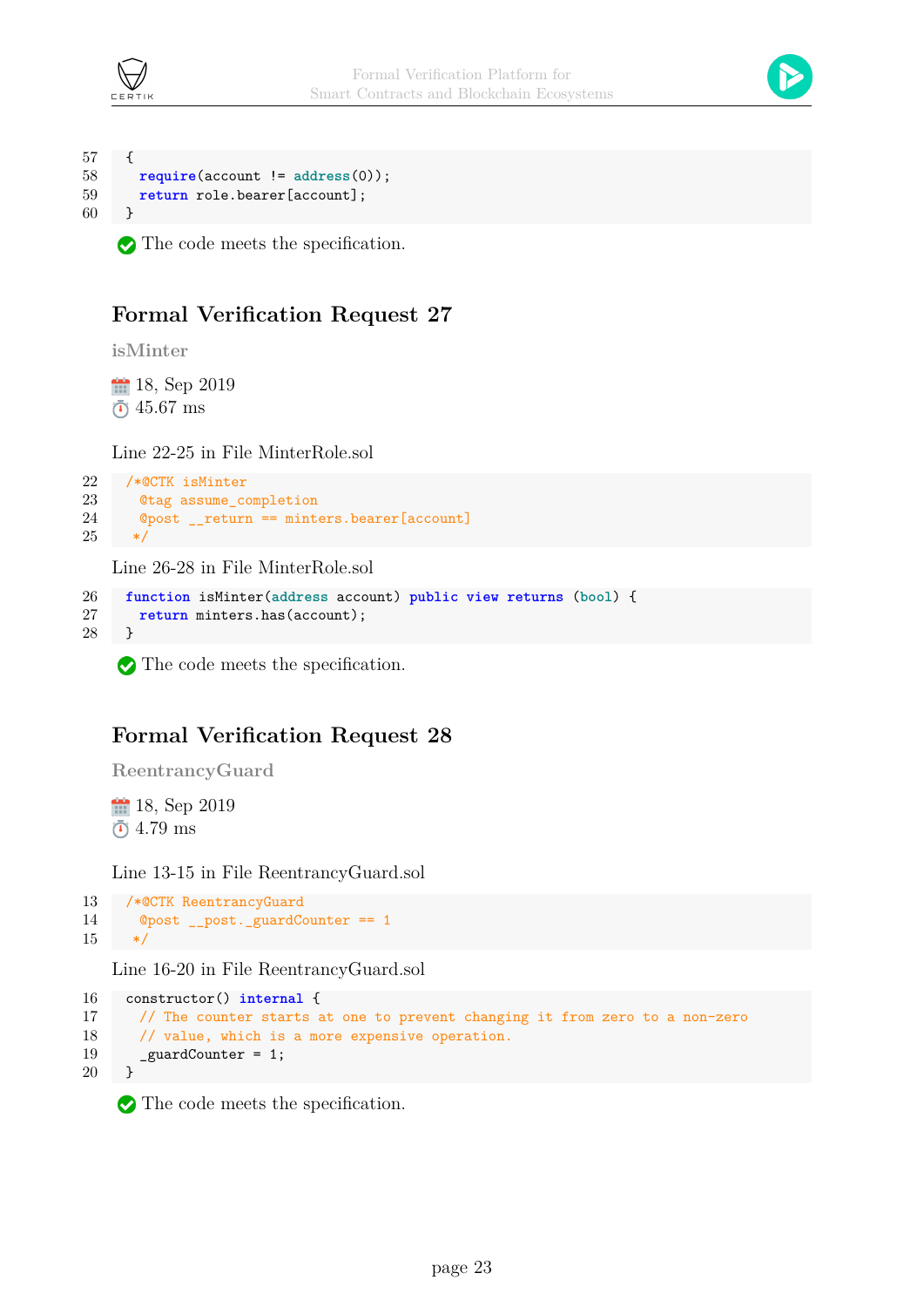



```
57 {
58 require(account != address(0));
59 return role.bearer[account];
60 }
```
The code meets the specification.

### **Formal Verification Request 27**

**isMinter**

18, Sep 2019  $\bar{0}$  45.67 ms

Line 22-25 in File MinterRole.sol

```
22 /*@CTK isMinter
23 @tag assume_completion
24 @post __return == minters.bearer[account]
25 \times /
```
Line 26-28 in File MinterRole.sol

```
26 function isMinter(address account) public view returns (bool) {
27 return minters.has(account);
28 }
```
The code meets the specification.

### **Formal Verification Request 28**

**ReentrancyGuard**

18, Sep 2019  $\bar{0}$  4.79 ms

Line 13-15 in File ReentrancyGuard.sol

```
13 /*@CTK ReentrancyGuard
14 @post __post._guardCounter == 1
15 */
```
Line 16-20 in File ReentrancyGuard.sol

```
16 constructor() internal {
17 // The counter starts at one to prevent changing it from zero to a non-zero
18 // value, which is a more expensive operation.
19 _guardCounter = 1;
20 }
```
The code meets the specification.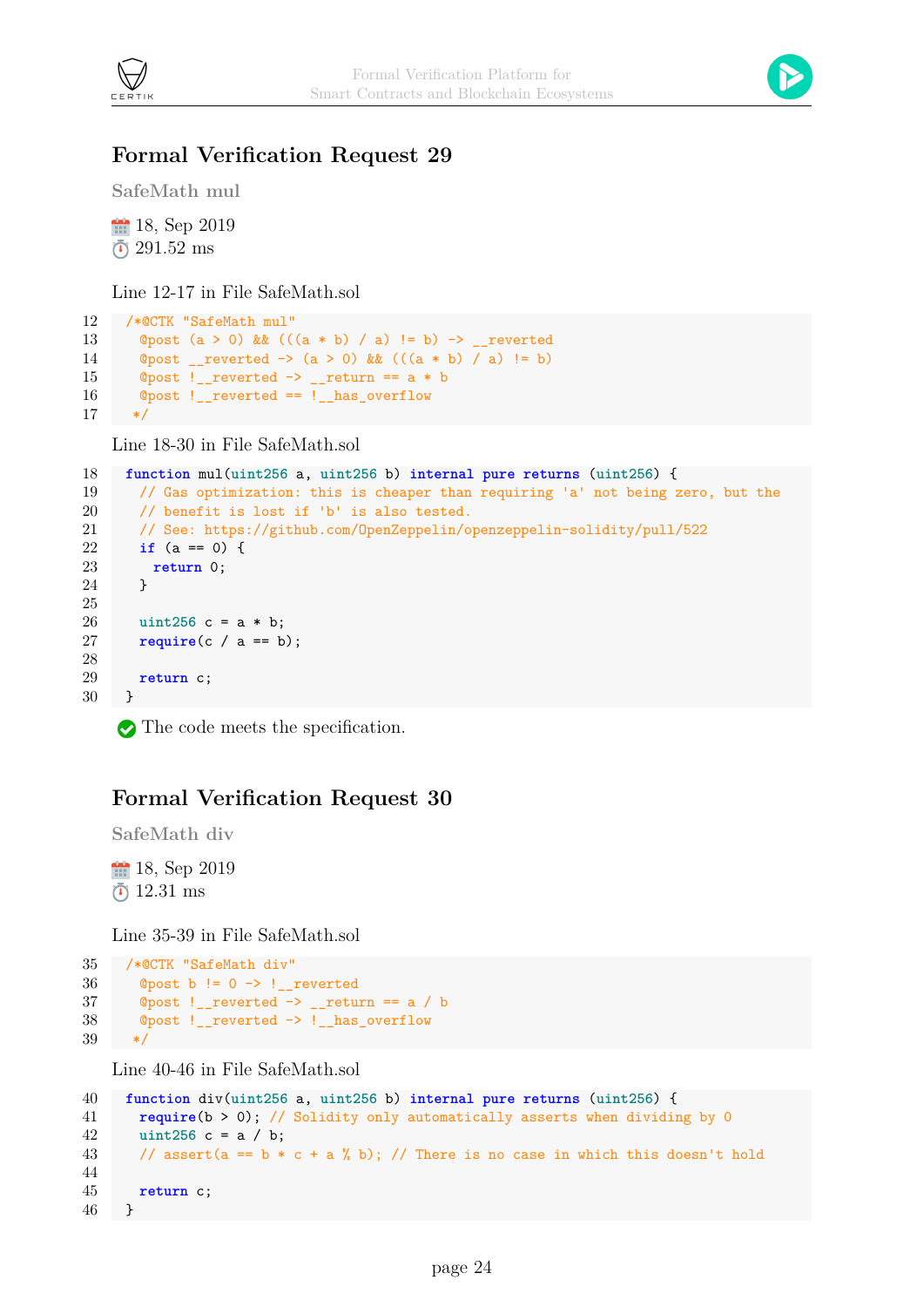

#### **Formal Verification Request 29**

**SafeMath mul**

18, Sep 2019  $\bar{c}$  291.52 ms

Line 12-17 in File SafeMath.sol

```
12 /*@CTK "SafeMath mul"
13 @post (a > 0) & (((a * b) / a) != b) \rightarrow _reverted
14 @post __reverted -> (a > 0) && (((a * b) / a) != b)
15 \degree Opost !__reverted -> __return == a * b
16 @post !__reverted == !__has_overflow
17 */
```
Line 18-30 in File SafeMath.sol

```
18 function mul(uint256 a, uint256 b) internal pure returns (uint256) {
19 // Gas optimization: this is cheaper than requiring 'a' not being zero, but the
20 // benefit is lost if 'b' is also tested.
21 // See: https://github.com/OpenZeppelin/openzeppelin-solidity/pull/522
22 if (a == 0) {
23 return 0;
24 }
25
26 uint256 c = a * b;
27 require(c / a == b);
28
29 return c;
30 }
```
The code meets the specification.

#### **Formal Verification Request 30**

**SafeMath div**

18, Sep 2019  $\bar{0}$  12.31 ms

Line 35-39 in File SafeMath.sol

```
35 /*@CTK "SafeMath div"
36 @post b != 0 -> !__reverted
37 @post !__reverted \rightarrow __return == a / b
38 @post !__reverted -> !__has_overflow
39 */
```
Line 40-46 in File SafeMath.sol

```
40 function div(uint256 a, uint256 b) internal pure returns (uint256) {
41 require(b > 0); // Solidity only automatically asserts when dividing by 0
42 uint256 c = a / b;
43 // assert(a == b * c + a * b); // There is no case in which this doesn't hold
44
45 return c;
46 }
```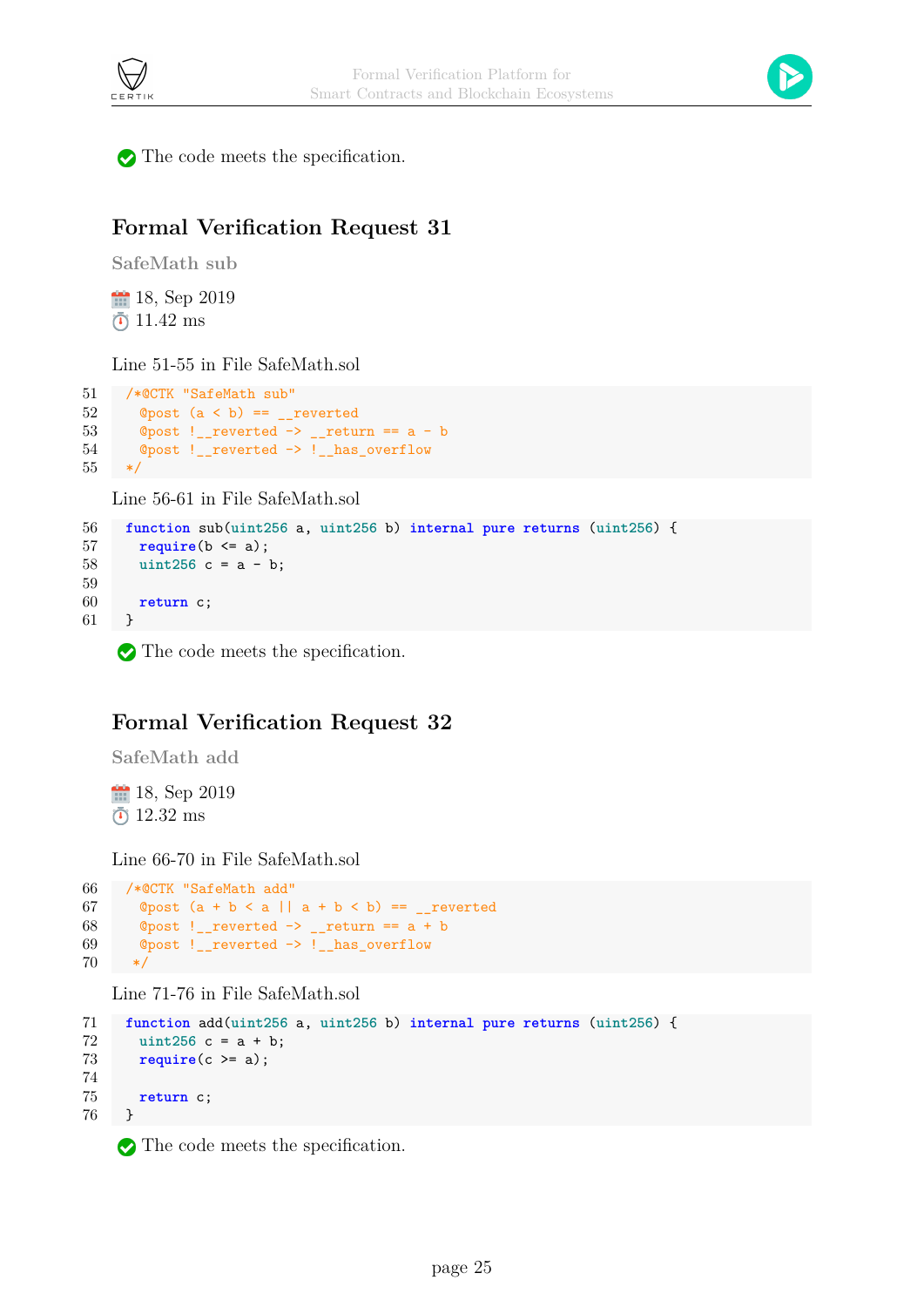



The code meets the specification.

### **Formal Verification Request 31**

**SafeMath sub**

18, Sep 2019  $\bar{0}$  11.42 ms

Line 51-55 in File SafeMath.sol

```
51 /*@CTK "SafeMath sub"
52 @post (a < b) == _reverted
53 \textcirc{Qpost} ! __ reverted -> __ return == a - b
54 @post !__reverted -> !__has_overflow
55 */
```
Line 56-61 in File SafeMath.sol

```
56 function sub(uint256 a, uint256 b) internal pure returns (uint256) {
57 require(b <= a);
58 uint256 c = a - b;
59
60 return c;
61 }
```
The code meets the specification.

#### **Formal Verification Request 32**

**SafeMath add**

18, Sep 2019  $\bar{0}$  12.32 ms

Line 66-70 in File SafeMath.sol

```
66 /*@CTK "SafeMath add"
67 @post (a + b < a || a + b < b) == _reverted
68 @post !__reverted \rightarrow __return == a + b
69 @post !__reverted -> !__has_overflow
70 */
```
Line 71-76 in File SafeMath.sol

```
71 function add(uint256 a, uint256 b) internal pure returns (uint256) {
72 uint256 c = a + b;
73 require(c >= a);
74
75 return c;
76 }
```
The code meets the specification.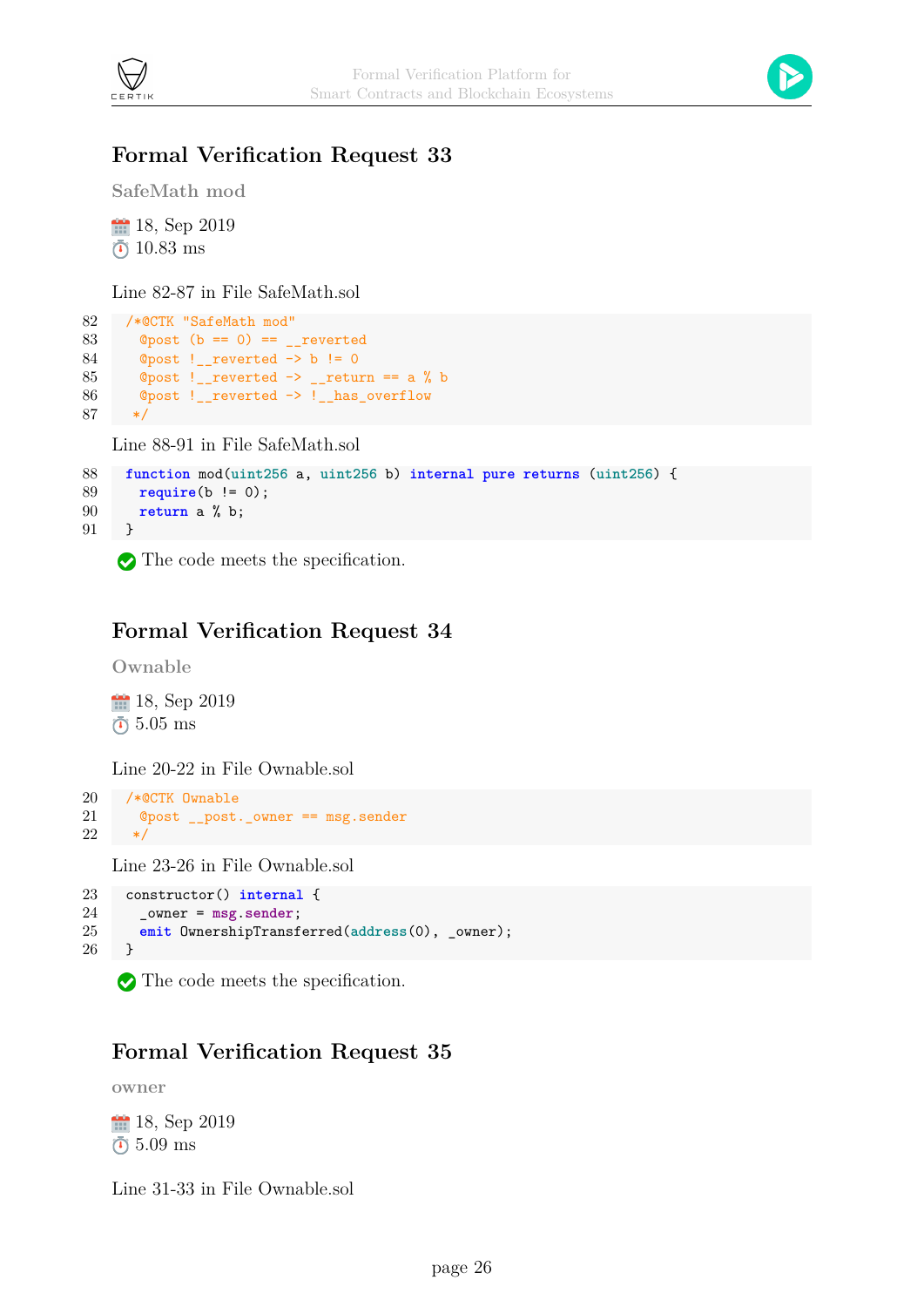



### **Formal Verification Request 33**

**SafeMath mod**

18, Sep 2019  $\bar{0}$  10.83 ms

Line 82-87 in File SafeMath.sol

```
82 /*@CTK "SafeMath mod"
83 \textcirc{Qpost} (b == 0) == _reverted
84 @post !_reverted \rightarrow b != 085 \degree Opost !__reverted -> __return == a % b
86 @post !__reverted -> !__has_overflow
87 */
```
Line 88-91 in File SafeMath.sol

```
88 function mod(uint256 a, uint256 b) internal pure returns (uint256) {
89 require(b != 0);
90 return a % b;
91 }
```
The code meets the specification.

#### **Formal Verification Request 34**

**Ownable**

18, Sep 2019  $\bar{0}$  5.05 ms

Line 20-22 in File Ownable.sol

```
20 /*@CTK Ownable
21 @post __post._owner == msg.sender
22 */
```
Line 23-26 in File Ownable.sol

```
23 constructor() internal {
24 _owner = msg.sender;
25 emit OwnershipTransferred(address(0), _owner);
26 }
```
The code meets the specification.

#### **Formal Verification Request 35**

**owner**

<sup>11</sup> 18, Sep 2019 5.09 ms

Line 31-33 in File Ownable.sol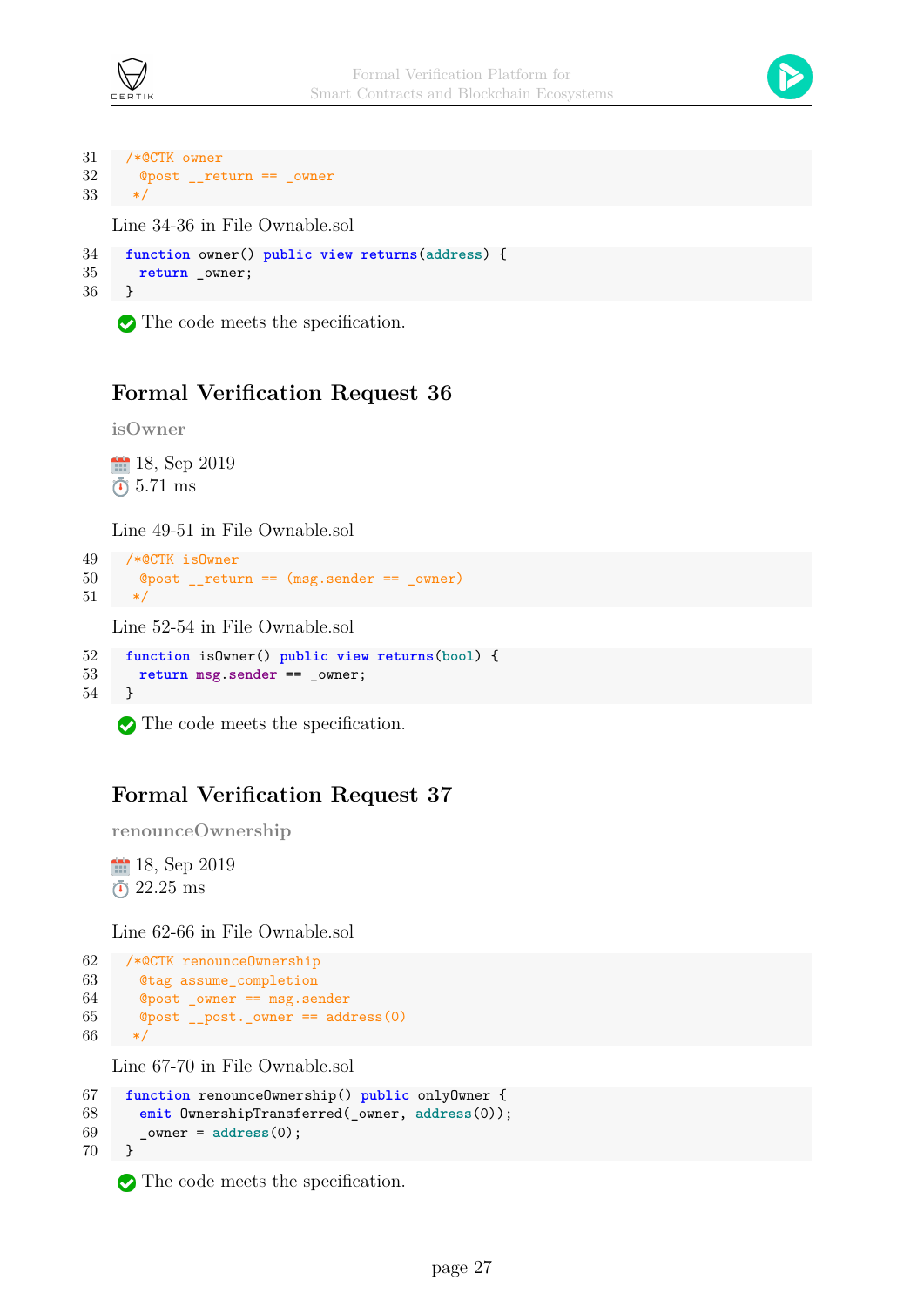



```
31 /*@CTK owner
32 @post __return == _owner
33\,Line 34-36 in File Ownable.sol
```

```
34 function owner() public view returns(address) {
35 return _owner;
36 }
```
The code meets the specification.

#### **Formal Verification Request 36**

**isOwner**

18, Sep 2019  $\bar{0}$  5.71 ms

Line 49-51 in File Ownable.sol

```
49 /*@CTK isOwner
50 @post __return == (msg.sender == _owner)
51 */
```
Line 52-54 in File Ownable.sol

```
52 function isOwner() public view returns(bool) {
53 return msg.sender == _owner;
54 }
```
The code meets the specification.

#### **Formal Verification Request 37**

```
renounceOwnership
```
18, Sep 2019 22.25 ms

Line 62-66 in File Ownable.sol

```
62 /*@CTK renounceOwnership
63 @tag assume_completion
64 @post _owner == msg.sender
65 @post __post._owner == address(0)
66 */
```
Line 67-70 in File Ownable.sol

```
67 function renounceOwnership() public onlyOwner {
68 emit OwnershipTransferred(_owner, address(0));
69 _owner = address(0);
70 }
```
The code meets the specification.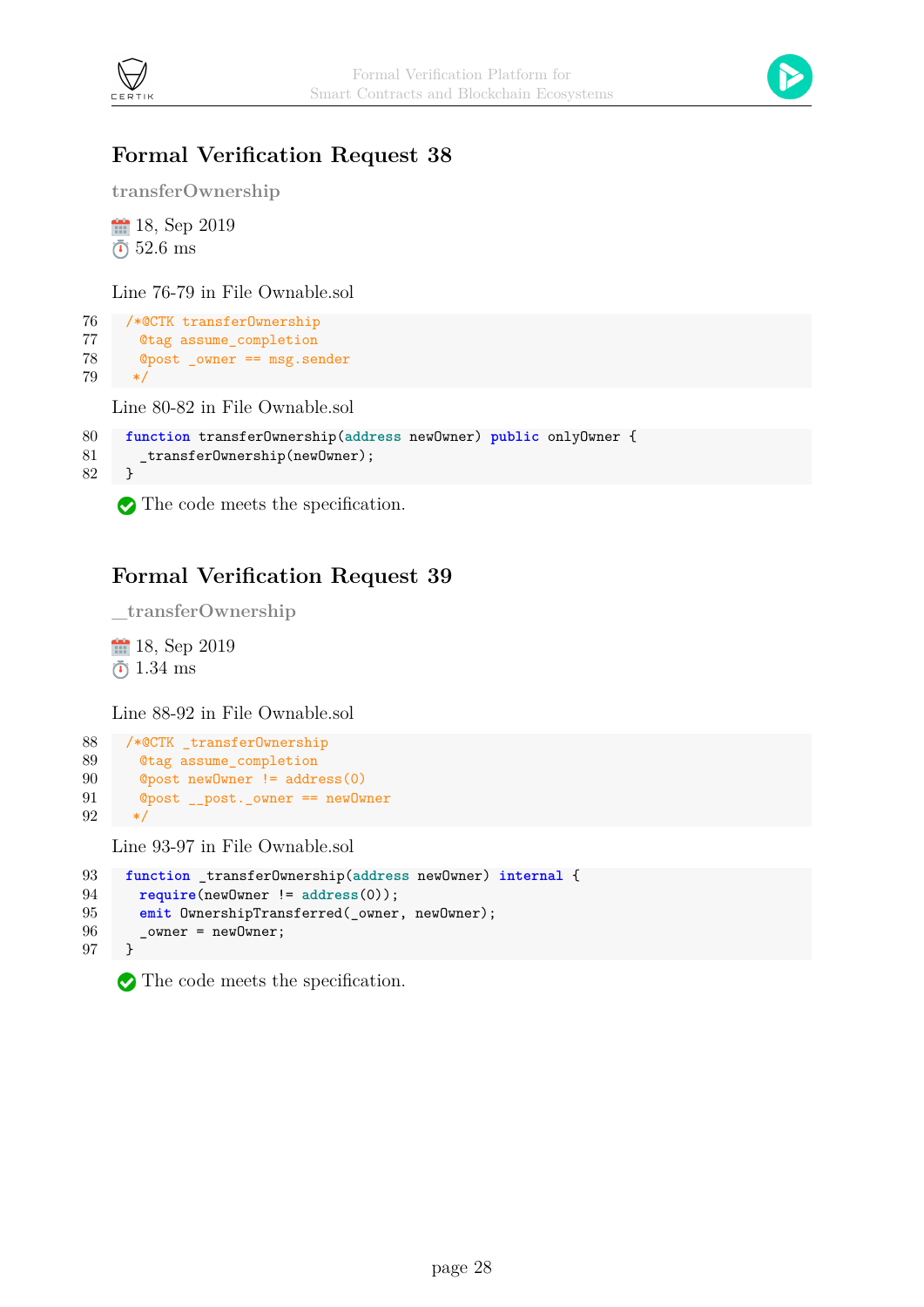



#### **Formal Verification Request 38**

**transferOwnership**

18, Sep 2019  $\bar{0}$  52.6 ms

Line 76-79 in File Ownable.sol

```
76 /*@CTK transferOwnership
77 @tag assume_completion
78 @post _owner == msg.sender
79 */
```
Line 80-82 in File Ownable.sol

```
80 function transferOwnership(address newOwner) public onlyOwner {
81 _transferOwnership(newOwner);
82 }
```
The code meets the specification.

#### **Formal Verification Request 39**

```
_transferOwnership
18, Sep 2019
```
 $\bar{0}$  1.34 ms

Line 88-92 in File Ownable.sol

```
88 /*@CTK _transferOwnership
89 @tag assume_completion
90 @post newOwner != address(0)
91 @post __post._owner == newOwner
92 */
```
Line 93-97 in File Ownable.sol

```
93 function _transferOwnership(address newOwner) internal {
94 require(newOwner != address(0));
95 emit OwnershipTransferred(_owner, newOwner);
96 ___ _owner = newOwner;
97 }
```
The code meets the specification.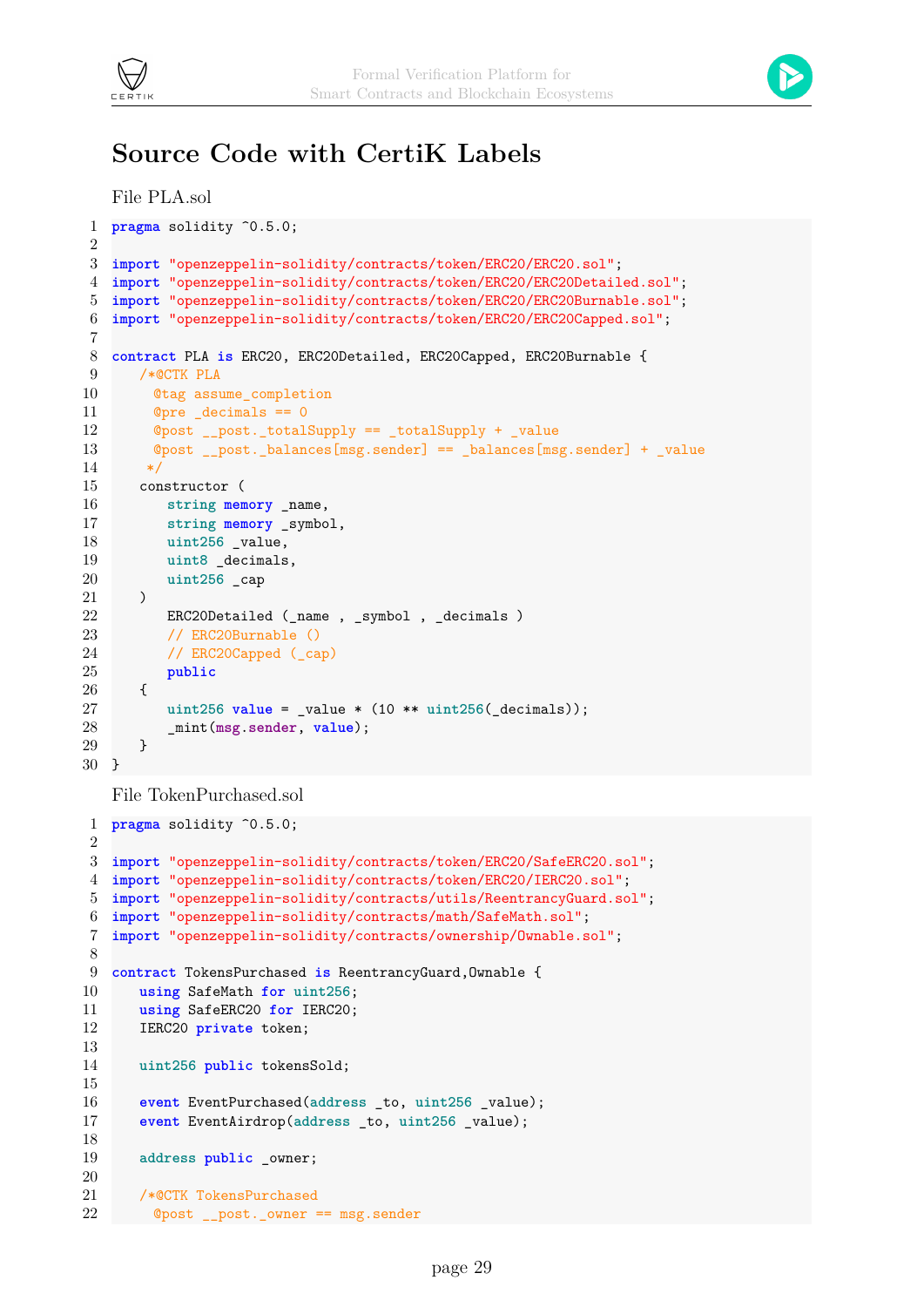



## **Source Code with CertiK Labels**

```
File PLA.sol
 1 pragma solidity ^0.5.0;
 \mathfrak{D}3 import "openzeppelin-solidity/contracts/token/ERC20/ERC20.sol";
 4 import "openzeppelin-solidity/contracts/token/ERC20/ERC20Detailed.sol";
 5 import "openzeppelin-solidity/contracts/token/ERC20/ERC20Burnable.sol";
 6 import "openzeppelin-solidity/contracts/token/ERC20/ERC20Capped.sol";
 7
 8 contract PLA is ERC20, ERC20Detailed, ERC20Capped, ERC20Burnable {
 9 /*@CTK PLA
10 @tag assume_completion
11 @pre _decimals == 0
12 @post __post._totalSupply == _totalSupply + _value
13 @post __post._balances[msg.sender] == _balances[msg.sender] + _value
14 \times15 constructor (
16 string memory _name,
17 string memory _symbol,
18 uint256 _value,
19 uint8 _decimals,
20 uint256 _cap
21 )
22 ERC20Detailed (_name , _symbol , _decimals )
23 // ERC20Burnable ()
24 // ERC20Capped (_cap)
25 public
26 {
27 uint256 value = value * (10 ** unit256 (decimals));28 _mint(msg.sender, value);
29 }
30 }
```
File TokenPurchased.sol

```
1 pragma solidity ^0.5.0;
 \overline{2}3 import "openzeppelin-solidity/contracts/token/ERC20/SafeERC20.sol";
 4 import "openzeppelin-solidity/contracts/token/ERC20/IERC20.sol";
 5 import "openzeppelin-solidity/contracts/utils/ReentrancyGuard.sol";
 6 import "openzeppelin-solidity/contracts/math/SafeMath.sol";
 7 import "openzeppelin-solidity/contracts/ownership/Ownable.sol";
8
9 contract TokensPurchased is ReentrancyGuard,Ownable {
10 using SafeMath for uint256;
11 using SafeERC20 for IERC20;
12 IERC20 private token;
13
14 uint256 public tokensSold;
15
16 event EventPurchased(address _to, uint256 _value);
17 event EventAirdrop(address _to, uint256 _value);
18
19 address public owner;
20
21 /*@CTK TokensPurchased
22 @post __post._owner == msg.sender
```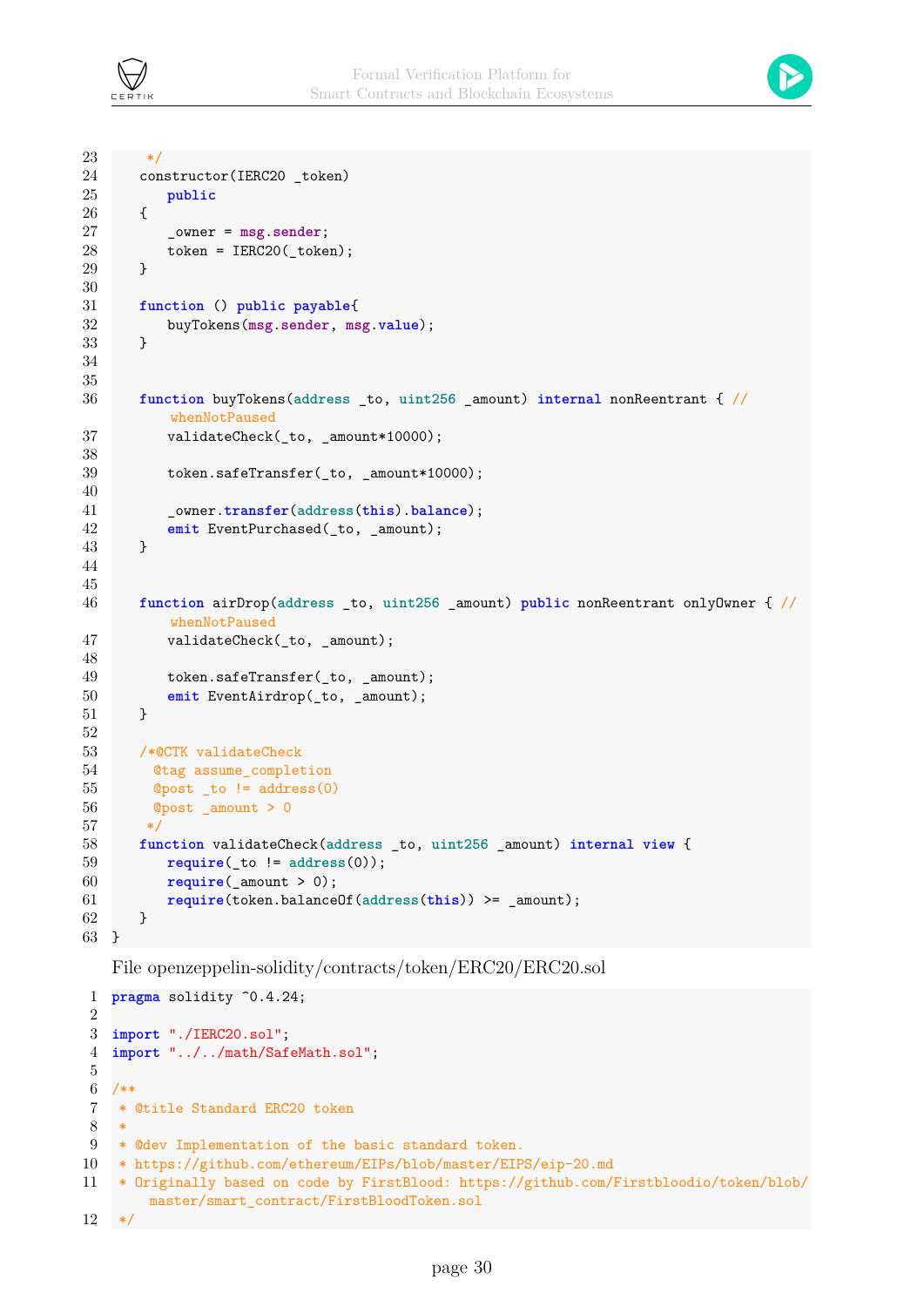



```
23 */
24 constructor(IERC20 _token)
25 public
26 {
27 _owner = msg.sender;
28 token = IERC20(_token);
29 }
30
31 function () public payable{
32 buyTokens(msg.sender, msg.value);
33 }
34
35
36 function buyTokens(address _to, uint256 _amount) internal nonReentrant { //
         whenNotPaused
37 validateCheck(_to, _amount*10000);
38
39 token.safeTransfer(_to, _amount*10000);
40
41 _owner.transfer(address(this).balance);
42 emit EventPurchased(_to, _amount);
43 }
44
45
46 function airDrop(address _to, uint256 _amount) public nonReentrant onlyOwner { //
         whenNotPaused
47 validateCheck(to, amount);
48
49 token.safeTransfer(_to, _amount);
50 emit EventAirdrop(_to, _amount);
51 }
52
53 /*@CTK validateCheck
54 @tag assume_completion
55 @post _to != address(0)
56 @post _amount > 0
57 */
58 function validateCheck(address _to, uint256 _amount) internal view {
59 require(_to != address(0));
60 require(_amount > 0);
61 require(token.balanceOf(address(this)) >= _amount);
62 }
63 }
```
File openzeppelin-solidity/contracts/token/ERC20/ERC20.sol

```
1 pragma solidity ^0.4.24;
2
3 import "./IERC20.sol";
4 import "../../math/SafeMath.sol";
5
6 / **7 * @title Standard ERC20 token
8\,9 * @dev Implementation of the basic standard token.
10 * https://github.com/ethereum/EIPs/blob/master/EIPS/eip-20.md
11 * Originally based on code by FirstBlood: https://github.com/Firstbloodio/token/blob/
        master/smart_contract/FirstBloodToken.sol
12 */
```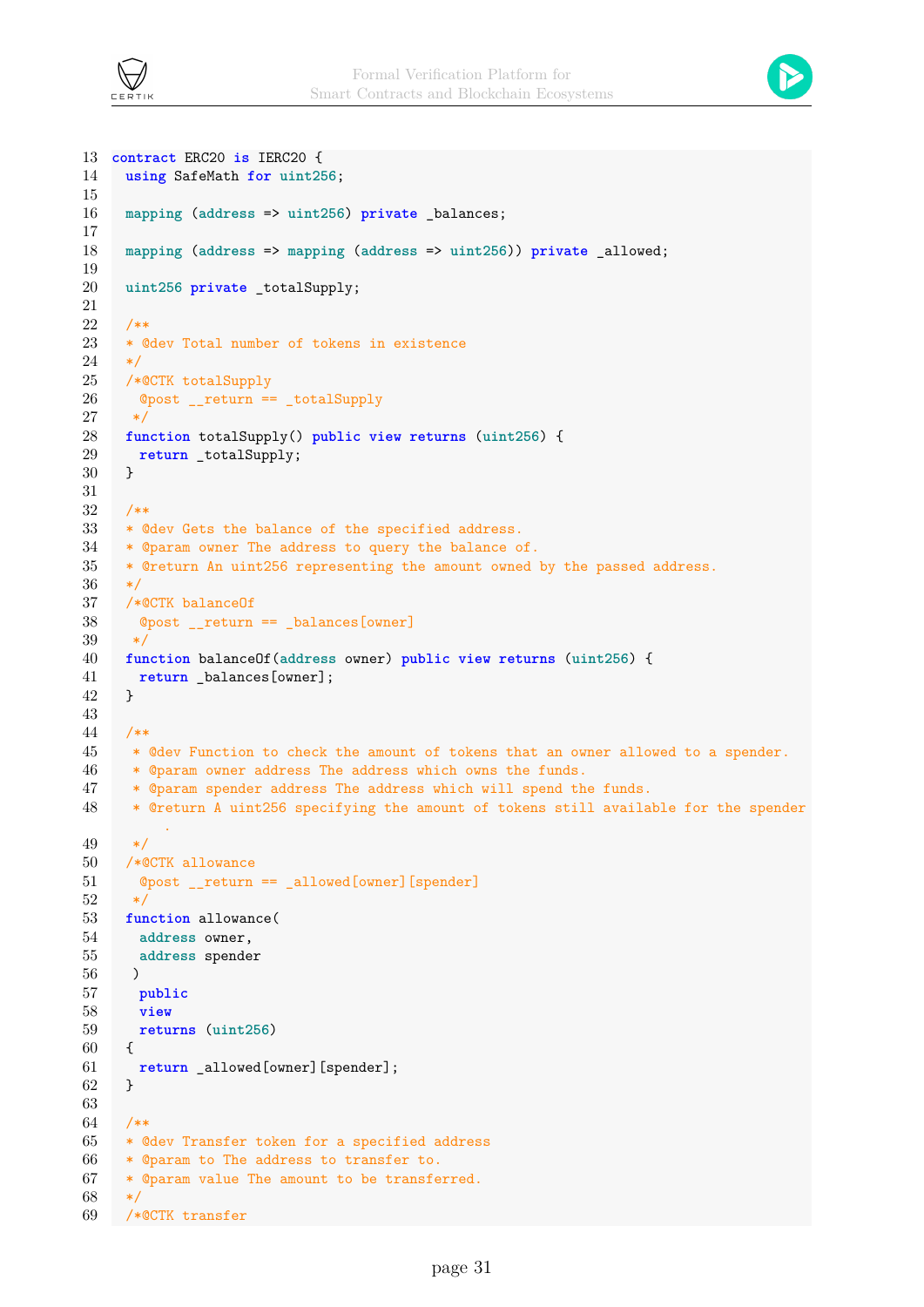



```
13 contract ERC20 is IERC20 {
14 using SafeMath for uint256;
15
16 mapping (address => uint256) private balances;
17
18 mapping (address => mapping (address => uint256)) private _allowed;
19
20 uint256 private totalSupply;
21
22 /**
23 * @dev Total number of tokens in existence
24 */25 /*@CTK totalSupply
26 @post __return == _totalSupply
27 */
28 function totalSupply() public view returns (uint256) {
29 return _totalSupply;
30 }
31
32 /**
33 * @dev Gets the balance of the specified address.
34 * @param owner The address to query the balance of.
35 * @return An uint256 representing the amount owned by the passed address.
36 \times /37 /*@CTK balanceOf
38 @post return == balances[owner]
39 */
40 function balanceOf(address owner) public view returns (uint256) {
41 return _balances[owner];
42 }
43
44 /**
45 * @dev Function to check the amount of tokens that an owner allowed to a spender.
46 * @param owner address The address which owns the funds.
47 * @param spender address The address which will spend the funds.
48 * @return A uint256 specifying the amount of tokens still available for the spender
         .
49 */
50 /*@CTK allowance
51 @post __return == _allowed[owner][spender]
52 */
53 function allowance(
54 address owner,
55 address spender
56 )
57 public
58 view
59 returns (uint256)
60 {
61 return _allowed[owner][spender];
62 }
63
64 /**
65 * @dev Transfer token for a specified address
66 * @param to The address to transfer to.
67 * @param value The amount to be transferred.
68 */
69 /*@CTK transfer
```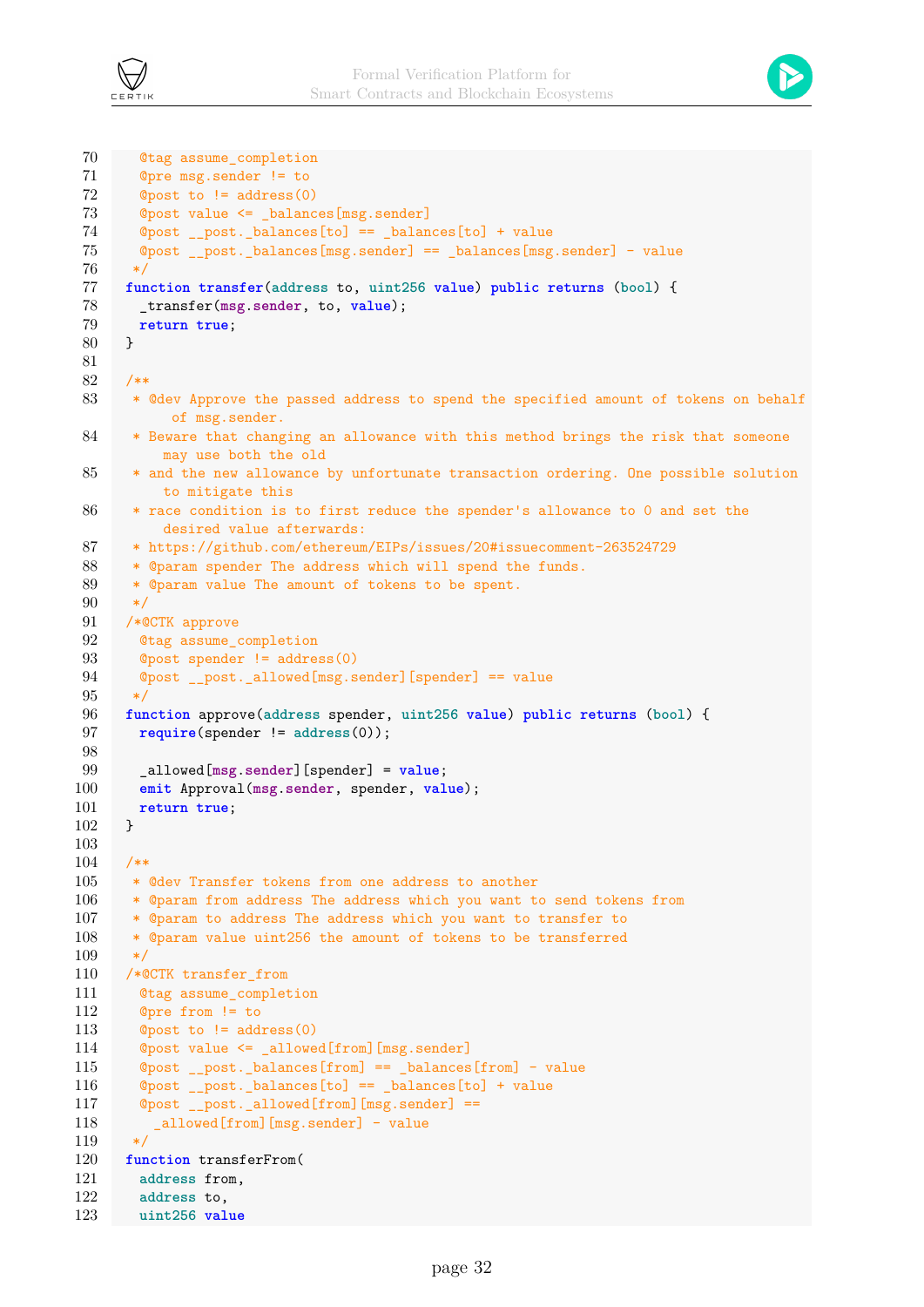



```
70 @tag assume_completion
71 @pre msg.sender != to
72 @post to != address(0)
73 @post value <= balances[msg.sender]
74 @post post. balances[to] == balances[to] + value
75 @post __post._balances[msg.sender] == _balances[msg.sender] - value
76 */
77 function transfer(address to, uint256 value) public returns (bool) {
78 _transfer(msg.sender, to, value);
79 return true;
80 }
81
82 /**
83 * @dev Approve the passed address to spend the specified amount of tokens on behalf
           of msg.sender.
84 * Beware that changing an allowance with this method brings the risk that someone
          may use both the old
 85 * and the new allowance by unfortunate transaction ordering. One possible solution
         to mitigate this
86 * race condition is to first reduce the spender's allowance to 0 and set the
          desired value afterwards:
87 * https://github.com/ethereum/EIPs/issues/20#issuecomment-263524729
 88 * @param spender The address which will spend the funds.
89 * @param value The amount of tokens to be spent.
90 */
91 /*@CTK approve
92 Otag assume completion
93 @post spender != address(0)
94 @post __post._allowed[msg.sender][spender] == value
95 */
96 function approve(address spender, uint256 value) public returns (bool) {
97 require(spender != address(0));
98
99 _allowed[msg.sender][spender] = value;
100 emit Approval(msg.sender, spender, value);
101 return true;
102 }
103
104 /**
105 * @dev Transfer tokens from one address to another
106 * @param from address The address which you want to send tokens from
107 * @param to address The address which you want to transfer to
108 * @param value uint256 the amount of tokens to be transferred
109 */
110 /*@CTK transfer_from
111 @tag assume_completion
112 @pre from != to
113 @post to != address(0)
114 @post value <= _allowed[from][msg.sender]
115 @post __post._balances[from] == _balances[from] - value
116 @post __post._balances[to] == _balances[to] + value
117 @post __post._allowed[from][msg.sender] ==
118 _allowed[from][msg.sender] - value
119 */
120 function transferFrom(
121 address from,
122 address to,
123 uint256 value
```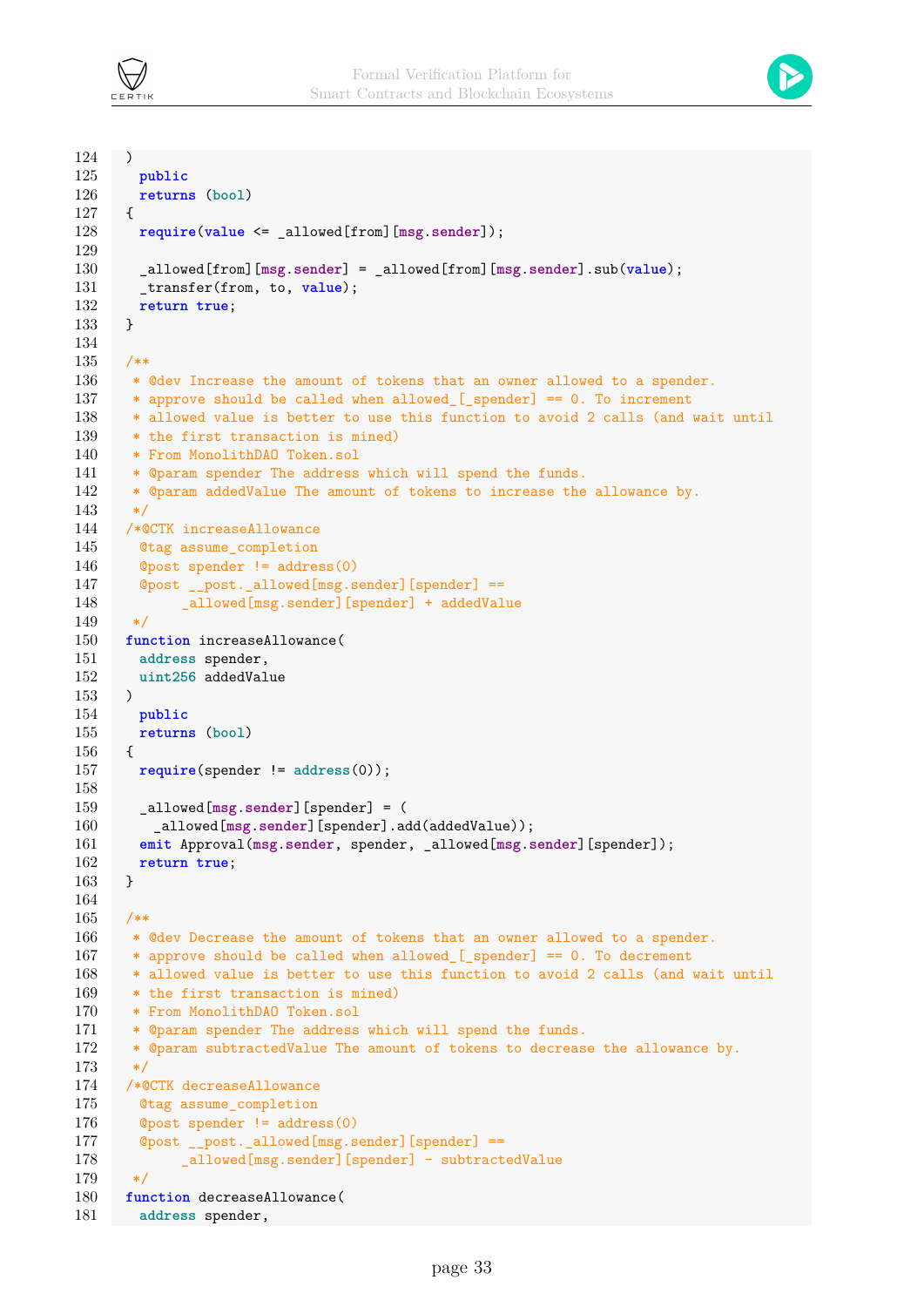



```
124 )
125 public
126 returns (bool)
127 {
128 require(value <= _allowed[from][msg.sender]);
129
130 _allowed[from][msg.sender] = _allowed[from][msg.sender].sub(value);
131 transfer(from, to, value);
132 return true;
133 }
134
135 /**
136 * @dev Increase the amount of tokens that an owner allowed to a spender.
137 * approve should be called when allowed [_spender] == 0. To increment
138 * allowed value is better to use this function to avoid 2 calls (and wait until
139 * the first transaction is mined)
140 * From MonolithDAO Token.sol
141 * @param spender The address which will spend the funds.
142 * @param addedValue The amount of tokens to increase the allowance by.
143 */
144 /*@CTK increaseAllowance
145 @tag assume_completion
146 @post spender != address(0)
147 @post __post._allowed[msg.sender][spender] ==
148 _allowed[msg.sender][spender] + addedValue
149 */
150 function increaseAllowance(
151 address spender,
152 uint256 addedValue
153 )
154 public
155 returns (bool)
156 {
157 require(spender != address(0));
158
159 _allowed[msg.sender][spender] = (
160 _allowed[msg.sender][spender].add(addedValue));
161 emit Approval(msg.sender, spender, _allowed[msg.sender][spender]);
162 return true;
163 }
164
165 /**
166 * @dev Decrease the amount of tokens that an owner allowed to a spender.
167 * approve should be called when allowed [ _ spender] == 0. To decrement
168 * allowed value is better to use this function to avoid 2 calls (and wait until
169 * the first transaction is mined)
170 * From MonolithDAO Token.sol
171 * @param spender The address which will spend the funds.
172 * @param subtractedValue The amount of tokens to decrease the allowance by.
173 */
174 /*@CTK decreaseAllowance
175 @tag assume_completion
176 @post spender != address(0)
177 @post __post._allowed[msg.sender][spender] ==
178 _allowed[msg.sender][spender] - subtractedValue
179 */
180 function decreaseAllowance(
181 address spender,
```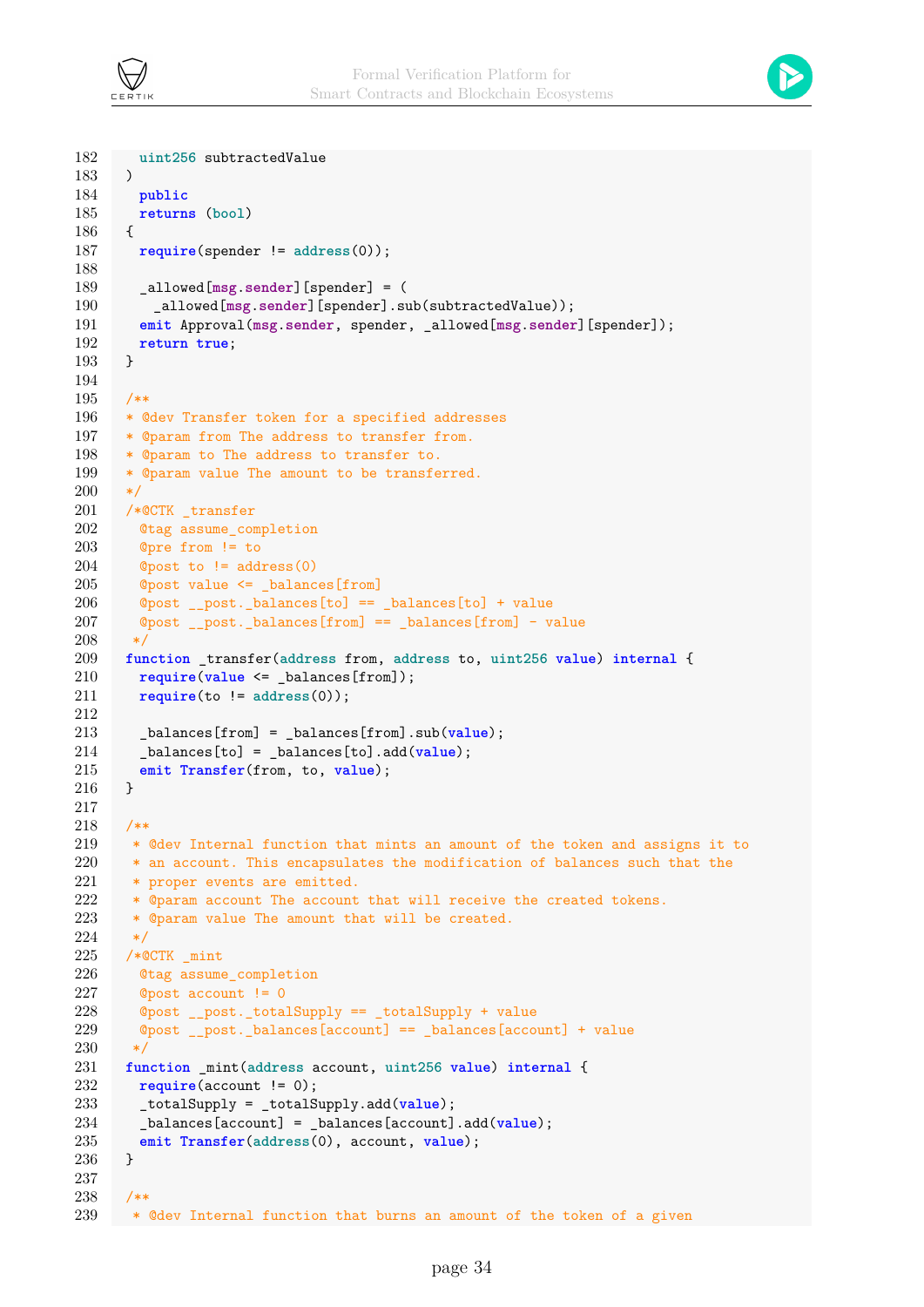



```
182 uint256 subtractedValue
183 )
184 public
185 returns (bool)
186 {
187 require(spender != address(0));
188
189 _allowed[msg.sender][spender] = (
190 _allowed[msg.sender][spender].sub(subtractedValue));
191 emit Approval(msg.sender, spender, _allowed[msg.sender][spender]);
192 return true;
193 }
194
195 /**
196 * @dev Transfer token for a specified addresses
197 * @param from The address to transfer from.
198 * @param to The address to transfer to.
199 * @param value The amount to be transferred.
200 */201 /*@CTK _transfer
202 @tag assume_completion
203 @pre from != to
204 @post to != address(0)205 @post value <= _balances[from]
206 @post __post._balances[to] == _balances[to] + value
207 @post post. balances[from] == balances[from] - value
208 */
209 function _transfer(address from, address to, uint256 value) internal {
210 require(value <= _balances[from]);
211 require(to != address(0));
212
213 _balances[from] = _balances[from].sub(value);
214 _balances[to] = _balances[to].add(value);
215 emit Transfer(from, to, value);
216 }
217
218 /**
219 * @dev Internal function that mints an amount of the token and assigns it to
220 * an account. This encapsulates the modification of balances such that the
221 * proper events are emitted.
222 * @param account The account that will receive the created tokens.
223 * @param value The amount that will be created.
224 \times/
225 /*@CTK \_mint226 @tag assume_completion
227 @post account != 0
228 @post __post._totalSupply == _totalSupply + value
229 @post __post._balances[account] == _balances[account] + value
230 */
231 function _mint(address account, uint256 value) internal {
232 require(account != 0);
233 _totalSupply = _totalSupply.add(value);
234 _balances[account] = _balances[account].add(value);
235 emit Transfer(address(0), account, value);
236 }
237
238 /**
239 * @dev Internal function that burns an amount of the token of a given
```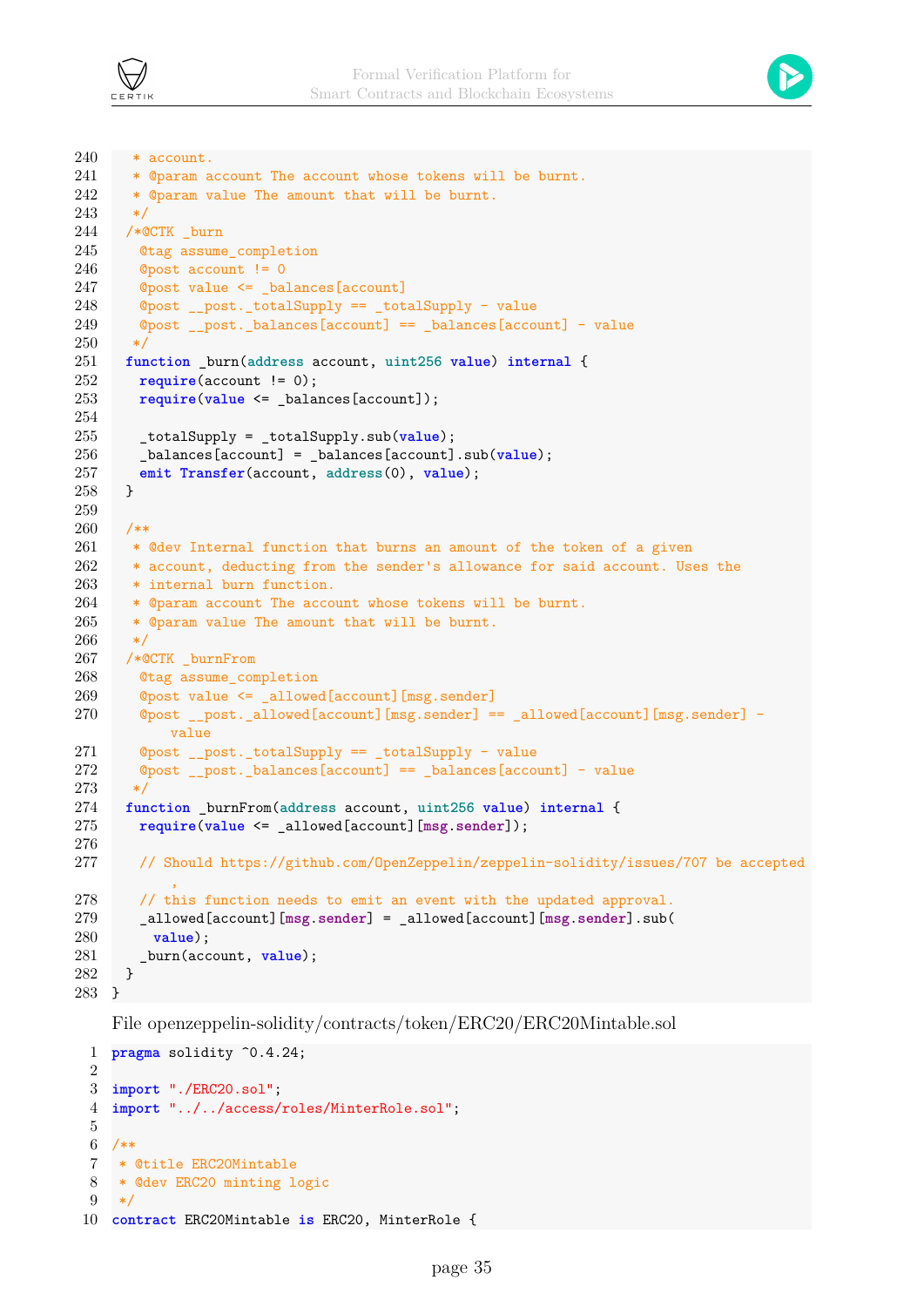



```
240 * account.
241 * @param account The account whose tokens will be burnt.
242 * @param value The amount that will be burnt.
243 */
244 /*@CTK burn
245 @tag assume_completion
246 @post account != 0
247 ©post value <= balances[account]
248 @post __post._totalSupply == _totalSupply - value
249 @post __post._balances[account] == _balances[account] - value
250 \times251 function _burn(address account, uint256 value) internal {
252 require(account != 0);
253 require(value <= _balances[account]);
254
255 _totalSupply = _totalSupply.sub(value);
256 _balances[account] = _balances[account].sub(value);
257 emit Transfer(account, address(0), value);
258 }
259
260 /**
261 * @dev Internal function that burns an amount of the token of a given
262 * account, deducting from the sender's allowance for said account. Uses the
263 * internal burn function.
264 * @param account The account whose tokens will be burnt.
265 * @param value The amount that will be burnt.
266 \times267 /*@CTK _burnFrom
268 @tag assume_completion
269 @post value <= _allowed[account][msg.sender]
270 @post __post._allowed[account][msg.sender] == _allowed[account][msg.sender] -
          value
271 @post __post._totalSupply == _totalSupply - value
272 @post __post._balances[account] == _balances[account] - value
273 */
274 function _burnFrom(address account, uint256 value) internal {
275 require(value <= _allowed[account][msg.sender]);
276
277 // Should https://github.com/OpenZeppelin/zeppelin-solidity/issues/707 be accepted
           ,
278 // this function needs to emit an event with the updated approval.
279 _allowed[account][msg.sender] = _allowed[account][msg.sender].sub(
280 value);
281 _burn(account, value);
282 }
283 }
```
File openzeppelin-solidity/contracts/token/ERC20/ERC20Mintable.sol

```
1 pragma solidity ^0.4.24;
\mathcal{P}3 import "./ERC20.sol";
4 import "../../access/roles/MinterRole.sol";
5
6 /**
7 * @title ERC20Mintable
8 * @dev ERC20 minting logic
9 */
10 contract ERC20Mintable is ERC20, MinterRole {
```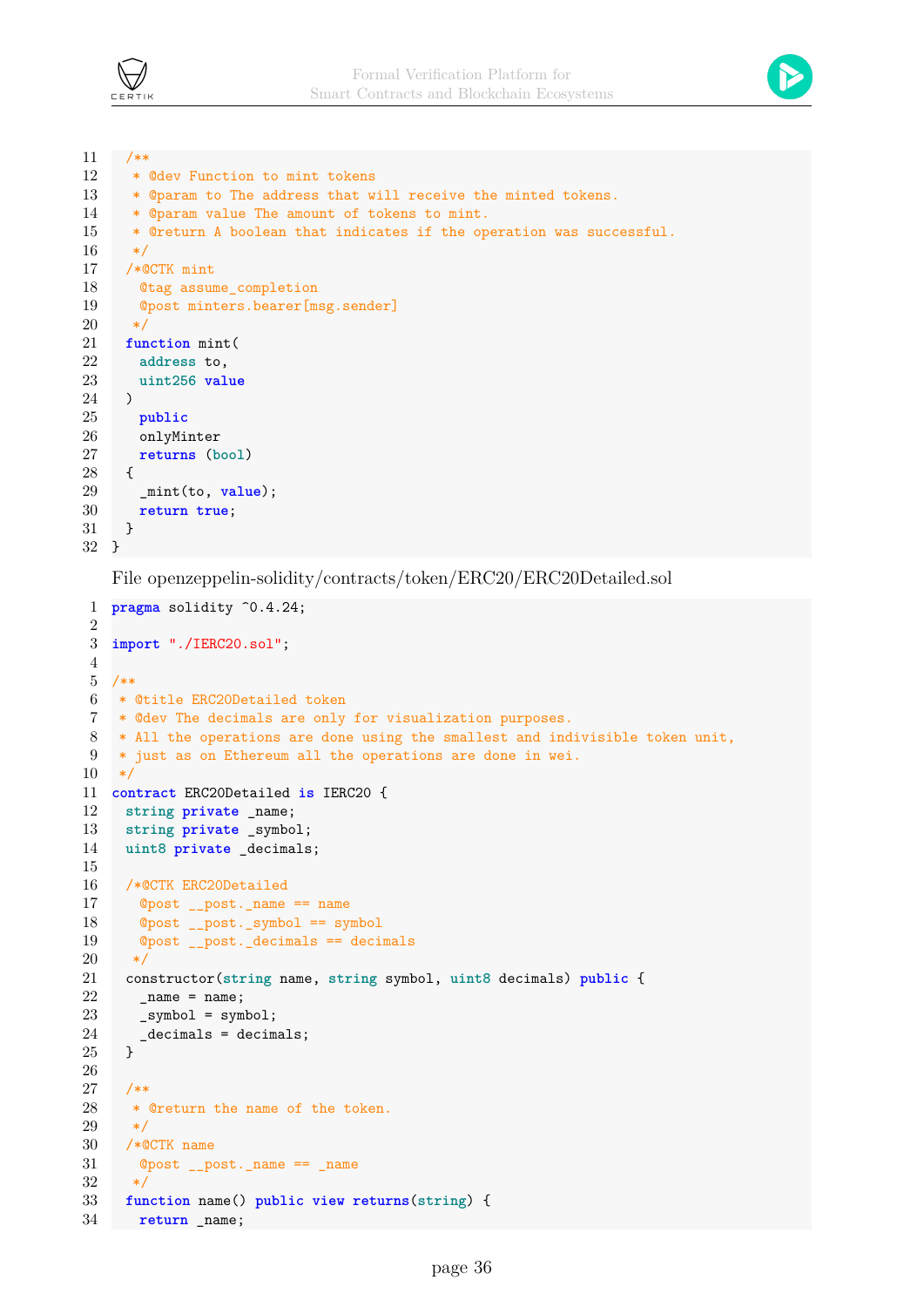



```
11 /**
12 * @dev Function to mint tokens
13 * @param to The address that will receive the minted tokens.
14 * @param value The amount of tokens to mint.
15 * @return A boolean that indicates if the operation was successful.
16 \times17 /*@CTK mint
18 Otag assume completion
19 @post minters.bearer[msg.sender]
20 */21 function mint(
22 address to,
23 uint256 value
24 )
25 public
26 onlyMinter
27 returns (bool)
28 {
29 _mint(to, value);
30 return true;
31 }
32 }
```
File openzeppelin-solidity/contracts/token/ERC20/ERC20Detailed.sol

```
1 pragma solidity ^0.4.24;
 2
3 import "./IERC20.sol";
4
5 /**
6 * @title ERC20Detailed token
7 * @dev The decimals are only for visualization purposes.
8 * All the operations are done using the smallest and indivisible token unit,
9 * just as on Ethereum all the operations are done in wei.
10 */
11 contract ERC20Detailed is IERC20 {
12 string private _name;
13 string private _symbol;
14 uint8 private _decimals;
15
16 /*@CTK ERC20Detailed
17 @post __post._name == name
18 @post __post._symbol == symbol
19 @post __post._decimals == decimals
20 */
21 constructor(string name, string symbol, uint8 decimals) public {
22 name = name;
23 _symbol = symbol;
24 \phantom{0} _decimals = decimals;<br>25 \phantom{0} }
25 }
26
27 /**
28 * @return the name of the token.
29 */
30 /*@CTK name
31 @post __post._name == _name
32 \times33 function name() public view returns(string) {
34 return _name;
```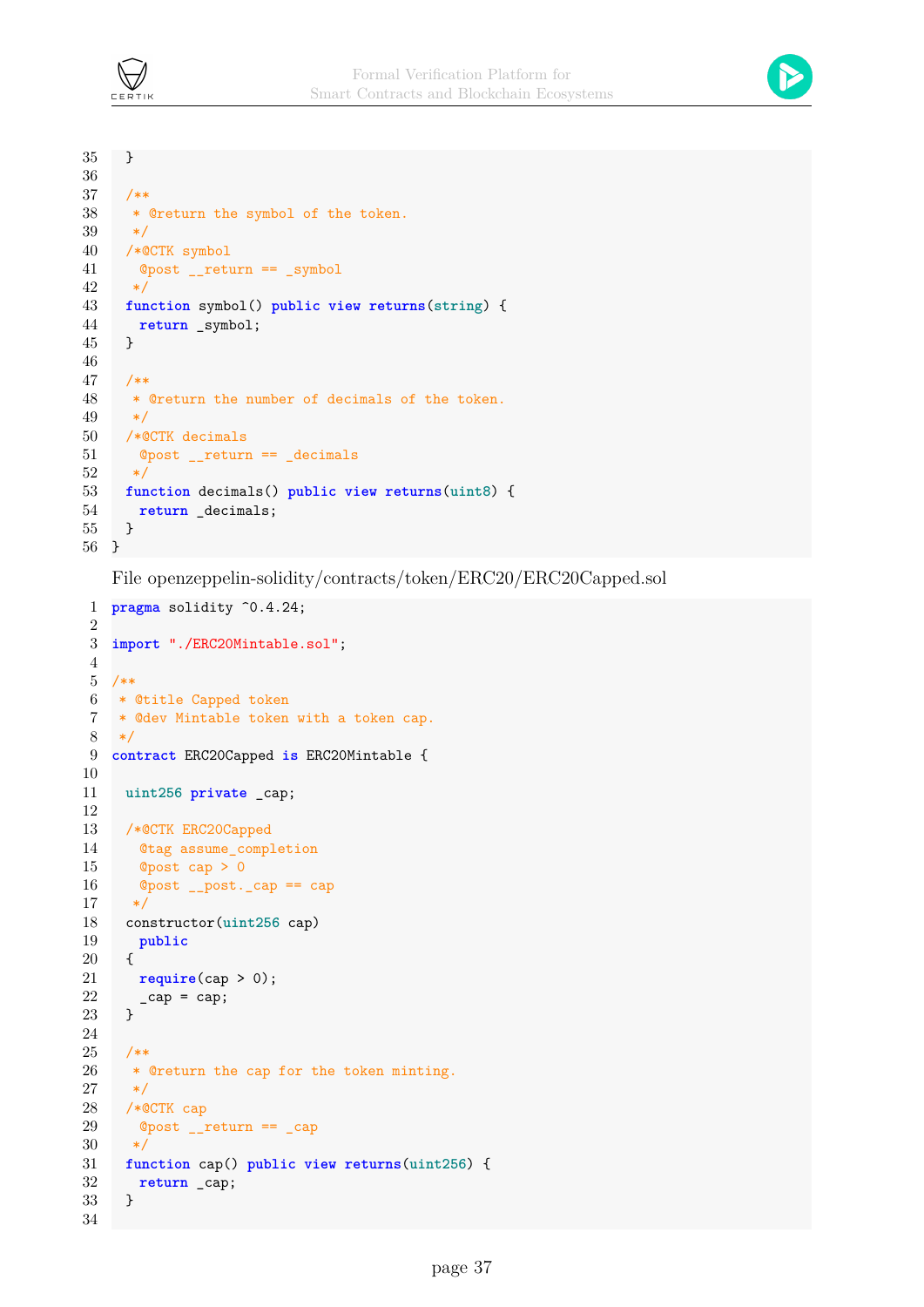

```
35 }
36
37 /**
38 * @return the symbol of the token.
39 */
40 /*@CTK symbol
41 @post __return == _symbol
42 */
43 function symbol() public view returns(string) {
44 return _symbol;
45 }
46
47 /**
48 * @return the number of decimals of the token.
49 */
50 /*@CTK decimals
51 @post __return == _decimals
52 */
53 function decimals() public view returns(uint8) {
54 return _decimals;
55 }
56 }
```
File openzeppelin-solidity/contracts/token/ERC20/ERC20Capped.sol

```
1 pragma solidity ^0.4.24;
2
3 import "./ERC20Mintable.sol";
4
5 /**
6 * @title Capped token
7 * @dev Mintable token with a token cap.
8 */
9 contract ERC20Capped is ERC20Mintable {
10
11 uint256 private _cap;
12
13 /*@CTK ERC20Capped
14 @tag assume_completion
15 \qquad Opost cap > 016 @post __post._cap == cap
17 */
18 constructor(uint256 cap)
19 public
20 {
21 require(cap > 0);
22 \qquad \qquad \text{cap} = \text{cap};23 }
24
25 /**
26 * @return the cap for the token minting.
27 */
28 /*@CTK cap
29 @post __return == _cap
30 */
31 function cap() public view returns(uint256) {
32 return _cap;
33 }
34
```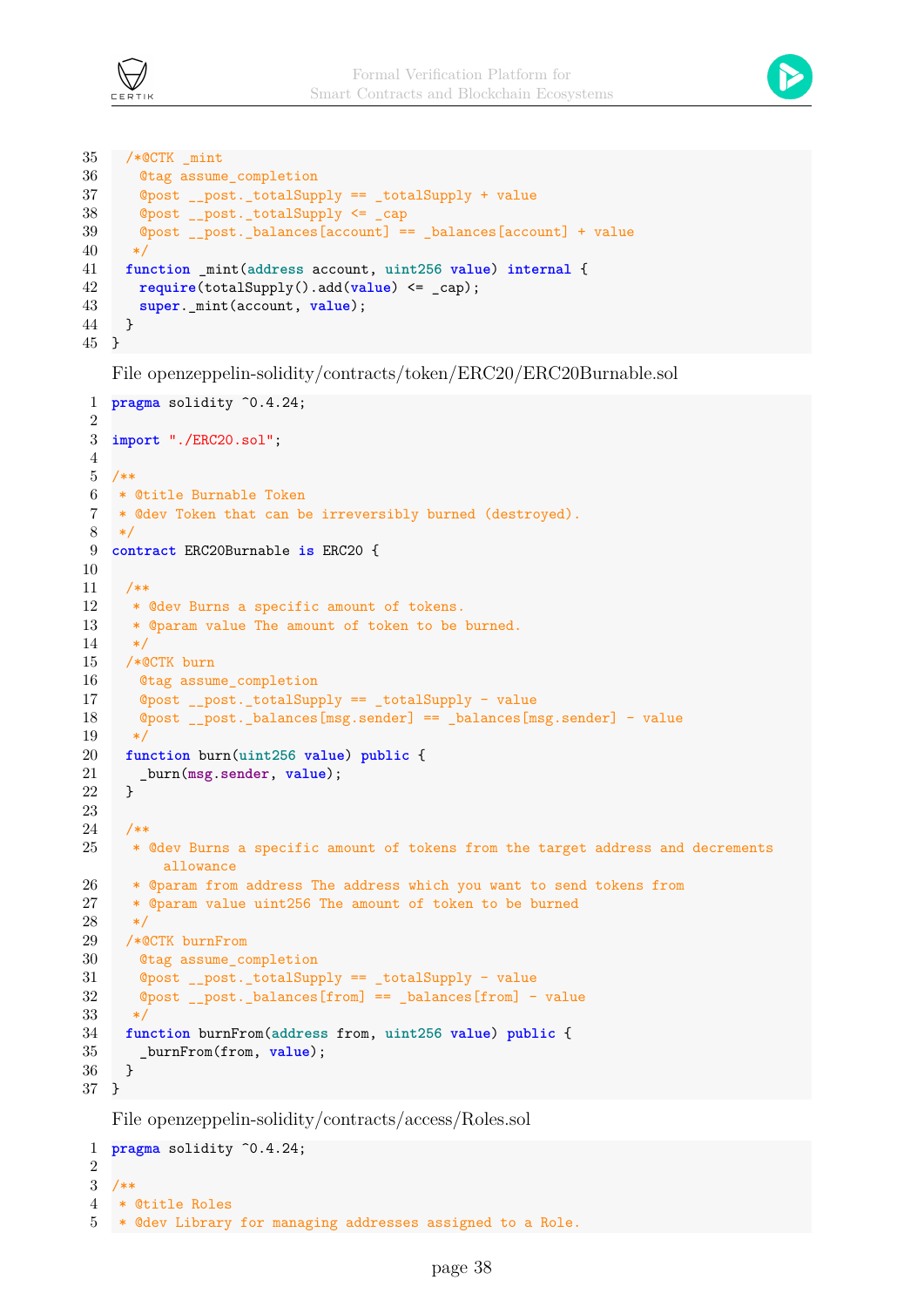



```
35 /*@CTK _mint
36 @tag assume_completion
37 @post __post._totalSupply == _totalSupply + value
38 @post __post._totalSupply <= _cap
39 @post post. balances[account] == balances[account] + value
40 \times/
41 function _mint(address account, uint256 value) internal {
42 require(totalSupply().add(value) <= _cap);
43 super._mint(account, value);
44 }
45 }
```
File openzeppelin-solidity/contracts/token/ERC20/ERC20Burnable.sol

```
1 pragma solidity ^0.4.24;
\Omega3 import "./ERC20.sol";
4
5 /**
 6 * @title Burnable Token
 7 * @dev Token that can be irreversibly burned (destroyed).
8 */
9 contract ERC20Burnable is ERC20 {
10
11 /**
12 * @dev Burns a specific amount of tokens.
13 * @param value The amount of token to be burned.
14 */
15 /*@CTK burn
16 @tag assume_completion
17 @post __post._totalSupply == _totalSupply - value
18 @post __post._balances[msg.sender] == _balances[msg.sender] - value
19 */
20 function burn(uint256 value) public {
21 _burn(msg.sender, value);
22 }
23
24 /**
25 * @dev Burns a specific amount of tokens from the target address and decrements
         allowance
26 * @param from address The address which you want to send tokens from
27 * @param value uint256 The amount of token to be burned
28 */
29 /*@CTK burnFrom
30 @tag assume_completion
31 @post __post._totalSupply == _totalSupply - value
32 @post __post._balances[from] == _balances[from] - value
33 */
34 function burnFrom(address from, uint256 value) public {
35 _burnFrom(from, value);
36 }
37 }
```
File openzeppelin-solidity/contracts/access/Roles.sol

```
1 pragma solidity ^0.4.24;
2
3 /**
4 * @title Roles
5 * @dev Library for managing addresses assigned to a Role.
```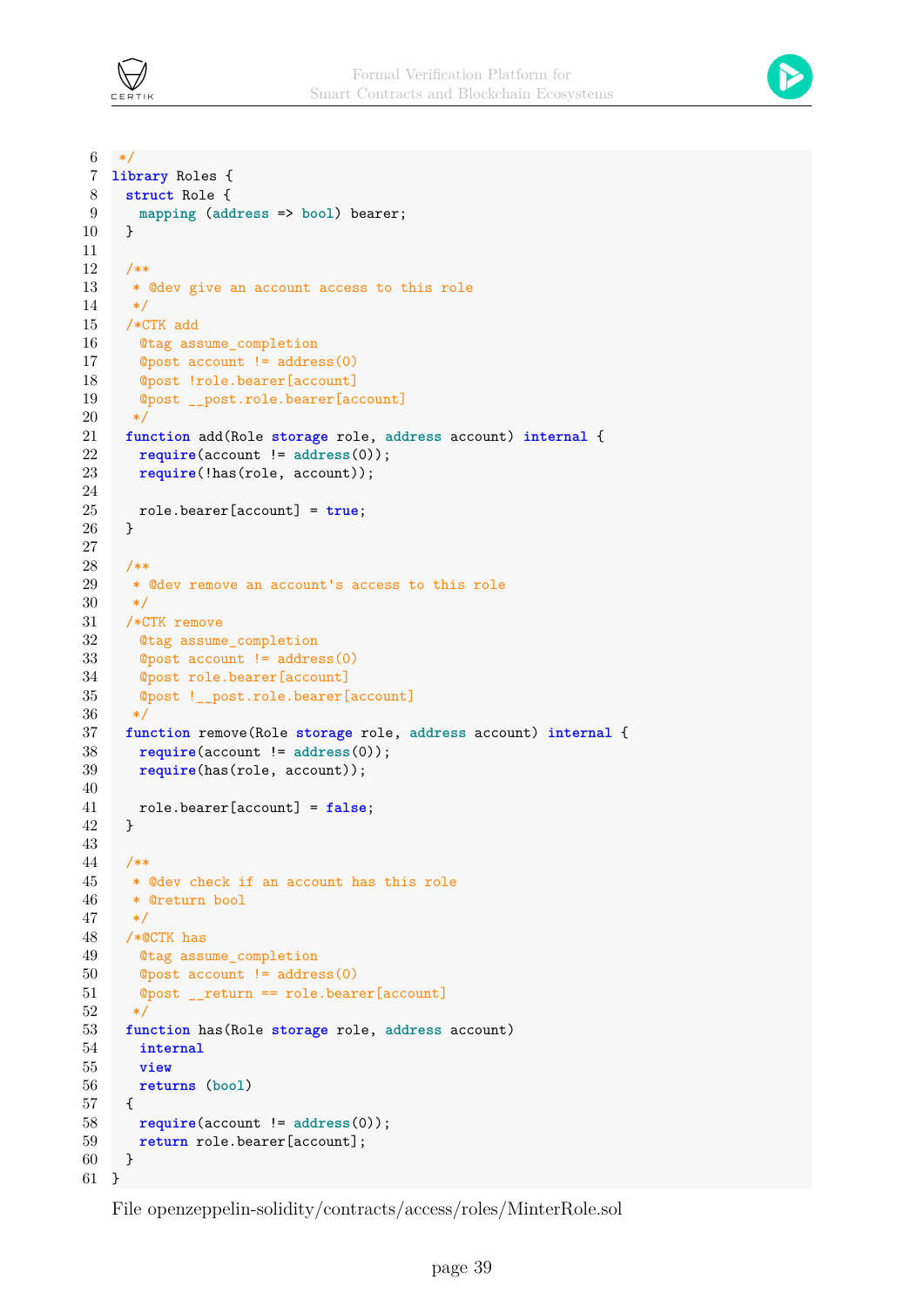



```
6 */7 library Roles {
 8 struct Role {
9 mapping (address => bool) bearer;
10 }
11
12 /**
13 * @dev give an account access to this role
14 */
15 /*CTK add
16 @tag assume_completion
17 @post account != address(0)
18 @post !role.bearer[account]
19 @post __post.role.bearer[account]
20 */
21 function add(Role storage role, address account) internal {
22 require(account != address(0));
23 require(!has(role, account));
24
25 role.bearer[account] = true;
26 }
27
28 /**
29 * @dev remove an account's access to this role
30 */
31 /*CTK remove
32 @tag assume_completion
33 @post account != address(0)
34 @post role.bearer[account]
35 @post !__post.role.bearer[account]
36 */
37 function remove(Role storage role, address account) internal {
38 require(account != address(0));
39 require(has(role, account));
40
41 role.bearer[account] = false;
42 }
43
44 /**
45 * @dev check if an account has this role
46 * @return bool
47 */
48 /*@CTK has
49 @tag assume_completion
50 @post account != address(0)
51 @post __return == role.bearer[account]
52 */
53 function has(Role storage role, address account)
54 internal
55 view
56 returns (bool)
57 {
58 require(account != address(0));
59 return role.bearer[account];
60 }
61 }
```
File openzeppelin-solidity/contracts/access/roles/MinterRole.sol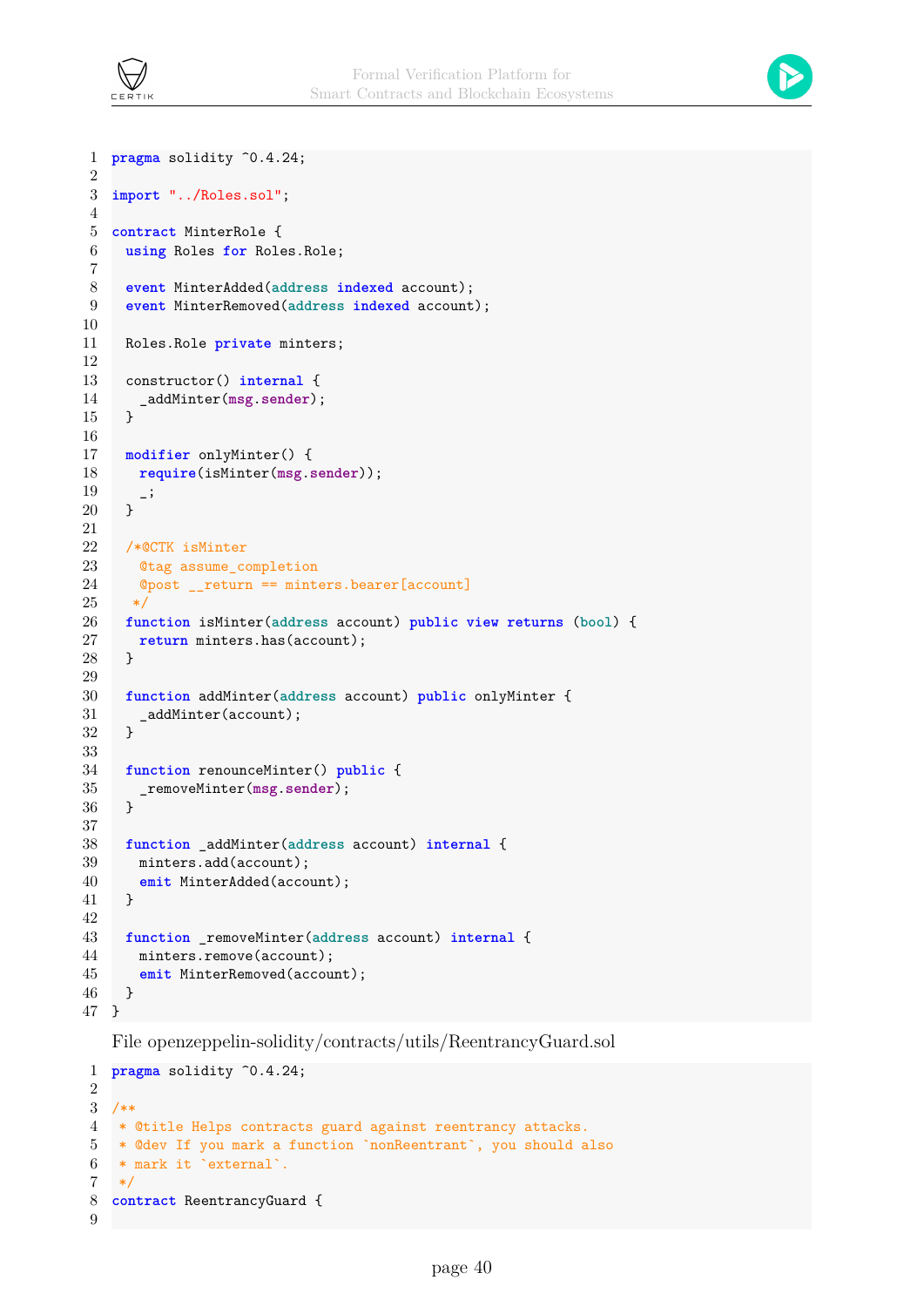



```
1 pragma solidity ^0.4.24;
2
3 import "../Roles.sol";
4
5 contract MinterRole {
6 using Roles for Roles.Role;
 7
 8 event MinterAdded(address indexed account);
9 event MinterRemoved(address indexed account);
10
11 Roles.Role private minters;
12
13 constructor() internal {
14 _addMinter(msg.sender);
15 }
16
17 modifier onlyMinter() {
18 require(isMinter(msg.sender));
\begin{matrix} 19 & 1 \\ 20 & 1 \end{matrix}20 }
21
22 /*@CTK isMinter
23 ©tag assume completion
24 @post __return == minters.bearer[account]
25 \times26 function isMinter(address account) public view returns (bool) {
27 return minters.has(account);
28 }
29
30 function addMinter(address account) public onlyMinter {
31 __ _addMinter(account);
32 }
33
34 function renounceMinter() public {
35 _removeMinter(msg.sender);
36 }
37
38 function _addMinter(address account) internal {
39 minters.add(account);
40 emit MinterAdded(account);
41 }
42
43 function _removeMinter(address account) internal {
44 minters.remove(account);
45 emit MinterRemoved(account);
46 }
47 }
```
File openzeppelin-solidity/contracts/utils/ReentrancyGuard.sol

```
1 pragma solidity ^0.4.24;
2
3 / **4 * @title Helps contracts guard against reentrancy attacks.
5 * @dev If you mark a function `nonReentrant`, you should also
6 * mark it `external`.
7 */
8 contract ReentrancyGuard {
9
```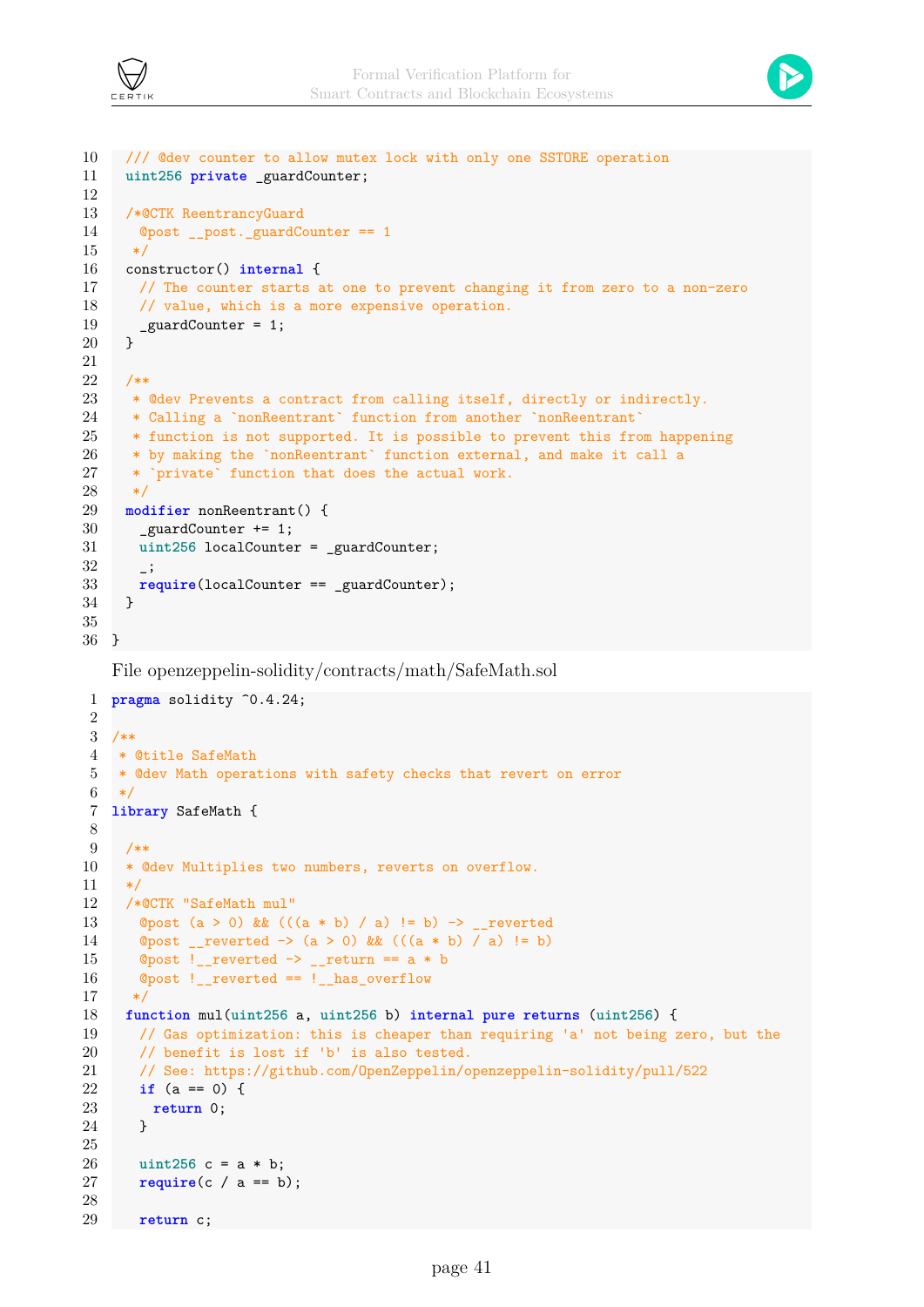



```
10 /// @dev counter to allow mutex lock with only one SSTORE operation
11 uint256 private _guardCounter;
12
13 /*@CTK ReentrancyGuard
14 @post __post._guardCounter == 1
15 */
16 constructor() internal {
17 // The counter starts at one to prevent changing it from zero to a non-zero
18 // value, which is a more expensive operation.
19 _guardCounter = 1;<br>20 }
20 }
21
22 /**
23 * @dev Prevents a contract from calling itself, directly or indirectly.
24 * Calling a `nonReentrant` function from another `nonReentrant`
25 * function is not supported. It is possible to prevent this from happening
26 * by making the `nonReentrant` function external, and make it call a
27 * `private` function that does the actual work.
28 */
29 modifier nonReentrant() {
30 _guardCounter += 1;
31 uint256 localCounter = _guardCounter;
32 \quad \quad \_ \cdot33 require(localCounter == _guardCounter);
34 }
35
36 }
```
File openzeppelin-solidity/contracts/math/SafeMath.sol

```
1 pragma solidity ^0.4.24;
 2
 3 /**
 4 * @title SafeMath
 5 * @dev Math operations with safety checks that revert on error
 6 */7 library SafeMath {
 8
 9 /**
10 * @dev Multiplies two numbers, reverts on overflow.
11 */12 /*@CTK "SafeMath mul"
13 @post (a > 0) && (((a * b) / a) != b) -> _ - reverted
14 @post __reverted -> (a > 0) && (((a * b) / a) != b)
15 \textcircled{1} \textcircled{1} \textcircled{1} \textcircled{1} \textcircled{1} \textcircled{1} \textcircled{1} \textcircled{1} \textcircled{1} \textcircled{1} \textcircled{1} \textcircled{1} \textcircled{1} \textcircled{1} \textcircled{1} \textcircled{1} \textcircled{1} \textcircled{1} \textcircled{1} \textcircled{1} \textcircled{1} \textcircled{1}16 @post !__reverted == !__has_overflow
17 */
18 function mul(uint256 a, uint256 b) internal pure returns (uint256) {
19 // Gas optimization: this is cheaper than requiring 'a' not being zero, but the
20 // benefit is lost if 'b' is also tested.
21 // See: https://github.com/OpenZeppelin/openzeppelin-solidity/pull/522
22 if (a == 0) {
23 return 0;
24 }
25
26 uint256 c = a * b;
27 require(c / a == b);
28
29 return c;
```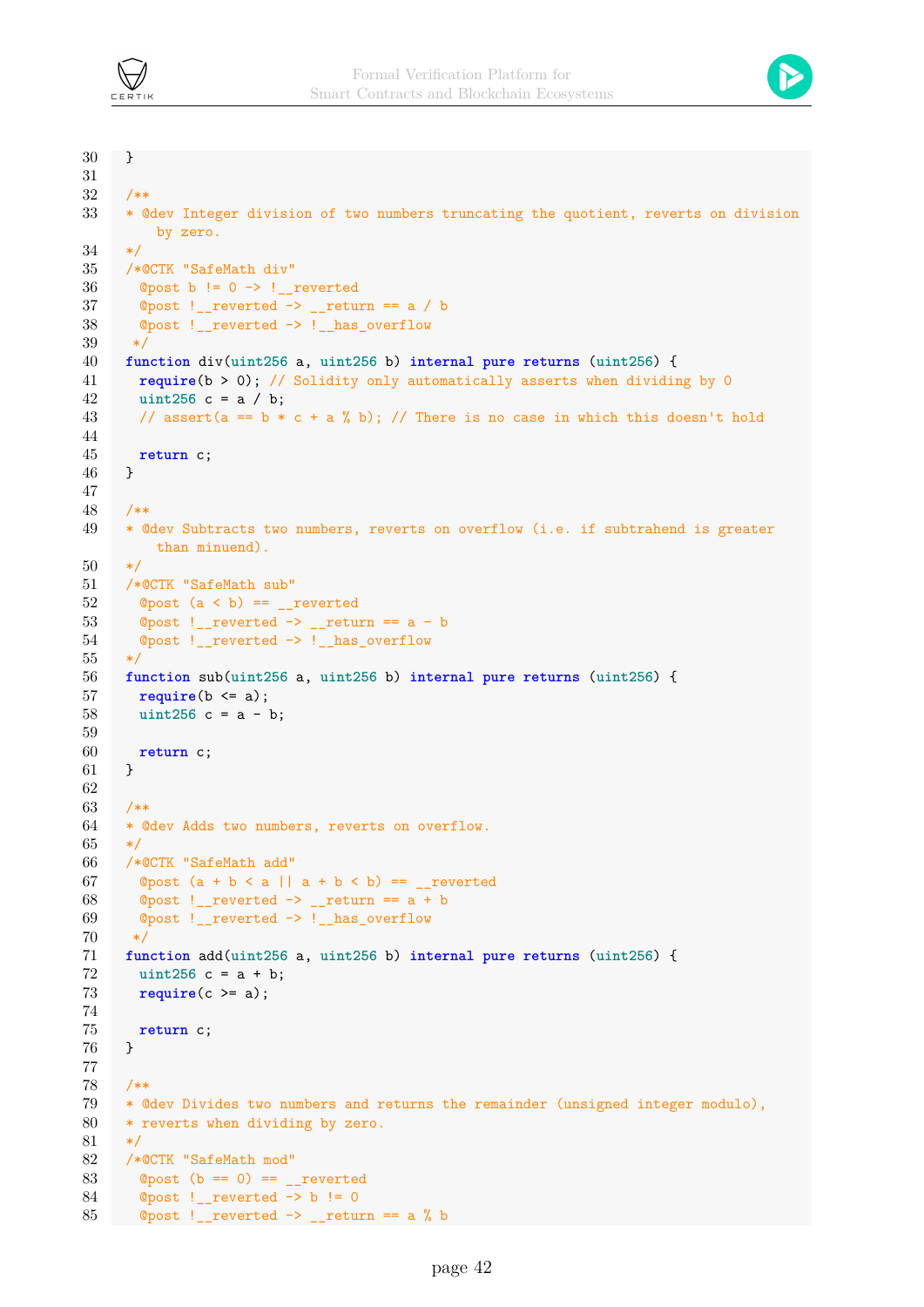

```
30 }
31
32 /**
33 * @dev Integer division of two numbers truncating the quotient, reverts on division
          by zero.
34 */35 /*@CTK "SafeMath div"
36 ©post b != 0 \rightarrow !_reverted
37 @post !__reverted \rightarrow __return == a / b
38 @post !__reverted -> !__has_overflow
39 */
40 function div(uint256 a, uint256 b) internal pure returns (uint256) {
41 require(b > 0); // Solidity only automatically asserts when dividing by 0
42 uint256 c = a / b;
43 // assert(a == b * c + a * b); // There is no case in which this doesn't hold
44
45 return c;
46 }
47
48 /**
49 * @dev Subtracts two numbers, reverts on overflow (i.e. if subtrahend is greater
          than minuend).
50 */
51 /*@CTK "SafeMath sub"
52 \qquad Opost (a < b) == _reverted
53 \degree Opost ! reverted -> return == a - b
54 ©post ! reverted -> ! has overflow
55 */
56 function sub(uint256 a, uint256 b) internal pure returns (uint256) {
57 require(b <= a);
58 uint256 c = a - b;
59
60 return c;
61 }
62
63 /**
64 * @dev Adds two numbers, reverts on overflow.
65 */66 /*@CTK "SafeMath add"
67 ©post (a + b < a || a + b < b) == _reverted
68 @post !__reverted \rightarrow __return == a + b
69 ©post ! reverted -> ! has overflow
70 */
71 function add(uint256 a, uint256 b) internal pure returns (uint256) {
72 uint256 c = a + b;
73 require(c >= a);
74
75 return c;
76 }
77
78 /**
79 * @dev Divides two numbers and returns the remainder (unsigned integer modulo),
80 * reverts when dividing by zero.
81 */
82 /*@CTK "SafeMath mod"
83 \textcircled{t} \textcircled{t} \textcircled{t} == 0) == \textcircled{t} _reverted
84 @post !__reverted -> b != 0
85 \textcircled{2} \textcircled{2} \textcircled{3} \textcircled{3} \textcircled{4} \textcircled{5} \textcircled{5} \textcircled{7} \textcircled{7} \textcircled{7} \textcircled{7} \textcircled{7} \textcircled{7} \textcircled{7} \textcircled{7} \textcircled{7} \textcircled{7} \textcircled{7} \textcircled{7} \textcircled{7} \textcircled{7} \textcircled{7}
```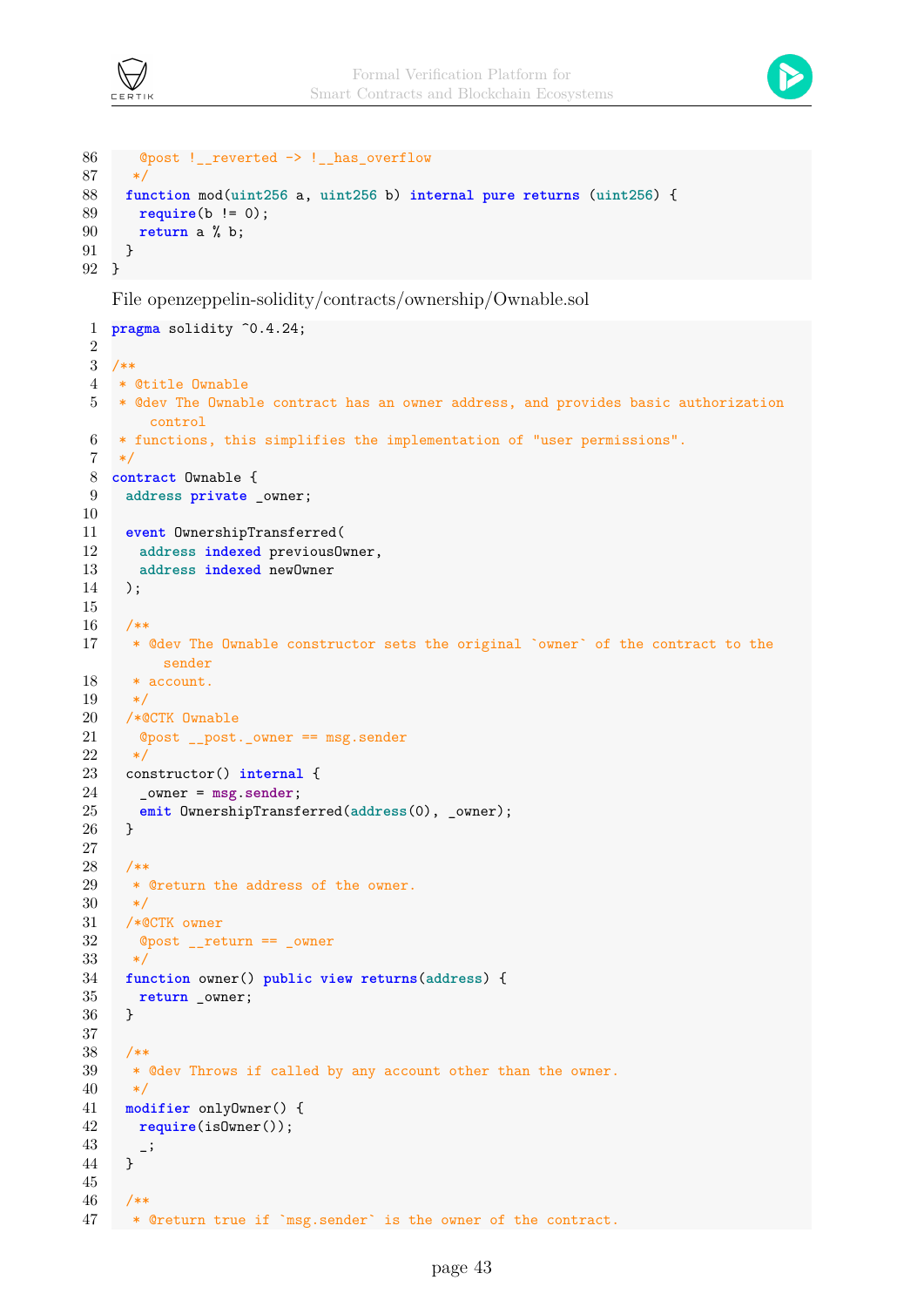



```
86 @post !__reverted -> !__has_overflow
87 */
88 function mod(uint256 a, uint256 b) internal pure returns (uint256) {
89 require(b != 0);
90 return a % b;
91 }
92 }
```
File openzeppelin-solidity/contracts/ownership/Ownable.sol

```
1 pragma solidity ^0.4.24;
\overline{2}3 /**
4 * @title Ownable
5 * @dev The Ownable contract has an owner address, and provides basic authorization
       control
6 * functions, this simplifies the implementation of "user permissions".
 7 */8 contract Ownable {
9 address private _owner;
10
11 event OwnershipTransferred(
12 address indexed previousOwner,
13 address indexed newOwner
14 );
15
16 /**
17 * @dev The Ownable constructor sets the original `owner` of the contract to the
         sender
18 * account.
19 */
20 /*@CTK Ownable
21 @post __post._owner == msg.sender
22 *123 constructor() internal {
24 _owner = msg.sender;
25 emit OwnershipTransferred(address(0), _owner);
26 }
27
28 /**
29 * @return the address of the owner.
30 */
31 /*@CTK owner
32 @post __return == _owner
33 */
34 function owner() public view returns(address) {
35 return _owner;
36 }
37
38 /**
39 * @dev Throws if called by any account other than the owner.
40 */
41 modifier onlyOwner() {
42 require(isOwner());
\begin{matrix}43\\44\end{matrix} - \cdot44 }
45
46 /**
47 * @return true if `msg.sender` is the owner of the contract.
```